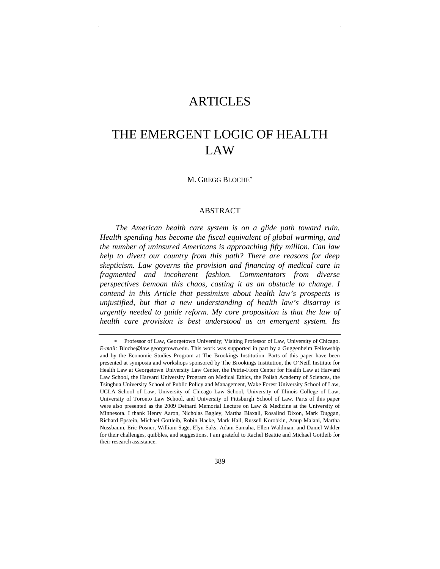# ARTICLES

# THE EMERGENT LOGIC OF HEALTH LAW

M. GREGG BLOCHE<sup>∗</sup>

#### ABSTRACT

*The American health care system is on a glide path toward ruin. Health spending has become the fiscal equivalent of global warming, and the number of uninsured Americans is approaching fifty million. Can law help to divert our country from this path? There are reasons for deep skepticism. Law governs the provision and financing of medical care in fragmented and incoherent fashion. Commentators from diverse perspectives bemoan this chaos, casting it as an obstacle to change. I contend in this Article that pessimism about health law's prospects is unjustified, but that a new understanding of health law's disarray is urgently needed to guide reform. My core proposition is that the law of health care provision is best understood as an emergent system. Its* 

Professor of Law, Georgetown University; Visiting Professor of Law, University of Chicago. *E-mail:* Bloche@law.georgetown.edu. This work was supported in part by a Guggenheim Fellowship and by the Economic Studies Program at The Brookings Institution. Parts of this paper have been presented at symposia and workshops sponsored by The Brookings Institution, the O'Neill Institute for Health Law at Georgetown University Law Center, the Petrie-Flom Center for Health Law at Harvard Law School, the Harvard University Program on Medical Ethics, the Polish Academy of Sciences, the Tsinghua University School of Public Policy and Management, Wake Forest University School of Law, UCLA School of Law, University of Chicago Law School, University of Illinois College of Law, University of Toronto Law School, and University of Pittsburgh School of Law. Parts of this paper were also presented as the 2009 Deinard Memorial Lecture on Law & Medicine at the University of Minnesota. I thank Henry Aaron, Nicholas Bagley, Martha Blaxall, Rosalind Dixon, Mark Duggan, Richard Epstein, Michael Gottleib, Robin Hacke, Mark Hall, Russell Korobkin, Anup Malani, Martha Nussbaum, Eric Posner, William Sage, Elyn Saks, Adam Samaha, Ellen Waldman, and Daniel Wikler for their challenges, quibbles, and suggestions. I am grateful to Rachel Beattie and Michael Gottleib for their research assistance.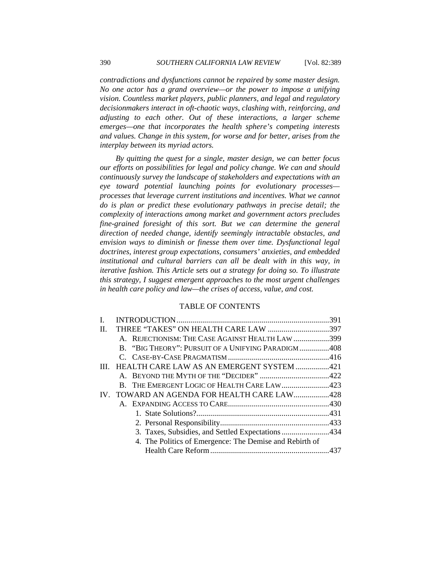*contradictions and dysfunctions cannot be repaired by some master design. No one actor has a grand overview—or the power to impose a unifying vision. Countless market players, public planners, and legal and regulatory decisionmakers interact in oft-chaotic ways, clashing with, reinforcing, and adjusting to each other. Out of these interactions, a larger scheme emerges—one that incorporates the health sphere's competing interests and values. Change in this system, for worse and for better, arises from the interplay between its myriad actors.* 

*By quitting the quest for a single, master design, we can better focus our efforts on possibilities for legal and policy change. We can and should continuously survey the landscape of stakeholders and expectations with an eye toward potential launching points for evolutionary processes processes that leverage current institutions and incentives. What we cannot do is plan or predict these evolutionary pathways in precise detail; the complexity of interactions among market and government actors precludes fine-grained foresight of this sort. But we can determine the general direction of needed change, identify seemingly intractable obstacles, and envision ways to diminish or finesse them over time. Dysfunctional legal doctrines, interest group expectations, consumers' anxieties, and embedded institutional and cultural barriers can all be dealt with in this way, in iterative fashion. This Article sets out a strategy for doing so. To illustrate this strategy, I suggest emergent approaches to the most urgent challenges in health care policy and law—the crises of access, value, and cost.* 

#### TABLE OF CONTENTS

| H. | THREE "TAKES" ON HEALTH CARE LAW 397                    |  |
|----|---------------------------------------------------------|--|
|    | A. REJECTIONISM: THE CASE AGAINST HEALTH LAW 399        |  |
|    | B. "BIG THEORY": PURSUIT OF A UNIFYING PARADIGM408      |  |
|    |                                                         |  |
|    | III. HEALTH CARE LAW AS AN EMERGENT SYSTEM 421          |  |
|    |                                                         |  |
|    | B. THE EMERGENT LOGIC OF HEALTH CARE LAW423             |  |
|    | IV. TOWARD AN AGENDA FOR HEALTH CARE LAW428             |  |
|    |                                                         |  |
|    |                                                         |  |
|    |                                                         |  |
|    |                                                         |  |
|    | 4. The Politics of Emergence: The Demise and Rebirth of |  |
|    |                                                         |  |
|    |                                                         |  |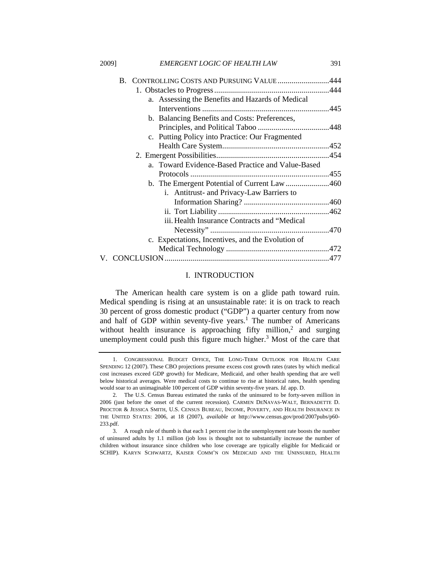|  | B. CONTROLLING COSTS AND PURSUING VALUE 444       |  |
|--|---------------------------------------------------|--|
|  |                                                   |  |
|  | a. Assessing the Benefits and Hazards of Medical  |  |
|  |                                                   |  |
|  | b. Balancing Benefits and Costs: Preferences,     |  |
|  |                                                   |  |
|  | c. Putting Policy into Practice: Our Fragmented   |  |
|  |                                                   |  |
|  |                                                   |  |
|  | a. Toward Evidence-Based Practice and Value-Based |  |
|  |                                                   |  |
|  |                                                   |  |
|  |                                                   |  |
|  | i. Antitrust- and Privacy-Law Barriers to         |  |
|  |                                                   |  |
|  |                                                   |  |
|  | iii. Health Insurance Contracts and "Medical      |  |
|  |                                                   |  |
|  | c. Expectations, Incentives, and the Evolution of |  |
|  |                                                   |  |
|  |                                                   |  |
|  |                                                   |  |

#### I. INTRODUCTION

The American health care system is on a glide path toward ruin. Medical spending is rising at an unsustainable rate: it is on track to reach 30 percent of gross domestic product ("GDP") a quarter century from now and half of GDP within seventy-five years.<sup>1</sup> The number of Americans without health insurance is approaching fifty million,<sup>2</sup> and surging unemployment could push this figure much higher. $3$  Most of the care that

 <sup>1.</sup> CONGRESSIONAL BUDGET OFFICE, THE LONG-TERM OUTLOOK FOR HEALTH CARE SPENDING 12 (2007). These CBO projections presume excess cost growth rates (rates by which medical cost increases exceed GDP growth) for Medicare, Medicaid, and other health spending that are well below historical averages. Were medical costs to continue to rise at historical rates, health spending would soar to an unimaginable 100 percent of GDP within seventy-five years. *Id.* app. D.

 <sup>2.</sup> The U.S. Census Bureau estimated the ranks of the uninsured to be forty-seven million in 2006 (just before the onset of the current recession). CARMEN DENAVAS-WALT, BERNADETTE D. PROCTOR & JESSICA SMITH, U.S. CENSUS BUREAU, INCOME, POVERTY, AND HEALTH INSURANCE IN THE UNITED STATES: 2006, at 18 (2007), *available at* http://www.census.gov/prod/2007pubs/p60- 233.pdf.

 <sup>3.</sup> A rough rule of thumb is that each 1 percent rise in the unemployment rate boosts the number of uninsured adults by 1.1 million (job loss is thought not to substantially increase the number of children without insurance since children who lose coverage are typically eligible for Medicaid or SCHIP). KARYN SCHWARTZ, KAISER COMM'N ON MEDICAID AND THE UNINSURED, HEALTH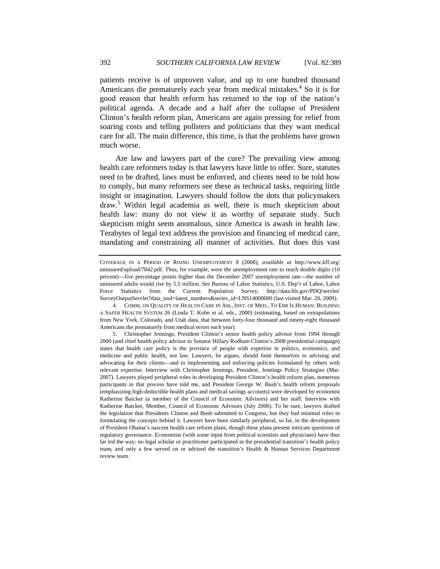patients receive is of unproven value, and up to one hundred thousand Americans die prematurely each year from medical mistakes.<sup>4</sup> So it is for good reason that health reform has returned to the top of the nation's political agenda. A decade and a half after the collapse of President Clinton's health reform plan, Americans are again pressing for relief from soaring costs and telling pollsters and politicians that they want medical care for all. The main difference, this time, is that the problems have grown much worse.

Are law and lawyers part of the cure? The prevailing view among health care reformers today is that lawyers have little to offer. Sure, statutes need to be drafted, laws must be enforced, and clients need to be told how to comply, but many reformers see these as technical tasks, requiring little insight or imagination. Lawyers should follow the dots that policymakers draw.<sup>5</sup> Within legal academia as well, there is much skepticism about health law: many do not view it as worthy of separate study. Such skepticism might seem anomalous, since America is awash in health law. Terabytes of legal text address the provision and financing of medical care, mandating and constraining all manner of activities. But does this vast

COVERAGE IN A PERIOD OF RISING UNEMPLOYMENT 8 (2008), *available at* http://www.kff.org/ uninsured/upload/7842.pdf. Thus, for example, were the unemployment rate to reach double digits (10 percent)—five percentage points higher than the December 2007 unemployment rate—the number of uninsured adults would rise by 5.5 million. *See* Bureau of Labor Statistics, U.S. Dep't of Labor, Labor Force Statistics from the Current Population Survey, http://data.bls.gov/PDQ/servlet/ SurveyOutputServlet?data\_tool=latest\_numbers&series\_id=LNS14000000 (last visited Mar. 20, 2009).

 <sup>4.</sup> COMM. ON QUALITY OF HEALTH CARE IN AM., INST. OF MED., TO ERR IS HUMAN: BUILDING A SAFER HEALTH SYSTEM 26 (Linda T. Kohn et al. eds., 2000) (estimating, based on extrapolations from New York, Colorado, and Utah data, that between forty-four thousand and ninety-eight thousand Americans die prematurely from medical errors each year).

 <sup>5.</sup> Christopher Jennings, President Clinton's senior health policy advisor from 1994 through 2000 (and chief health policy advisor to Senator Hillary Rodham Clinton's 2008 presidential campaign) states that health care policy is the province of people with expertise in politics, economics, and medicine and public health, not law. Lawyers, he argues, should limit themselves to advising and advocating for their clients—and to implementing and enforcing policies formulated by others with relevant expertise. Interview with Christopher Jennings, President, Jennings Policy Strategies (Mar. 2007). Lawyers played peripheral roles in developing President Clinton's health reform plan, numerous participants in that process have told me, and President George W. Bush's health reform proposals (emphasizing high-deductible health plans and medical savings accounts) were developed by economist Katherine Baicker (a member of the Council of Economic Advisors) and her staff. Interview with Katherine Baicker, Member, Council of Economic Advisors (July 2006). To be sure, lawyers drafted the legislation that Presidents Clinton and Bush submitted to Congress, but they had minimal roles in formulating the concepts behind it. Lawyers have been similarly peripheral, so far, in the development of President Obama's nascent health care reform plans, though these plans present intricate questions of regulatory governance. Economists (with some input from political scientists and physicians) have thus far led the way: no legal scholar or practitioner participated in the presidential transition's health policy team, and only a few served on or advised the transition's Health & Human Services Department review team.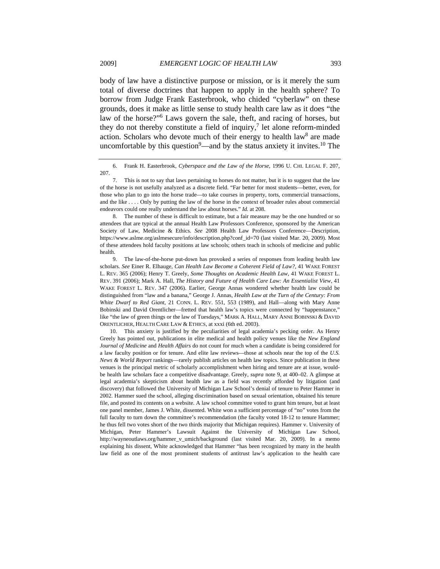body of law have a distinctive purpose or mission, or is it merely the sum total of diverse doctrines that happen to apply in the health sphere? To borrow from Judge Frank Easterbrook, who chided "cyberlaw" on these grounds, does it make as little sense to study health care law as it does "the law of the horse?"6 Laws govern the sale, theft, and racing of horses, but they do not thereby constitute a field of inquiry,<sup>7</sup> let alone reform-minded action. Scholars who devote much of their energy to health law<sup>8</sup> are made uncomfortable by this question<sup>9</sup>—and by the status anxiety it invites.<sup>10</sup> The

 8. The number of these is difficult to estimate, but a fair measure may be the one hundred or so attendees that are typical at the annual Health Law Professors Conference, sponsored by the American Society of Law, Medicine & Ethics. *See* 2008 Health Law Professors Conference—Description, https://www.aslme.org/aslmesecure/info/description.php?conf\_id=70 (last visited Mar. 20, 2009). Most of these attendees hold faculty positions at law schools; others teach in schools of medicine and public health.

 9. The law-of-the-horse put-down has provoked a series of responses from leading health law scholars. *See* Einer R. Elhauge, *Can Health Law Become a Coherent Field of Law?*, 41 WAKE FOREST L. REV. 365 (2006); Henry T. Greely, *Some Thoughts on Academic Health Law*, 41 WAKE FOREST L. REV. 391 (2006); Mark A. Hall, *The History and Future of Health Care Law: An Essentialist View*, 41 WAKE FOREST L. REV. 347 (2006). Earlier, George Annas wondered whether health law could be distinguished from "law and a banana," George J. Annas, *Health Law at the Turn of the Century: From White Dwarf to Red Giant*, 21 CONN. L. REV. 551, 553 (1989), and Hall—along with Mary Anne Bobinski and David Orentlicher—fretted that health law's topics were connected by "happenstance," like "the law of green things or the law of Tuesdays," MARK A. HALL, MARY ANNE BOBINSKI & DAVID ORENTLICHER, HEALTH CARE LAW & ETHICS, at xxxi (6th ed. 2003).

 10. This anxiety is justified by the peculiarities of legal academia's pecking order. As Henry Greely has pointed out, publications in elite medical and health policy venues like the *New England Journal of Medicine* and *Health Affairs* do not count for much when a candidate is being considered for a law faculty position or for tenure. And elite law reviews—those at schools near the top of the *U.S. News & World Report* rankings—rarely publish articles on health law topics. Since publication in these venues is the principal metric of scholarly accomplishment when hiring and tenure are at issue, wouldbe health law scholars face a competitive disadvantage. Greely, *supra* note 9, at 400–02. A glimpse at legal academia's skepticism about health law as a field was recently afforded by litigation (and discovery) that followed the University of Michigan Law School's denial of tenure to Peter Hammer in 2002. Hammer sued the school, alleging discrimination based on sexual orientation, obtained his tenure file, and posted its contents on a website. A law school committee voted to grant him tenure, but at least one panel member, James J. White, dissented. White won a sufficient percentage of "no" votes from the full faculty to turn down the committee's recommendation (the faculty voted 18-12 to tenure Hammer; he thus fell two votes short of the two thirds majority that Michigan requires). Hammer v. University of Michigan, Peter Hammer's Lawsuit Against the University of Michigan Law School, http://wayneoutlaws.org/hammer\_v\_umich/background (last visited Mar. 20, 2009). In a memo explaining his dissent, White acknowledged that Hammer "has been recognized by many in the health law field as one of the most prominent students of antitrust law's application to the health care

 <sup>6.</sup> Frank H. Easterbrook, *Cyberspace and the Law of the Horse*, 1996 U. CHI. LEGAL F. 207, 207.

 <sup>7.</sup> This is not to say that laws pertaining to horses do not matter, but it is to suggest that the law of the horse is not usefully analyzed as a discrete field. "Far better for most students—better, even, for those who plan to go into the horse trade—to take courses in property, torts, commercial transactions, and the like . . . . Only by putting the law of the horse in the context of broader rules about commercial endeavors could one really understand the law about horses." *Id.* at 208.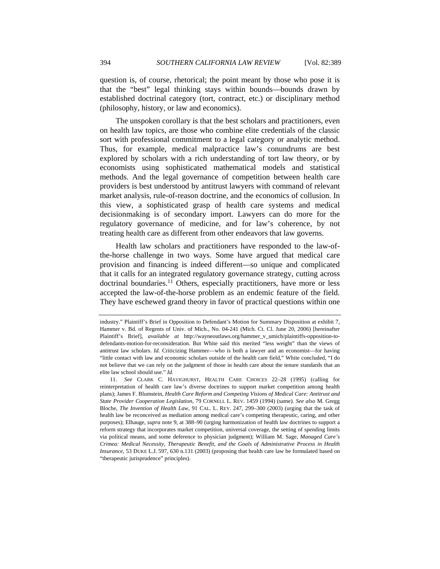question is, of course, rhetorical; the point meant by those who pose it is that the "best" legal thinking stays within bounds—bounds drawn by established doctrinal category (tort, contract, etc.) or disciplinary method (philosophy, history, or law and economics).

The unspoken corollary is that the best scholars and practitioners, even on health law topics, are those who combine elite credentials of the classic sort with professional commitment to a legal category or analytic method. Thus, for example, medical malpractice law's conundrums are best explored by scholars with a rich understanding of tort law theory, or by economists using sophisticated mathematical models and statistical methods. And the legal governance of competition between health care providers is best understood by antitrust lawyers with command of relevant market analysis, rule-of-reason doctrine, and the economics of collusion. In this view, a sophisticated grasp of health care systems and medical decisionmaking is of secondary import. Lawyers can do more for the regulatory governance of medicine, and for law's coherence, by not treating health care as different from other endeavors that law governs.

Health law scholars and practitioners have responded to the law-ofthe-horse challenge in two ways. Some have argued that medical care provision and financing is indeed different—so unique and complicated that it calls for an integrated regulatory governance strategy, cutting across  $d$ octrinal boundaries.<sup>11</sup> Others, especially practitioners, have more or less accepted the law-of-the-horse problem as an endemic feature of the field. They have eschewed grand theory in favor of practical questions within one

industry." Plaintiff's Brief in Opposition to Defendant's Motion for Summary Disposition at exhibit 7, Hammer v. Bd. of Regents of Univ. of Mich., No. 04-241 (Mich. Ct. Cl. June 20, 2006) [hereinafter Plaintiff's Brief], *available at* http://wayneoutlaws.org/hammer\_v\_umich/plaintiffs-opposition-todefendants-motion-for-reconsideration. But White said this merited "less weight" than the views of antitrust law scholars. *Id.* Criticizing Hammer—who is both a lawyer and an economist—for having "little contact with law and economic scholars outside of the health care field," White concluded, "I do not believe that we can rely on the judgment of those in health care about the tenure standards that an elite law school should use." *Id.*

<sup>11.</sup> *See* CLARK C. HAVIGHURST, HEALTH CARE CHOICES 22–28 (1995) (calling for reinterpretation of health care law's diverse doctrines to support market competition among health plans); James F. Blumstein, *Health Care Reform and Competing Visions of Medical Care: Antitrust and State Provider Cooperation Legislation*, 79 CORNELL L. REV. 1459 (1994) (same). *See also* M. Gregg Bloche, *The Invention of Health Law*, 91 CAL. L. REV. 247, 299–300 (2003) (urging that the task of health law be reconceived as mediation among medical care's competing therapeutic, caring, and other purposes); Elhauge, *supra* note 9, at 388–90 (urging harmonization of health law doctrines to support a reform strategy that incorporates market competition, universal coverage, the setting of spending limits via political means, and some deference to physician judgment); William M. Sage, *Managed Care's Crimea: Medical Necessity, Therapeutic Benefit, and the Goals of Administrative Process in Health Insurance*, 53 DUKE L.J. 597, 630 n.131 (2003) (proposing that health care law be formulated based on "therapeutic jurisprudence" principles).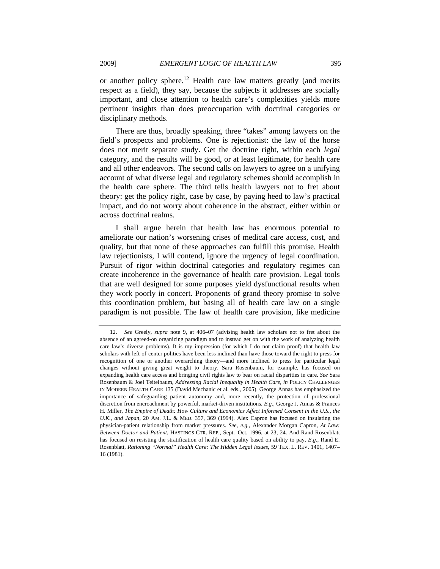or another policy sphere.<sup>12</sup> Health care law matters greatly (and merits respect as a field), they say, because the subjects it addresses are socially important, and close attention to health care's complexities yields more pertinent insights than does preoccupation with doctrinal categories or

There are thus, broadly speaking, three "takes" among lawyers on the field's prospects and problems. One is rejectionist: the law of the horse does not merit separate study. Get the doctrine right, within each *legal* category, and the results will be good, or at least legitimate, for health care and all other endeavors. The second calls on lawyers to agree on a unifying account of what diverse legal and regulatory schemes should accomplish in the health care sphere. The third tells health lawyers not to fret about theory: get the policy right, case by case, by paying heed to law's practical impact, and do not worry about coherence in the abstract, either within or across doctrinal realms.

I shall argue herein that health law has enormous potential to ameliorate our nation's worsening crises of medical care access, cost, and quality, but that none of these approaches can fulfill this promise. Health law rejectionists, I will contend, ignore the urgency of legal coordination. Pursuit of rigor within doctrinal categories and regulatory regimes can create incoherence in the governance of health care provision. Legal tools that are well designed for some purposes yield dysfunctional results when they work poorly in concert. Proponents of grand theory promise to solve this coordination problem, but basing all of health care law on a single paradigm is not possible. The law of health care provision, like medicine

disciplinary methods.

<sup>12.</sup> *See* Greely, *supra* note 9, at 406–07 (advising health law scholars not to fret about the absence of an agreed-on organizing paradigm and to instead get on with the work of analyzing health care law's diverse problems). It is my impression (for which I do not claim proof) that health law scholars with left-of-center politics have been less inclined than have those toward the right to press for recognition of one or another overarching theory—and more inclined to press for particular legal changes without giving great weight to theory. Sara Rosenbaum, for example, has focused on expanding health care access and bringing civil rights law to bear on racial disparities in care. *See* Sara Rosenbaum & Joel Teitelbaum, *Addressing Racial Inequality in Health Care*, *in* POLICY CHALLENGES IN MODERN HEALTH CARE 135 (David Mechanic et al. eds., 2005). George Annas has emphasized the importance of safeguarding patient autonomy and, more recently, the protection of professional discretion from encroachment by powerful, market-driven institutions. *E.g.*, George J. Annas & Frances H. Miller, *The Empire of Death: How Culture and Economics Affect Informed Consent in the U.S., the U.K., and Japan*, 20 AM. J.L. & MED. 357, 369 (1994). Alex Capron has focused on insulating the physician-patient relationship from market pressures. *See, e.g.*, Alexander Morgan Capron, *At Law: Between Doctor and Patient*, HASTINGS CTR. REP., Sept.–Oct. 1996, at 23, 24. And Rand Rosenblatt has focused on resisting the stratification of health care quality based on ability to pay. *E.g.*, Rand E. Rosenblatt, *Rationing "Normal" Health Care: The Hidden Legal Issues*, 59 TEX. L. REV. 1401, 1407– 16 (1981).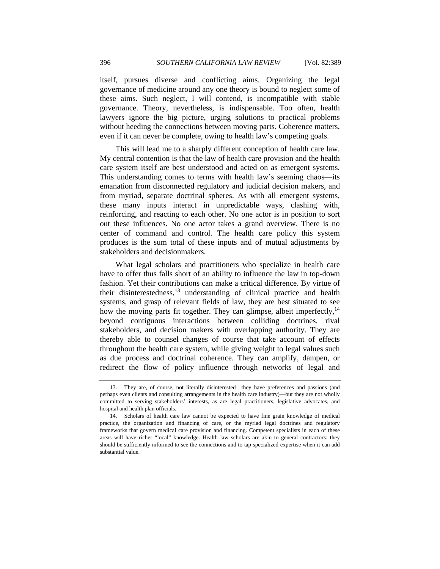itself, pursues diverse and conflicting aims. Organizing the legal governance of medicine around any one theory is bound to neglect some of these aims. Such neglect, I will contend, is incompatible with stable governance. Theory, nevertheless, is indispensable. Too often, health lawyers ignore the big picture, urging solutions to practical problems without heeding the connections between moving parts. Coherence matters, even if it can never be complete, owing to health law's competing goals.

This will lead me to a sharply different conception of health care law. My central contention is that the law of health care provision and the health care system itself are best understood and acted on as emergent systems. This understanding comes to terms with health law's seeming chaos—its emanation from disconnected regulatory and judicial decision makers, and from myriad, separate doctrinal spheres. As with all emergent systems, these many inputs interact in unpredictable ways, clashing with, reinforcing, and reacting to each other. No one actor is in position to sort out these influences. No one actor takes a grand overview. There is no center of command and control. The health care policy this system produces is the sum total of these inputs and of mutual adjustments by stakeholders and decisionmakers.

What legal scholars and practitioners who specialize in health care have to offer thus falls short of an ability to influence the law in top-down fashion. Yet their contributions can make a critical difference. By virtue of their disinterestedness, $^{13}$  understanding of clinical practice and health systems, and grasp of relevant fields of law, they are best situated to see how the moving parts fit together. They can glimpse, albeit imperfectly,<sup>14</sup> beyond contiguous interactions between colliding doctrines, rival stakeholders, and decision makers with overlapping authority. They are thereby able to counsel changes of course that take account of effects throughout the health care system, while giving weight to legal values such as due process and doctrinal coherence. They can amplify, dampen, or redirect the flow of policy influence through networks of legal and

 <sup>13.</sup> They are, of course, not literally disinterested—they have preferences and passions (and perhaps even clients and consulting arrangements in the health care industry)—but they are not wholly committed to serving stakeholders' interests, as are legal practitioners, legislative advocates, and hospital and health plan officials.

 <sup>14.</sup> Scholars of health care law cannot be expected to have fine grain knowledge of medical practice, the organization and financing of care, or the myriad legal doctrines and regulatory frameworks that govern medical care provision and financing. Competent specialists in each of these areas will have richer "local" knowledge. Health law scholars are akin to general contractors: they should be sufficiently informed to see the connections and to tap specialized expertise when it can add substantial value.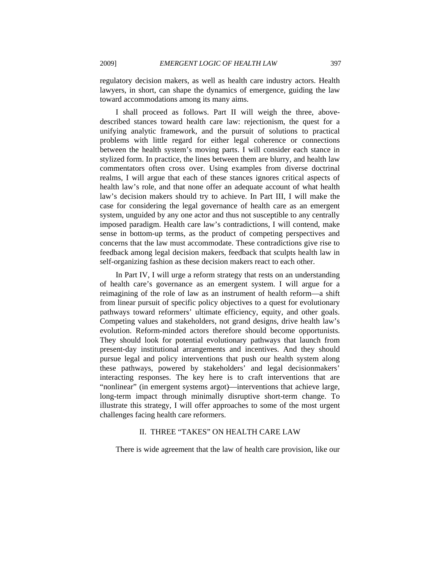regulatory decision makers, as well as health care industry actors. Health lawyers, in short, can shape the dynamics of emergence, guiding the law toward accommodations among its many aims.

I shall proceed as follows. Part II will weigh the three, abovedescribed stances toward health care law: rejectionism, the quest for a unifying analytic framework, and the pursuit of solutions to practical problems with little regard for either legal coherence or connections between the health system's moving parts. I will consider each stance in stylized form. In practice, the lines between them are blurry, and health law commentators often cross over. Using examples from diverse doctrinal realms, I will argue that each of these stances ignores critical aspects of health law's role, and that none offer an adequate account of what health law's decision makers should try to achieve. In Part III, I will make the case for considering the legal governance of health care as an emergent system, unguided by any one actor and thus not susceptible to any centrally imposed paradigm. Health care law's contradictions, I will contend, make sense in bottom-up terms, as the product of competing perspectives and concerns that the law must accommodate. These contradictions give rise to feedback among legal decision makers, feedback that sculpts health law in self-organizing fashion as these decision makers react to each other.

In Part IV, I will urge a reform strategy that rests on an understanding of health care's governance as an emergent system. I will argue for a reimagining of the role of law as an instrument of health reform—a shift from linear pursuit of specific policy objectives to a quest for evolutionary pathways toward reformers' ultimate efficiency, equity, and other goals. Competing values and stakeholders, not grand designs, drive health law's evolution. Reform-minded actors therefore should become opportunists. They should look for potential evolutionary pathways that launch from present-day institutional arrangements and incentives. And they should pursue legal and policy interventions that push our health system along these pathways, powered by stakeholders' and legal decisionmakers' interacting responses. The key here is to craft interventions that are "nonlinear" (in emergent systems argot)—interventions that achieve large, long-term impact through minimally disruptive short-term change. To illustrate this strategy, I will offer approaches to some of the most urgent challenges facing health care reformers.

## II. THREE "TAKES" ON HEALTH CARE LAW

There is wide agreement that the law of health care provision, like our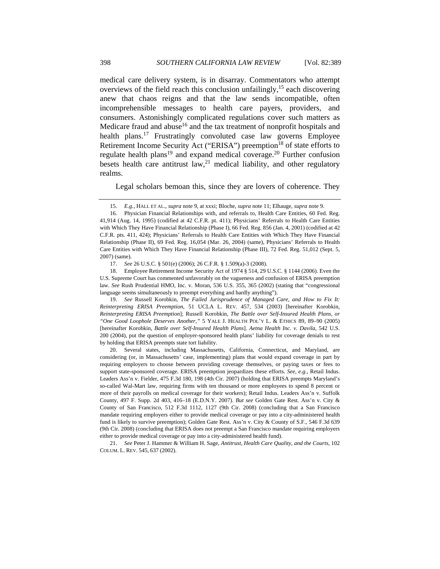medical care delivery system, is in disarray. Commentators who attempt overviews of the field reach this conclusion unfailingly,<sup>15</sup> each discovering anew that chaos reigns and that the law sends incompatible, often incomprehensible messages to health care payers, providers, and consumers. Astonishingly complicated regulations cover such matters as Medicare fraud and abuse<sup>16</sup> and the tax treatment of nonprofit hospitals and health plans.<sup>17</sup> Frustratingly convoluted case law governs Employee Retirement Income Security Act ("ERISA") preemption<sup>18</sup> of state efforts to regulate health plans<sup>19</sup> and expand medical coverage.<sup>20</sup> Further confusion besets health care antitrust  $law<sub>1</sub><sup>21</sup>$  medical liability, and other regulatory realms.

Legal scholars bemoan this, since they are lovers of coherence. They

 19. *See* Russell Korobkin, *The Failed Jurisprudence of Managed Care, and How to Fix It: Reinterpreting ERISA Preemption*, 51 UCLA L. REV. 457, 534 (2003) [hereinafter Korobkin, *Reinterpreting ERISA Preemption*]; Russell Korobkin, *The Battle over Self-Insured Health Plans, or "One Good Loophole Deserves Another*,*"* 5 YALE J. HEALTH POL'Y L. & ETHICS 89, 89–90 (2005) [hereinafter Korobkin, *Battle over Self-Insured Health Plans*]. *Aetna Health Inc. v. Davila*, 542 U.S. 200 (2004), put the question of employer-sponsored health plans' liability for coverage denials to rest by holding that ERISA preempts state tort liability.

 20. Several states, including Massachusetts, California, Connecticut, and Maryland, are considering (or, in Massachusetts' case, implementing) plans that would expand coverage in part by requiring employers to choose between providing coverage themselves, or paying taxes or fees to support state-sponsored coverage. ERISA preemption jeopardizes these efforts. *See, e.g.*, Retail Indus. Leaders Ass'n v. Fielder, 475 F.3d 180, 198 (4th Cir. 2007) (holding that ERISA preempts Maryland's so-called Wal-Mart law, requiring firms with ten thousand or more employees to spend 8 percent or more of their payrolls on medical coverage for their workers); Retail Indus. Leaders Ass'n v. Suffolk County, 497 F. Supp. 2d 403, 416–18 (E.D.N.Y. 2007). *But see* Golden Gate Rest. Ass'n v. City & County of San Francisco, 512 F.3d 1112, 1127 (9th Cir. 2008) (concluding that a San Francisco mandate requiring employers either to provide medical coverage or pay into a city-administered health fund is likely to survive preemption); Golden Gate Rest. Ass'n v. City & County of S.F., 546 F.3d 639 (9th Cir. 2008) (concluding that ERISA does not preempt a San Francisco mandate requiring employers either to provide medical coverage or pay into a city-administered health fund).

 21. *See* Peter J. Hammer & William H. Sage, *Antitrust, Health Care Quality, and the Courts*, 102 COLUM. L. REV. 545, 637 (2002).

<sup>15.</sup> *E.g.*, HALL ET AL., *supra* note 9, at xxxi; Bloche, *supra* note 11; Elhauge, *supra* note 9.

 <sup>16.</sup> Physician Financial Relationships with, and referrals to, Health Care Entities, 60 Fed. Reg. 41,914 (Aug. 14, 1995) (codified at 42 C.F.R. pt. 411); Physicians' Referrals to Health Care Entities with Which They Have Financial Relationship (Phase I), 66 Fed. Reg. 856 (Jan. 4, 2001) (codified at 42 C.F.R. pts. 411, 424); Physicians' Referrals to Health Care Entities with Which They Have Financial Relationship (Phase II), 69 Fed. Reg. 16,054 (Mar. 26, 2004) (same), Physicians' Referrals to Health Care Entities with Which They Have Financial Relationship (Phase III), 72 Fed. Reg. 51,012 (Sept. 5, 2007) (same).

 <sup>17.</sup> *See* 26 U.S.C. § 501(e) (2006); 26 C.F.R. § 1.509(a)-3 (2008).

 <sup>18.</sup> Employee Retirement Income Security Act of 1974 § 514, 29 U.S.C. § 1144 (2006). Even the U.S. Supreme Court has commented unfavorably on the vagueness and confusion of ERISA preemption law. *See* Rush Prudential HMO, Inc. v. Moran, 536 U.S. 355, 365 (2002) (stating that "congressional language seems simultaneously to preempt everything and hardly anything").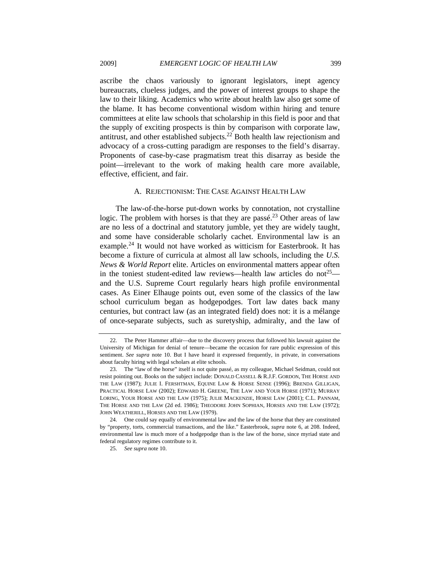ascribe the chaos variously to ignorant legislators, inept agency bureaucrats, clueless judges, and the power of interest groups to shape the law to their liking. Academics who write about health law also get some of the blame. It has become conventional wisdom within hiring and tenure committees at elite law schools that scholarship in this field is poor and that the supply of exciting prospects is thin by comparison with corporate law, antitrust, and other established subjects.22 Both health law rejectionism and advocacy of a cross-cutting paradigm are responses to the field's disarray. Proponents of case-by-case pragmatism treat this disarray as beside the point—irrelevant to the work of making health care more available, effective, efficient, and fair.

#### A. REJECTIONISM: THE CASE AGAINST HEALTH LAW

The law-of-the-horse put-down works by connotation, not crystalline logic. The problem with horses is that they are passé.<sup>23</sup> Other areas of law are no less of a doctrinal and statutory jumble, yet they are widely taught, and some have considerable scholarly cachet. Environmental law is an example.<sup>24</sup> It would not have worked as witticism for Easterbrook. It has become a fixture of curricula at almost all law schools, including the *U.S. News & World Report* elite. Articles on environmental matters appear often in the toniest student-edited law reviews—health law articles do not<sup>25</sup> and the U.S. Supreme Court regularly hears high profile environmental cases. As Einer Elhauge points out, even some of the classics of the law school curriculum began as hodgepodges. Tort law dates back many centuries, but contract law (as an integrated field) does not: it is a mélange of once-separate subjects, such as suretyship, admiralty, and the law of

 <sup>22.</sup> The Peter Hammer affair—due to the discovery process that followed his lawsuit against the University of Michigan for denial of tenure—became the occasion for rare public expression of this sentiment. *See supra* note 10. But I have heard it expressed frequently, in private, in conversations about faculty hiring with legal scholars at elite schools.

 <sup>23.</sup> The "law of the horse" itself is not quite passé, as my colleague, Michael Seidman, could not resist pointing out. Books on the subject include: DONALD CASSELL & R.J.F. GORDON, THE HORSE AND THE LAW (1987); JULIE I. FERSHTMAN, EQUINE LAW & HORSE SENSE (1996); BRENDA GILLIGAN, PRACTICAL HORSE LAW (2002); EDWARD H. GREENE, THE LAW AND YOUR HORSE (1971); MURRAY LORING, YOUR HORSE AND THE LAW (1975); JULIE MACKENZIE, HORSE LAW (2001); C.L. PANNAM, THE HORSE AND THE LAW (2d ed. 1986); THEODORE JOHN SOPHIAN, HORSES AND THE LAW (1972); JOHN WEATHERILL, HORSES AND THE LAW (1979).

 <sup>24.</sup> One could say equally of environmental law and the law of the horse that they are constituted by "property, torts, commercial transactions, and the like." Easterbrook, *supra* note 6, at 208. Indeed, environmental law is much more of a hodgepodge than is the law of the horse, since myriad state and federal regulatory regimes contribute to it.

<sup>25.</sup> *See supra* note 10.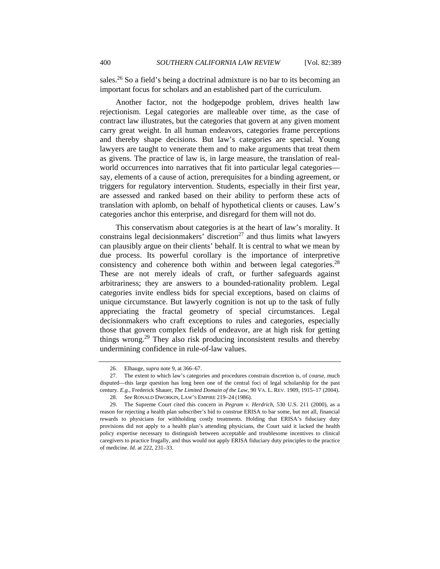sales.<sup>26</sup> So a field's being a doctrinal admixture is no bar to its becoming an important focus for scholars and an established part of the curriculum.

Another factor, not the hodgepodge problem, drives health law rejectionism. Legal categories are malleable over time, as the case of contract law illustrates, but the categories that govern at any given moment carry great weight. In all human endeavors, categories frame perceptions and thereby shape decisions. But law's categories are special. Young lawyers are taught to venerate them and to make arguments that treat them as givens. The practice of law is, in large measure, the translation of realworld occurrences into narratives that fit into particular legal categories say, elements of a cause of action, prerequisites for a binding agreement, or triggers for regulatory intervention. Students, especially in their first year, are assessed and ranked based on their ability to perform these acts of translation with aplomb, on behalf of hypothetical clients or causes. Law's categories anchor this enterprise, and disregard for them will not do.

This conservatism about categories is at the heart of law's morality. It constrains legal decision makers' discretion<sup>27</sup> and thus limits what lawyers can plausibly argue on their clients' behalf. It is central to what we mean by due process. Its powerful corollary is the importance of interpretive consistency and coherence both within and between legal categories.<sup>28</sup> These are not merely ideals of craft, or further safeguards against arbitrariness; they are answers to a bounded-rationality problem. Legal categories invite endless bids for special exceptions, based on claims of unique circumstance. But lawyerly cognition is not up to the task of fully appreciating the fractal geometry of special circumstances. Legal decisionmakers who craft exceptions to rules and categories, especially those that govern complex fields of endeavor, are at high risk for getting things wrong.<sup>29</sup> They also risk producing inconsistent results and thereby undermining confidence in rule-of-law values.

 <sup>26.</sup> Elhauge, *supra* note 9, at 366–67.

 <sup>27.</sup> The extent to which law's categories and procedures constrain discretion is, of course, much disputed—this large question has long been one of the central foci of legal scholarship for the past century. *E.g.*, Frederick Shauer, *The Limited Domain of the Law*, 90 VA. L. REV. 1909, 1915–17 (2004). 28. *See* RONALD DWORKIN, LAW'S EMPIRE 219–24 (1986).

 <sup>29.</sup> The Supreme Court cited this concern in *Pegram v. Herdrich*, 530 U.S. 211 (2000), as a reason for rejecting a health plan subscriber's bid to construe ERISA to bar some, but not all, financial rewards to physicians for withholding costly treatments. Holding that ERISA's fiduciary duty provisions did not apply to a health plan's attending physicians, the Court said it lacked the health policy expertise necessary to distinguish between acceptable and troublesome incentives to clinical caregivers to practice frugally, and thus would not apply ERISA fiduciary duty principles to the practice of medicine. *Id.* at 222, 231–33.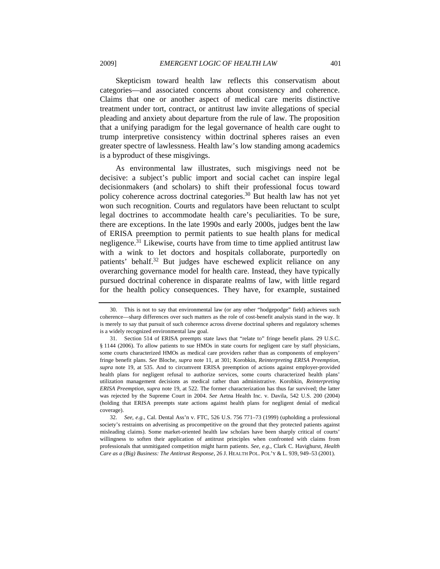Skepticism toward health law reflects this conservatism about categories—and associated concerns about consistency and coherence. Claims that one or another aspect of medical care merits distinctive treatment under tort, contract, or antitrust law invite allegations of special pleading and anxiety about departure from the rule of law. The proposition that a unifying paradigm for the legal governance of health care ought to trump interpretive consistency within doctrinal spheres raises an even greater spectre of lawlessness. Health law's low standing among academics is a byproduct of these misgivings.

As environmental law illustrates, such misgivings need not be decisive: a subject's public import and social cachet can inspire legal decisionmakers (and scholars) to shift their professional focus toward policy coherence across doctrinal categories.<sup>30</sup> But health law has not yet won such recognition. Courts and regulators have been reluctant to sculpt legal doctrines to accommodate health care's peculiarities. To be sure, there are exceptions. In the late 1990s and early 2000s, judges bent the law of ERISA preemption to permit patients to sue health plans for medical negligence.<sup>31</sup> Likewise, courts have from time to time applied antitrust law with a wink to let doctors and hospitals collaborate, purportedly on patients' behalf.<sup>32</sup> But judges have eschewed explicit reliance on any overarching governance model for health care. Instead, they have typically pursued doctrinal coherence in disparate realms of law, with little regard for the health policy consequences. They have, for example, sustained

 <sup>30.</sup> This is not to say that environmental law (or any other "hodgepodge" field) achieves such coherence—sharp differences over such matters as the role of cost-benefit analysis stand in the way. It is merely to say that pursuit of such coherence across diverse doctrinal spheres and regulatory schemes is a widely recognized environmental law goal.

 <sup>31.</sup> Section 514 of ERISA preempts state laws that "relate to" fringe benefit plans. 29 U.S.C. § 1144 (2006). To allow patients to sue HMOs in state courts for negligent care by staff physicians, some courts characterized HMOs as medical care providers rather than as components of employers' fringe benefit plans. *See* Bloche, *supra* note 11, at 301; Korobkin, *Reinterpreting ERISA Preemption*, *supra* note 19, at 535. And to circumvent ERISA preemption of actions against employer-provided health plans for negligent refusal to authorize services, some courts characterized health plans' utilization management decisions as medical rather than administrative. Korobkin, *Reinterpreting ERISA Preemption*, *supra* note 19, at 522. The former characterization has thus far survived; the latter was rejected by the Supreme Court in 2004. *See* Aetna Health Inc. v. Davila, 542 U.S. 200 (2004) (holding that ERISA preempts state actions against health plans for negligent denial of medical coverage).

<sup>32.</sup> *See, e.g.*, Cal. Dental Ass'n v. FTC, 526 U.S. 756 771–73 (1999) (upholding a professional society's restraints on advertising as procompetitive on the ground that they protected patients against misleading claims). Some market-oriented health law scholars have been sharply critical of courts' willingness to soften their application of antitrust principles when confronted with claims from professionals that unmitigated competition might harm patients. *See, e.g.*, Clark C. Havighurst, *Health Care as a (Big) Business: The Antitrust Response*, 26 J. HEALTH POL. POL'Y & L. 939, 949–53 (2001).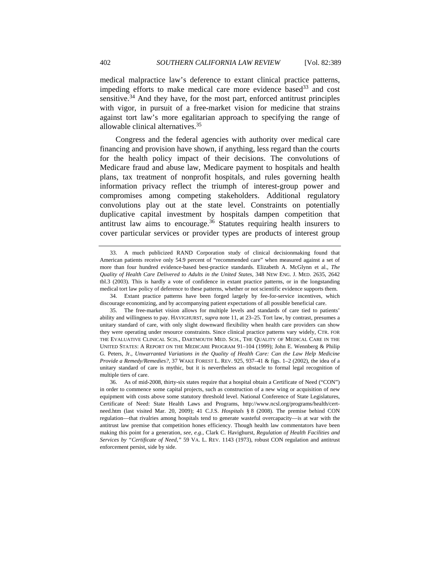medical malpractice law's deference to extant clinical practice patterns, impeding efforts to make medical care more evidence based  $33$  and cost sensitive.<sup>34</sup> And they have, for the most part, enforced antitrust principles with vigor, in pursuit of a free-market vision for medicine that strains against tort law's more egalitarian approach to specifying the range of allowable clinical alternatives.35

Congress and the federal agencies with authority over medical care financing and provision have shown, if anything, less regard than the courts for the health policy impact of their decisions. The convolutions of Medicare fraud and abuse law, Medicare payment to hospitals and health plans, tax treatment of nonprofit hospitals, and rules governing health information privacy reflect the triumph of interest-group power and compromises among competing stakeholders. Additional regulatory convolutions play out at the state level. Constraints on potentially duplicative capital investment by hospitals dampen competition that antitrust law aims to encourage. $36$  Statutes requiring health insurers to cover particular services or provider types are products of interest group

 34. Extant practice patterns have been forged largely by fee-for-service incentives, which discourage economizing, and by accompanying patient expectations of all possible beneficial care.

 <sup>33.</sup> A much publicized RAND Corporation study of clinical decisionmaking found that American patients receive only 54.9 percent of "recommended care" when measured against a set of more than four hundred evidence-based best-practice standards. Elizabeth A. McGlynn et al., *The Quality of Health Care Delivered to Adults in the United States*, 348 NEW ENG. J. MED. 2635, 2642 tbl.3 (2003). This is hardly a vote of confidence in extant practice patterns, or in the longstanding medical tort law policy of deference to these patterns, whether or not scientific evidence supports them.

 <sup>35.</sup> The free-market vision allows for multiple levels and standards of care tied to patients' ability and willingness to pay. HAVIGHURST, *supra* note 11, at 23–25. Tort law, by contrast, presumes a unitary standard of care, with only slight downward flexibility when health care providers can show they were operating under resource constraints. Since clinical practice patterns vary widely, CTR. FOR THE EVALUATIVE CLINICAL SCIS., DARTMOUTH MED. SCH., THE QUALITY OF MEDICAL CARE IN THE UNITED STATES: A REPORT ON THE MEDICARE PROGRAM 91–104 (1999); John E. Wennberg & Philip G. Peters, Jr., *Unwarranted Variations in the Quality of Health Care: Can the Law Help Medicine Provide a Remedy/Remedies?*, 37 WAKE FOREST L. REV. 925, 937–41 & figs. 1–2 (2002), the idea of a unitary standard of care is mythic, but it is nevertheless an obstacle to formal legal recognition of multiple tiers of care.

 <sup>36.</sup> As of mid-2008, thirty-six states require that a hospital obtain a Certificate of Need ("CON") in order to commence some capital projects, such as construction of a new wing or acquisition of new equipment with costs above some statutory threshold level. National Conference of State Legislatures, Certificate of Need: State Health Laws and Programs, http://www.ncsl.org/programs/health/certneed.htm (last visited Mar. 20, 2009); 41 C.J.S. *Hospitals* § 8 (2008). The premise behind CON regulation—that rivalries among hospitals tend to generate wasteful overcapacity—is at war with the antitrust law premise that competition hones efficiency. Though health law commentators have been making this point for a generation, *see, e.g.*, Clark C. Havighurst, *Regulation of Health Facilities and Services by "Certificate of Need*,*"* 59 VA. L. REV. 1143 (1973), robust CON regulation and antitrust enforcement persist, side by side.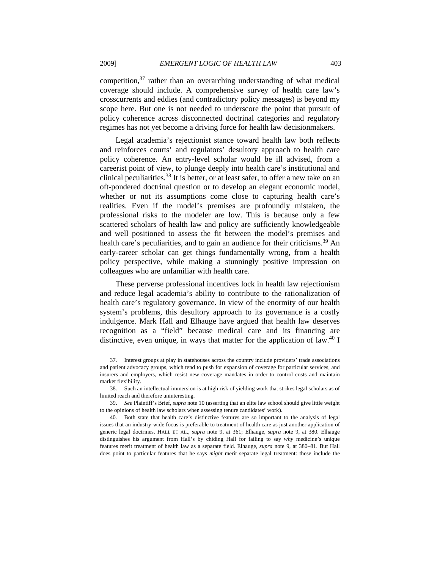competition, $37$  rather than an overarching understanding of what medical coverage should include. A comprehensive survey of health care law's crosscurrents and eddies (and contradictory policy messages) is beyond my scope here. But one is not needed to underscore the point that pursuit of policy coherence across disconnected doctrinal categories and regulatory regimes has not yet become a driving force for health law decisionmakers.

Legal academia's rejectionist stance toward health law both reflects and reinforces courts' and regulators' desultory approach to health care policy coherence. An entry-level scholar would be ill advised, from a careerist point of view, to plunge deeply into health care's institutional and clinical peculiarities.<sup>38</sup> It is better, or at least safer, to offer a new take on an oft-pondered doctrinal question or to develop an elegant economic model, whether or not its assumptions come close to capturing health care's realities. Even if the model's premises are profoundly mistaken, the professional risks to the modeler are low. This is because only a few scattered scholars of health law and policy are sufficiently knowledgeable and well positioned to assess the fit between the model's premises and health care's peculiarities, and to gain an audience for their criticisms.<sup>39</sup> An early-career scholar can get things fundamentally wrong, from a health policy perspective, while making a stunningly positive impression on colleagues who are unfamiliar with health care.

These perverse professional incentives lock in health law rejectionism and reduce legal academia's ability to contribute to the rationalization of health care's regulatory governance. In view of the enormity of our health system's problems, this desultory approach to its governance is a costly indulgence. Mark Hall and Elhauge have argued that health law deserves recognition as a "field" because medical care and its financing are distinctive, even unique, in ways that matter for the application of law.<sup>40</sup> I

 <sup>37.</sup> Interest groups at play in statehouses across the country include providers' trade associations and patient advocacy groups, which tend to push for expansion of coverage for particular services, and insurers and employers, which resist new coverage mandates in order to control costs and maintain market flexibility.

 <sup>38.</sup> Such an intellectual immersion is at high risk of yielding work that strikes legal scholars as of limited reach and therefore uninteresting.

<sup>39.</sup> *See* Plaintiff's Brief, *supra* note 10 (asserting that an elite law school should give little weight to the opinions of health law scholars when assessing tenure candidates' work).

 <sup>40.</sup> Both state that health care's distinctive features are so important to the analysis of legal issues that an industry-wide focus is preferable to treatment of health care as just another application of generic legal doctrines. HALL ET AL., *supra* note 9, at 361; Elhauge, *supra* note 9, at 380. Elhauge distinguishes his argument from Hall's by chiding Hall for failing to say *why* medicine's unique features merit treatment of health law as a separate field. Elhauge, *supra* note 9, at 380–81. But Hall does point to particular features that he says *might* merit separate legal treatment: these include the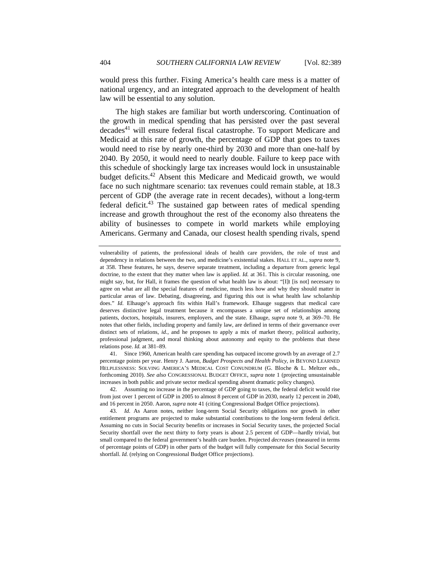would press this further. Fixing America's health care mess is a matter of national urgency, and an integrated approach to the development of health law will be essential to any solution.

The high stakes are familiar but worth underscoring. Continuation of the growth in medical spending that has persisted over the past several decades<sup>41</sup> will ensure federal fiscal catastrophe. To support Medicare and Medicaid at this rate of growth, the percentage of GDP that goes to taxes would need to rise by nearly one-third by 2030 and more than one-half by 2040. By 2050, it would need to nearly double. Failure to keep pace with this schedule of shockingly large tax increases would lock in unsustainable budget deficits.<sup>42</sup> Absent this Medicare and Medicaid growth, we would face no such nightmare scenario: tax revenues could remain stable, at 18.3 percent of GDP (the average rate in recent decades), without a long-term federal deficit.<sup>43</sup> The sustained gap between rates of medical spending increase and growth throughout the rest of the economy also threatens the ability of businesses to compete in world markets while employing Americans. Germany and Canada, our closest health spending rivals, spend

 41. Since 1960, American health care spending has outpaced income growth by an average of 2.7 percentage points per year. Henry J. Aaron, *Budget Prospects and Health Policy*, *in* BEYOND LEARNED HELPLESSNESS: SOLVING AMERICA'S MEDICAL COST CONUNDRUM (G. Bloche & L. Meltzer eds., forthcoming 2010). *See also* CONGRESSIONAL BUDGET OFFICE, *supra* note 1 (projecting unsustainable increases in both public and private sector medical spending absent dramatic policy changes).

 42. Assuming no increase in the percentage of GDP going to taxes, the federal deficit would rise from just over 1 percent of GDP in 2005 to almost 8 percent of GDP in 2030, nearly 12 percent in 2040, and 16 percent in 2050. Aaron, *supra* note 41 (citing Congressional Budget Office projections).

43. *Id.* As Aaron notes, neither long-term Social Security obligations nor growth in other entitlement programs are projected to make substantial contributions to the long-term federal deficit. Assuming no cuts in Social Security benefits or increases in Social Security taxes, the projected Social Security shortfall over the next thirty to forty years is about 2.5 percent of GDP—hardly trivial, but small compared to the federal government's health care burden. Projected *decreases* (measured in terms of percentage points of GDP) in other parts of the budget will fully compensate for this Social Security shortfall. *Id.* (relying on Congressional Budget Office projections).

vulnerability of patients, the professional ideals of health care providers, the role of trust and dependency in relations between the two, and medicine's existential stakes. HALL ET AL., *supra* note 9, at 358. These features, he says, deserve separate treatment, including a departure from generic legal doctrine, to the extent that they matter when law is applied. *Id.* at 361. This is circular reasoning, one might say, but, for Hall, it frames the question of what health law is about: "[I]t [is not] necessary to agree on what are all the special features of medicine, much less how and why they should matter in particular areas of law. Debating, disagreeing, and figuring this out is what health law scholarship does." *Id.* Elhauge's approach fits within Hall's framework. Elhauge suggests that medical care deserves distinctive legal treatment because it encompasses a unique set of relationships among patients, doctors, hospitals, insurers, employers, and the state. Elhauge, *supra* note 9, at 369–70. He notes that other fields, including property and family law, are defined in terms of their governance over distinct sets of relations, *id.*, and he proposes to apply a mix of market theory, political authority, professional judgment, and moral thinking about autonomy and equity to the problems that these relations pose. *Id.* at 381–89.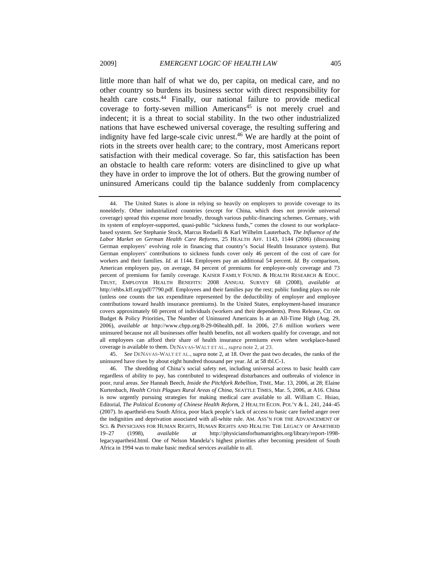little more than half of what we do, per capita, on medical care, and no other country so burdens its business sector with direct responsibility for health care costs.<sup>44</sup> Finally, our national failure to provide medical coverage to forty-seven million Americans<sup>45</sup> is not merely cruel and indecent; it is a threat to social stability. In the two other industrialized nations that have eschewed universal coverage, the resulting suffering and indignity have fed large-scale civic unrest.<sup>46</sup> We are hardly at the point of riots in the streets over health care; to the contrary, most Americans report satisfaction with their medical coverage. So far, this satisfaction has been an obstacle to health care reform: voters are disinclined to give up what they have in order to improve the lot of others. But the growing number of uninsured Americans could tip the balance suddenly from complacency

45. *See* DENAVAS-WALT ET AL., *supra* note 2, at 18. Over the past two decades, the ranks of the uninsured have risen by about eight hundred thousand per year. *Id.* at 58 tbl.C-1.

 <sup>44.</sup> The United States is alone in relying so heavily on employers to provide coverage to its nonelderly. Other industrialized countries (except for China, which does not provide universal coverage) spread this expense more broadly, through various public-financing schemes. Germany, with its system of employer-supported, quasi-public "sickness funds," comes the closest to our workplacebased system. *See* Stephanie Stock, Marcus Redaelli & Karl Wilhelm Lauterbach, *The Influence of the Labor Market on German Health Care Reforms*, 25 HEALTH AFF. 1143, 1144 (2006) (discussing German employers' evolving role in financing that country's Social Health Insurance system). But German employers' contributions to sickness funds cover only 46 percent of the cost of care for workers and their families. *Id.* at 1144. Employees pay an additional 54 percent. *Id.* By comparison, American employers pay, on average, 84 percent of premiums for employee-only coverage and 73 percent of premiums for family coverage. KAISER FAMILY FOUND. & HEALTH RESEARCH & EDUC. TRUST, EMPLOYER HEALTH BENEFITS: 2008 ANNUAL SURVEY 68 (2008), *available at*  http://ehbs.kff.org/pdf/7790.pdf. Employees and their families pay the rest; public funding plays no role (unless one counts the tax expenditure represented by the deductibility of employer and employee contributions toward health insurance premiums). In the United States, employment-based insurance covers approximately 60 percent of individuals (workers and their dependents). Press Release, Ctr. on Budget & Policy Priorities, The Number of Uninsured Americans Is at an All-Time High (Aug. 29, 2006), *available at* http://www.cbpp.org/8-29-06health.pdf. In 2006, 27.6 million workers were uninsured because not all businesses offer health benefits, not all workers qualify for coverage, and not all employees can afford their share of health insurance premiums even when workplace-based coverage is available to them. DENAVAS-WALT ET AL., *supra* note 2, at 23.

 <sup>46.</sup> The shredding of China's social safety net, including universal access to basic health care regardless of ability to pay, has contributed to widespread disturbances and outbreaks of violence in poor, rural areas. *See* Hannah Beech, *Inside the Pitchfork Rebellion*, TIME, Mar. 13, 2006, at 28; Elaine Kurtenbach, *Health Crisis Plagues Rural Areas of China*, SEATTLE TIMES, Mar. 5, 2006, at A16. China is now urgently pursuing strategies for making medical care available to all. William C. Hsiao, Editorial, *The Political Economy of Chinese Health Reform*, 2 HEALTH ECON. POL'Y & L. 241, 244–45 (2007). In apartheid-era South Africa, poor black people's lack of access to basic care fueled anger over the indignities and deprivation associated with all-white rule. AM. ASS'N FOR THE ADVANCEMENT OF SCI. & PHYSICIANS FOR HUMAN RIGHTS, HUMAN RIGHTS AND HEALTH: THE LEGACY OF APARTHEID 19–27 (1998), *available at* http://physiciansforhumanrights.org/library/report-1998 legacyapartheid.html. One of Nelson Mandela's highest priorities after becoming president of South Africa in 1994 was to make basic medical services available to all.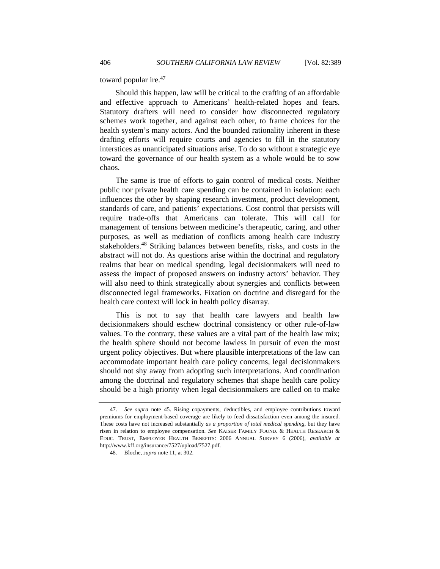toward popular ire.<sup>47</sup>

Should this happen, law will be critical to the crafting of an affordable and effective approach to Americans' health-related hopes and fears. Statutory drafters will need to consider how disconnected regulatory schemes work together, and against each other, to frame choices for the health system's many actors. And the bounded rationality inherent in these drafting efforts will require courts and agencies to fill in the statutory interstices as unanticipated situations arise. To do so without a strategic eye toward the governance of our health system as a whole would be to sow chaos.

The same is true of efforts to gain control of medical costs. Neither public nor private health care spending can be contained in isolation: each influences the other by shaping research investment, product development, standards of care, and patients' expectations. Cost control that persists will require trade-offs that Americans can tolerate. This will call for management of tensions between medicine's therapeutic, caring, and other purposes, as well as mediation of conflicts among health care industry stakeholders.48 Striking balances between benefits, risks, and costs in the abstract will not do. As questions arise within the doctrinal and regulatory realms that bear on medical spending, legal decisionmakers will need to assess the impact of proposed answers on industry actors' behavior. They will also need to think strategically about synergies and conflicts between disconnected legal frameworks. Fixation on doctrine and disregard for the health care context will lock in health policy disarray.

This is not to say that health care lawyers and health law decisionmakers should eschew doctrinal consistency or other rule-of-law values. To the contrary, these values are a vital part of the health law mix; the health sphere should not become lawless in pursuit of even the most urgent policy objectives. But where plausible interpretations of the law can accommodate important health care policy concerns, legal decisionmakers should not shy away from adopting such interpretations. And coordination among the doctrinal and regulatory schemes that shape health care policy should be a high priority when legal decisionmakers are called on to make

<sup>47.</sup> *See supra* note 45. Rising copayments, deductibles, and employee contributions toward premiums for employment-based coverage are likely to feed dissatisfaction even among the insured. These costs have not increased substantially *as a proportion of total medical spending*, but they have risen in relation to employee compensation. *See* KAISER FAMILY FOUND. & HEALTH RESEARCH & EDUC. TRUST, EMPLOYER HEALTH BENEFITS: 2006 ANNUAL SURVEY 6 (2006), *available at* http://www.kff.org/insurance/7527/upload/7527.pdf.

 <sup>48.</sup> Bloche, *supra* note 11, at 302.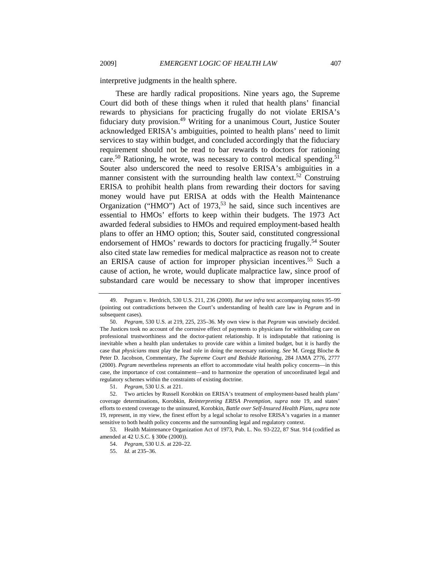interpretive judgments in the health sphere.

These are hardly radical propositions. Nine years ago, the Supreme Court did both of these things when it ruled that health plans' financial rewards to physicians for practicing frugally do not violate ERISA's fiduciary duty provision.49 Writing for a unanimous Court, Justice Souter acknowledged ERISA's ambiguities, pointed to health plans' need to limit services to stay within budget, and concluded accordingly that the fiduciary requirement should not be read to bar rewards to doctors for rationing care.<sup>50</sup> Rationing, he wrote, was necessary to control medical spending.<sup>51</sup> Souter also underscored the need to resolve ERISA's ambiguities in a manner consistent with the surrounding health law context.<sup>52</sup> Construing ERISA to prohibit health plans from rewarding their doctors for saving money would have put ERISA at odds with the Health Maintenance Organization ("HMO") Act of 1973,<sup>53</sup> he said, since such incentives are essential to HMOs' efforts to keep within their budgets. The 1973 Act awarded federal subsidies to HMOs and required employment-based health plans to offer an HMO option; this, Souter said, constituted congressional endorsement of HMOs' rewards to doctors for practicing frugally.<sup>54</sup> Souter also cited state law remedies for medical malpractice as reason not to create an ERISA cause of action for improper physician incentives.<sup>55</sup> Such a cause of action, he wrote, would duplicate malpractice law, since proof of substandard care would be necessary to show that improper incentives

 <sup>49.</sup> Pegram v. Herdrich, 530 U.S. 211, 236 (2000). *But see infra* text accompanying notes 95–99 (pointing out contradictions between the Court's understanding of health care law in *Pegram* and in subsequent cases).

<sup>50.</sup> *Pegram*, 530 U.S. at 219, 225, 235–36. My own view is that *Pegram* was unwisely decided. The Justices took no account of the corrosive effect of payments to physicians for withholding care on professional trustworthiness and the doctor-patient relationship. It is indisputable that rationing is inevitable when a health plan undertakes to provide care within a limited budget, but it is hardly the case that *physicians* must play the lead role in doing the necessary rationing. *See* M. Gregg Bloche & Peter D. Jacobson, Commentary, *The Supreme Court and Bedside Rationing*, 284 JAMA 2776, 2777 (2000). *Pegram* nevertheless represents an effort to accommodate vital health policy concerns—in this case, the importance of cost containment—and to harmonize the operation of uncoordinated legal and regulatory schemes within the constraints of existing doctrine.

 <sup>51.</sup> *Pegram*, 530 U.S. at 221.

 <sup>52.</sup> Two articles by Russell Korobkin on ERISA's treatment of employment-based health plans' coverage determinations, Korobkin, *Reinterpreting ERISA Preemption*, *supra* note 19, and states' efforts to extend coverage to the uninsured, Korobkin, *Battle over Self-Insured Health Plans*, *supra* note 19, represent, in my view, the finest effort by a legal scholar to resolve ERISA's vagaries in a manner sensitive to both health policy concerns and the surrounding legal and regulatory context.

 <sup>53.</sup> Health Maintenance Organization Act of 1973, Pub. L. No. 93-222, 87 Stat. 914 (codified as amended at 42 U.S.C. § 300e (2000)).

 <sup>54.</sup> *Pegram*, 530 U.S. at 220–22.

 <sup>55.</sup> *Id.* at 235–36.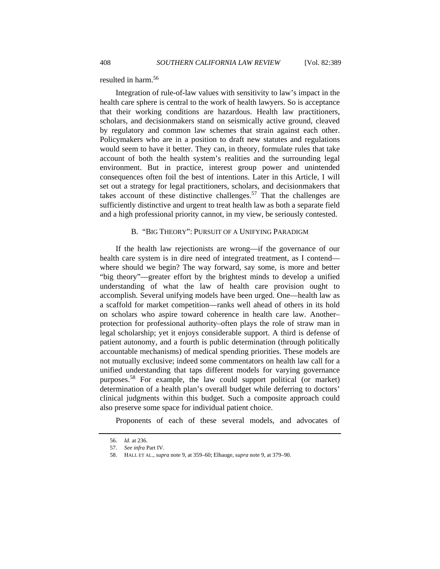resulted in harm.56

Integration of rule-of-law values with sensitivity to law's impact in the health care sphere is central to the work of health lawyers. So is acceptance that their working conditions are hazardous. Health law practitioners, scholars, and decisionmakers stand on seismically active ground, cleaved by regulatory and common law schemes that strain against each other. Policymakers who are in a position to draft new statutes and regulations would seem to have it better. They can, in theory, formulate rules that take account of both the health system's realities and the surrounding legal environment. But in practice, interest group power and unintended consequences often foil the best of intentions. Later in this Article, I will set out a strategy for legal practitioners, scholars, and decisionmakers that takes account of these distinctive challenges.<sup>57</sup> That the challenges are sufficiently distinctive and urgent to treat health law as both a separate field and a high professional priority cannot, in my view, be seriously contested.

#### B. "BIG THEORY": PURSUIT OF A UNIFYING PARADIGM

If the health law rejectionists are wrong—if the governance of our health care system is in dire need of integrated treatment, as I contend where should we begin? The way forward, say some, is more and better "big theory"—greater effort by the brightest minds to develop a unified understanding of what the law of health care provision ought to accomplish. Several unifying models have been urged. One—health law as a scaffold for market competition—ranks well ahead of others in its hold on scholars who aspire toward coherence in health care law. Another– protection for professional authority–often plays the role of straw man in legal scholarship; yet it enjoys considerable support. A third is defense of patient autonomy, and a fourth is public determination (through politically accountable mechanisms) of medical spending priorities. These models are not mutually exclusive; indeed some commentators on health law call for a unified understanding that taps different models for varying governance purposes.58 For example, the law could support political (or market) determination of a health plan's overall budget while deferring to doctors' clinical judgments within this budget. Such a composite approach could also preserve some space for individual patient choice.

Proponents of each of these several models, and advocates of

 <sup>56.</sup> *Id.* at 236.

<sup>57.</sup> *See infra* Part IV.

 <sup>58.</sup> HALL ET AL., *supra* note 9, at 359–60; Elhauge, *supra* note 9, at 379–90.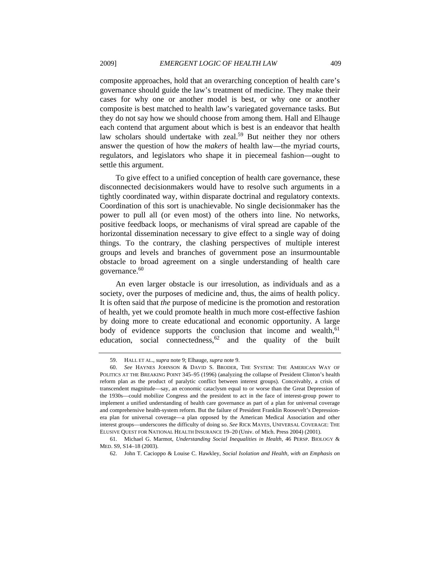composite approaches, hold that an overarching conception of health care's governance should guide the law's treatment of medicine. They make their cases for why one or another model is best, or why one or another composite is best matched to health law's variegated governance tasks. But they do not say how we should choose from among them. Hall and Elhauge each contend that argument about which is best is an endeavor that health law scholars should undertake with zeal.<sup>59</sup> But neither they nor others answer the question of how the *makers* of health law—the myriad courts, regulators, and legislators who shape it in piecemeal fashion—ought to settle this argument.

To give effect to a unified conception of health care governance, these disconnected decisionmakers would have to resolve such arguments in a tightly coordinated way, within disparate doctrinal and regulatory contexts. Coordination of this sort is unachievable. No single decisionmaker has the power to pull all (or even most) of the others into line. No networks, positive feedback loops, or mechanisms of viral spread are capable of the horizontal dissemination necessary to give effect to a single way of doing things. To the contrary, the clashing perspectives of multiple interest groups and levels and branches of government pose an insurmountable obstacle to broad agreement on a single understanding of health care governance.<sup>60</sup>

An even larger obstacle is our irresolution, as individuals and as a society, over the purposes of medicine and, thus, the aims of health policy. It is often said that *the* purpose of medicine is the promotion and restoration of health, yet we could promote health in much more cost-effective fashion by doing more to create educational and economic opportunity. A large body of evidence supports the conclusion that income and wealth,<sup>61</sup> education, social connectedness,  $62$  and the quality of the built

<sup>59.</sup> HALL ET AL., *supra* note 9; Elhauge, *supra* note 9.

<sup>60.</sup> *See* HAYNES JOHNSON & DAVID S. BRODER, THE SYSTEM: THE AMERICAN WAY OF POLITICS AT THE BREAKING POINT 345–95 (1996) (analyzing the collapse of President Clinton's health reform plan as the product of paralytic conflict between interest groups). Conceivably, a crisis of transcendent magnitude—say, an economic cataclysm equal to or worse than the Great Depression of the 1930s—could mobilize Congress and the president to act in the face of interest-group power to implement a unified understanding of health care governance as part of a plan for universal coverage and comprehensive health-system reform. But the failure of President Franklin Roosevelt's Depressionera plan for universal coverage—a plan opposed by the American Medical Association and other interest groups—underscores the difficulty of doing so. *See* RICK MAYES, UNIVERSAL COVERAGE: THE ELUSIVE QUEST FOR NATIONAL HEALTH INSURANCE 19–20 (Univ. of Mich. Press 2004) (2001).

 <sup>61.</sup> Michael G. Marmot, *Understanding Social Inequalities in Health*, 46 PERSP. BIOLOGY & MED. S9, S14–18 (2003).

 <sup>62.</sup> John T. Cacioppo & Louise C. Hawkley, *Social Isolation and Health, with an Emphasis on*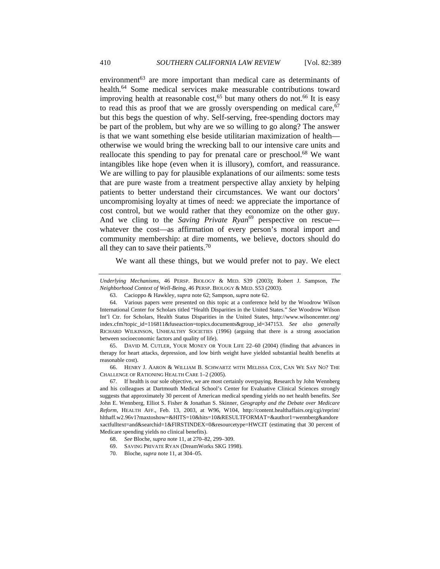environment<sup>63</sup> are more important than medical care as determinants of health.<sup>64</sup> Some medical services make measurable contributions toward improving health at reasonable cost,<sup>65</sup> but many others do not.<sup>66</sup> It is easy to read this as proof that we are grossly overspending on medical care,  $67$ but this begs the question of why. Self-serving, free-spending doctors may be part of the problem, but why are we so willing to go along? The answer is that we want something else beside utilitarian maximization of health otherwise we would bring the wrecking ball to our intensive care units and reallocate this spending to pay for prenatal care or preschool.<sup>68</sup> We want intangibles like hope (even when it is illusory), comfort, and reassurance. We are willing to pay for plausible explanations of our ailments: some tests that are pure waste from a treatment perspective allay anxiety by helping patients to better understand their circumstances. We want our doctors' uncompromising loyalty at times of need: we appreciate the importance of cost control, but we would rather that they economize on the other guy. And we cling to the *Saving Private Ryan*<sup>69</sup> perspective on rescuewhatever the cost—as affirmation of every person's moral import and community membership: at dire moments, we believe, doctors should do all they can to save their patients.<sup>70</sup>

We want all these things, but we would prefer not to pay. We elect

 66. HENRY J. AARON & WILLIAM B. SCHWARTZ WITH MELISSA COX, CAN WE SAY NO? THE CHALLENGE OF RATIONING HEALTH CARE 1–2 (2005).

 67. If health is our sole objective, we are most certainly overpaying. Research by John Wennberg and his colleagues at Dartmouth Medical School's Center for Evaluative Clinical Sciences strongly suggests that approximately 30 percent of American medical spending yields no net health benefits. *See*  John E. Wennberg, Elliot S. Fisher & Jonathan S. Skinner, *Geography and the Debate over Medicare Reform*, HEALTH AFF., Feb. 13, 2003, at W96, W104, http://content.healthaffairs.org/cgi/reprint/ hlthaff.w2.96v1?maxtoshow=&HITS=10&hits=10&RESULTFORMAT=&author1=wennberg&andore xactfulltext=and&searchid=1&FIRSTINDEX=0&resourcetype=HWCIT (estimating that 30 percent of Medicare spending yields no clinical benefits).

69. SAVING PRIVATE RYAN (DreamWorks SKG 1998).

*Underlying Mechanisms*, 46 PERSP. BIOLOGY & MED. S39 (2003); Robert J. Sampson, *The Neighborhood Context of Well-Being*, 46 PERSP. BIOLOGY & MED. S53 (2003).

<sup>63.</sup> Cacioppo & Hawkley, *supra* note 62; Sampson, *supra* note 62.

 <sup>64.</sup> Various papers were presented on this topic at a conference held by the Woodrow Wilson International Center for Scholars titled "Health Disparities in the United States." *See* Woodrow Wilson Int'l Ctr. for Scholars, Health Status Disparities in the United States, http://www.wilsoncenter.org/ index.cfm?topic\_id=116811&fuseaction=topics.documents&group\_id=347153. *See also generally* RICHARD WILKINSON, UNHEALTHY SOCIETIES (1996) (arguing that there is a strong association between socioeconomic factors and quality of life).

 <sup>65.</sup> DAVID M. CUTLER, YOUR MONEY OR YOUR LIFE 22–60 (2004) (finding that advances in therapy for heart attacks, depression, and low birth weight have yielded substantial health benefits at reasonable cost).

 <sup>68.</sup> *See* Bloche, *supra* note 11, at 270–82, 299–309.

<sup>70.</sup> Bloche, *supra* note 11, at 304–05.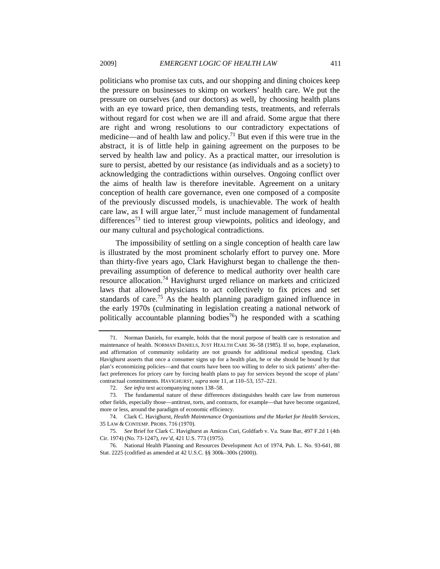politicians who promise tax cuts, and our shopping and dining choices keep the pressure on businesses to skimp on workers' health care. We put the pressure on ourselves (and our doctors) as well, by choosing health plans with an eye toward price, then demanding tests, treatments, and referrals without regard for cost when we are ill and afraid. Some argue that there are right and wrong resolutions to our contradictory expectations of medicine—and of health law and policy.<sup>71</sup> But even if this were true in the abstract, it is of little help in gaining agreement on the purposes to be served by health law and policy. As a practical matter, our irresolution is sure to persist, abetted by our resistance (as individuals and as a society) to acknowledging the contradictions within ourselves. Ongoing conflict over the aims of health law is therefore inevitable. Agreement on a unitary conception of health care governance, even one composed of a composite of the previously discussed models, is unachievable. The work of health care law, as I will argue later, $72$  must include management of fundamental differences<sup>73</sup> tied to interest group viewpoints, politics and ideology, and our many cultural and psychological contradictions.

The impossibility of settling on a single conception of health care law is illustrated by the most prominent scholarly effort to purvey one. More than thirty-five years ago, Clark Havighurst began to challenge the thenprevailing assumption of deference to medical authority over health care resource allocation.74 Havighurst urged reliance on markets and criticized laws that allowed physicians to act collectively to fix prices and set standards of care.<sup>75</sup> As the health planning paradigm gained influence in the early 1970s (culminating in legislation creating a national network of politically accountable planning bodies<sup>76</sup>) he responded with a scathing

 <sup>71.</sup> Norman Daniels, for example, holds that the moral purpose of health care is restoration and maintenance of health. NORMAN DANIELS, JUST HEALTH CARE 36–58 (1985). If so, hope, explanation, and affirmation of community solidarity are not grounds for additional medical spending. Clark Havighurst asserts that once a consumer signs up for a health plan, he or she should be bound by that plan's economizing policies—and that courts have been too willing to defer to sick patients' after-thefact preferences for pricey care by forcing health plans to pay for services beyond the scope of plans' contractual commitments. HAVIGHURST, *supra* note 11, at 110–53, 157–221.

<sup>72.</sup> *See infra* text accompanying notes 138–58.

 <sup>73.</sup> The fundamental nature of these differences distinguishes health care law from numerous other fields, especially those—antitrust, torts, and contracts, for example—that have become organized, more or less, around the paradigm of economic efficiency.

 <sup>74.</sup> Clark C. Havighurst, *Health Maintenance Organizations and the Market for Health Services*, 35 LAW & CONTEMP. PROBS. 716 (1970).

<sup>75.</sup> *See* Brief for Clark C. Havighurst as Amicus Curi, Goldfarb v. Va. State Bar, 497 F.2d 1 (4th Cir. 1974) (No. 73-1247), *rev'd*, 421 U.S. 773 (1975).

 <sup>76.</sup> National Health Planning and Resources Development Act of 1974, Pub. L. No. 93-641, 88 Stat. 2225 (codified as amended at 42 U.S.C. §§ 300k–300s (2000)).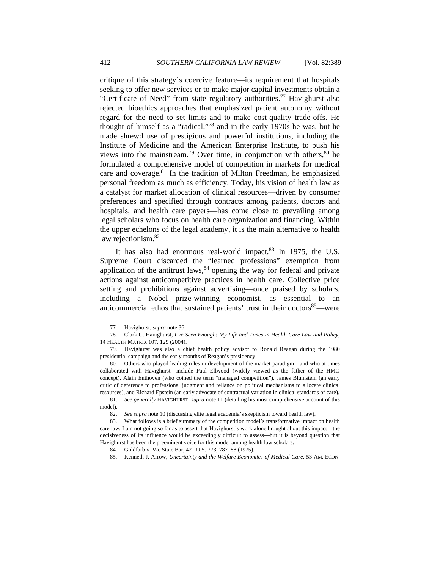critique of this strategy's coercive feature—its requirement that hospitals seeking to offer new services or to make major capital investments obtain a "Certificate of Need" from state regulatory authorities.<sup>77</sup> Havighurst also rejected bioethics approaches that emphasized patient autonomy without regard for the need to set limits and to make cost-quality trade-offs. He thought of himself as a "radical,"78 and in the early 1970s he was, but he made shrewd use of prestigious and powerful institutions, including the Institute of Medicine and the American Enterprise Institute, to push his views into the mainstream.<sup>79</sup> Over time, in conjunction with others, $80$  he formulated a comprehensive model of competition in markets for medical care and coverage.<sup>81</sup> In the tradition of Milton Freedman, he emphasized personal freedom as much as efficiency. Today, his vision of health law as a catalyst for market allocation of clinical resources—driven by consumer preferences and specified through contracts among patients, doctors and hospitals, and health care payers—has come close to prevailing among legal scholars who focus on health care organization and financing. Within the upper echelons of the legal academy, it is the main alternative to health law rejectionism.<sup>82</sup>

It has also had enormous real-world impact. $83$  In 1975, the U.S. Supreme Court discarded the "learned professions" exemption from application of the antitrust laws,  $84$  opening the way for federal and private actions against anticompetitive practices in health care. Collective price setting and prohibitions against advertising—once praised by scholars, including a Nobel prize-winning economist, as essential to an anticommercial ethos that sustained patients' trust in their doctors<sup>85</sup>—were

 <sup>77.</sup> Havighurst, *supra* note 36.

 <sup>78.</sup> Clark C. Havighurst, *I've Seen Enough! My Life and Times in Health Care Law and Policy*, 14 HEALTH MATRIX 107, 129 (2004).

 <sup>79.</sup> Havighurst was also a chief health policy advisor to Ronald Reagan during the 1980 presidential campaign and the early months of Reagan's presidency.

 <sup>80.</sup> Others who played leading roles in development of the market paradigm—and who at times collaborated with Havighurst—include Paul Ellwood (widely viewed as the father of the HMO concept), Alain Enthoven (who coined the term "managed competition"), James Blumstein (an early critic of deference to professional judgment and reliance on political mechanisms to allocate clinical resources), and Richard Epstein (an early advocate of contractual variation in clinical standards of care).

 <sup>81.</sup> *See generally* HAVIGHURST, *supra* note 11 (detailing his most comprehensive account of this model).

<sup>82.</sup> *See supra* note 10 (discussing elite legal academia's skepticism toward health law).

 <sup>83.</sup> What follows is a brief summary of the competition model's transformative impact on health care law. I am not going so far as to assert that Havighurst's work alone brought about this impact—the decisiveness of its influence would be exceedingly difficult to assess—but it is beyond question that Havighurst has been the preeminent voice for this model among health law scholars.

 <sup>84.</sup> Goldfarb v. Va. State Bar, 421 U.S. 773, 787–88 (1975).

 <sup>85.</sup> Kenneth J. Arrow, *Uncertainty and the Welfare Economics of Medical Care*, 53 AM. ECON.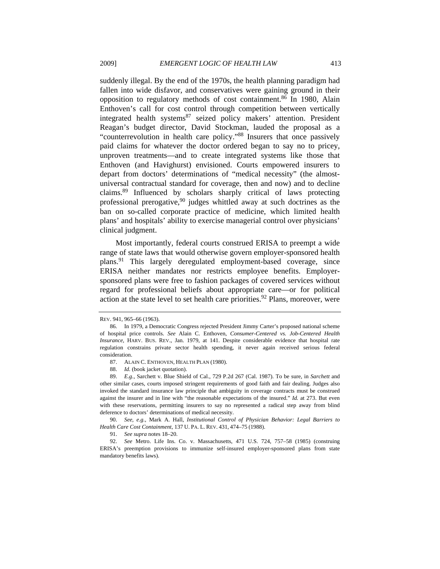suddenly illegal. By the end of the 1970s, the health planning paradigm had fallen into wide disfavor, and conservatives were gaining ground in their opposition to regulatory methods of cost containment.86 In 1980, Alain Enthoven's call for cost control through competition between vertically integrated health systems<sup>87</sup> seized policy makers' attention. President Reagan's budget director, David Stockman, lauded the proposal as a "counterrevolution in health care policy."88 Insurers that once passively paid claims for whatever the doctor ordered began to say no to pricey, unproven treatments—and to create integrated systems like those that Enthoven (and Havighurst) envisioned. Courts empowered insurers to depart from doctors' determinations of "medical necessity" (the almostuniversal contractual standard for coverage, then and now) and to decline claims.89 Influenced by scholars sharply critical of laws protecting professional prerogative,  $90$  judges whittled away at such doctrines as the ban on so-called corporate practice of medicine, which limited health plans' and hospitals' ability to exercise managerial control over physicians' clinical judgment.

Most importantly, federal courts construed ERISA to preempt a wide range of state laws that would otherwise govern employer-sponsored health plans.91 This largely deregulated employment-based coverage, since ERISA neither mandates nor restricts employee benefits. Employersponsored plans were free to fashion packages of covered services without regard for professional beliefs about appropriate care—or for political action at the state level to set health care priorities.<sup>92</sup> Plans, moreover, were

REV. 941, 965–66 (1963).

 <sup>86.</sup> In 1979, a Democratic Congress rejected President Jimmy Carter's proposed national scheme of hospital price controls. *See* Alain C. Enthoven, *Consumer-Centered vs. Job-Centered Health Insurance*, HARV. BUS. REV., Jan. 1979, at 141. Despite considerable evidence that hospital rate regulation constrains private sector health spending, it never again received serious federal consideration.

 <sup>87.</sup> ALAIN C. ENTHOVEN, HEALTH PLAN (1980).

<sup>88.</sup> *Id.* (book jacket quotation).

<sup>89.</sup> *E.g.*, Sarchett v. Blue Shield of Cal., 729 P.2d 267 (Cal. 1987). To be sure, in *Sarchett* and other similar cases, courts imposed stringent requirements of good faith and fair dealing. Judges also invoked the standard insurance law principle that ambiguity in coverage contracts must be construed against the insurer and in line with "the reasonable expectations of the insured." *Id.* at 273. But even with these reservations, permitting insurers to say no represented a radical step away from blind deference to doctors' determinations of medical necessity.

 <sup>90.</sup> *See, e.g.*, Mark A. Hall, *Institutional Control of Physician Behavior: Legal Barriers to Health Care Cost Containment*, 137 U. PA. L. REV. 431, 474–75 (1988).

<sup>91.</sup> *See supra* notes 18–20.

<sup>92.</sup> *See* Metro. Life Ins. Co. v. Massachusetts, 471 U.S. 724, 757–58 (1985) (construing ERISA's preemption provisions to immunize self-insured employer-sponsored plans from state mandatory benefits laws).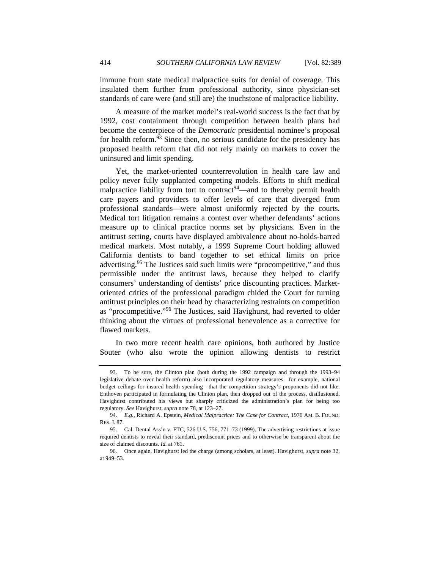immune from state medical malpractice suits for denial of coverage. This insulated them further from professional authority, since physician-set standards of care were (and still are) the touchstone of malpractice liability.

A measure of the market model's real-world success is the fact that by 1992, cost containment through competition between health plans had become the centerpiece of the *Democratic* presidential nominee's proposal for health reform.<sup>93</sup> Since then, no serious candidate for the presidency has proposed health reform that did not rely mainly on markets to cover the uninsured and limit spending.

Yet, the market-oriented counterrevolution in health care law and policy never fully supplanted competing models. Efforts to shift medical malpractice liability from tort to contract<sup>94</sup>—and to thereby permit health care payers and providers to offer levels of care that diverged from professional standards—were almost uniformly rejected by the courts. Medical tort litigation remains a contest over whether defendants' actions measure up to clinical practice norms set by physicians. Even in the antitrust setting, courts have displayed ambivalence about no-holds-barred medical markets. Most notably, a 1999 Supreme Court holding allowed California dentists to band together to set ethical limits on price advertising.<sup>95</sup> The Justices said such limits were "procompetitive," and thus permissible under the antitrust laws, because they helped to clarify consumers' understanding of dentists' price discounting practices. Marketoriented critics of the professional paradigm chided the Court for turning antitrust principles on their head by characterizing restraints on competition as "procompetitive."96 The Justices, said Havighurst, had reverted to older thinking about the virtues of professional benevolence as a corrective for flawed markets.

In two more recent health care opinions, both authored by Justice Souter (who also wrote the opinion allowing dentists to restrict

 <sup>93.</sup> To be sure, the Clinton plan (both during the 1992 campaign and through the 1993–94 legislative debate over health reform) also incorporated regulatory measures—for example, national budget ceilings for insured health spending—that the competition strategy's proponents did not like. Enthoven participated in formulating the Clinton plan, then dropped out of the process, disillusioned. Havighurst contributed his views but sharply criticized the administration's plan for being too regulatory. *See* Havighurst, *supra* note 78, at 123–27.

<sup>94.</sup> *E.g.*, Richard A. Epstein, *Medical Malpractice: The Case for Contract*, 1976 AM. B. FOUND. RES. J. 87.

 <sup>95.</sup> Cal. Dental Ass'n v. FTC, 526 U.S. 756, 771–73 (1999). The advertising restrictions at issue required dentists to reveal their standard, prediscount prices and to otherwise be transparent about the size of claimed discounts. *Id.* at 761.

 <sup>96.</sup> Once again, Havighurst led the charge (among scholars, at least). Havighurst, *supra* note 32, at 949–53.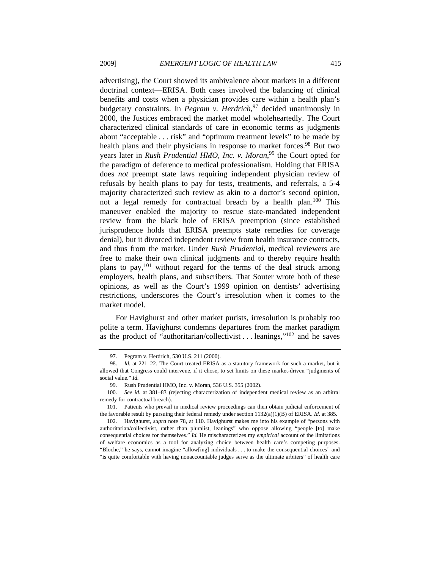advertising), the Court showed its ambivalence about markets in a different doctrinal context—ERISA. Both cases involved the balancing of clinical benefits and costs when a physician provides care within a health plan's budgetary constraints. In *Pegram v. Herdrich*, 97 decided unanimously in 2000, the Justices embraced the market model wholeheartedly. The Court characterized clinical standards of care in economic terms as judgments about "acceptable . . . risk" and "optimum treatment levels" to be made by health plans and their physicians in response to market forces.<sup>98</sup> But two years later in *Rush Prudential HMO, Inc. v. Moran*, 99 the Court opted for the paradigm of deference to medical professionalism. Holding that ERISA does *not* preempt state laws requiring independent physician review of refusals by health plans to pay for tests, treatments, and referrals, a 5-4 majority characterized such review as akin to a doctor's second opinion, not a legal remedy for contractual breach by a health plan. $100$  This maneuver enabled the majority to rescue state-mandated independent review from the black hole of ERISA preemption (since established jurisprudence holds that ERISA preempts state remedies for coverage denial), but it divorced independent review from health insurance contracts, and thus from the market. Under *Rush Prudential*, medical reviewers are free to make their own clinical judgments and to thereby require health plans to pay,  $101$  without regard for the terms of the deal struck among employers, health plans, and subscribers. That Souter wrote both of these opinions, as well as the Court's 1999 opinion on dentists' advertising restrictions, underscores the Court's irresolution when it comes to the market model.

For Havighurst and other market purists, irresolution is probably too polite a term. Havighurst condemns departures from the market paradigm as the product of "authoritarian/collectivist . . . leanings,"102 and he saves

 <sup>97.</sup> Pegram v. Herdrich, 530 U.S. 211 (2000).

<sup>98.</sup> *Id.* at 221–22. The Court treated ERISA as a statutory framework for such a market, but it allowed that Congress could intervene, if it chose, to set limits on these market-driven "judgments of social value." *Id.*

 <sup>99.</sup> Rush Prudential HMO, Inc. v. Moran, 536 U.S. 355 (2002).

<sup>100.</sup> *See id.* at 381–83 (rejecting characterization of independent medical review as an arbitral remedy for contractual breach).

 <sup>101.</sup> Patients who prevail in medical review proceedings can then obtain judicial enforcement of the favorable result by pursuing their federal remedy under section 1132(a)(1)(B) of ERISA. *Id.* at 385.

 <sup>102.</sup> Havighurst, *supra* note 78, at 110. Havighurst makes me into his example of "persons with authoritarian/collectivist, rather than pluralist, leanings" who oppose allowing "people [to] make consequential choices for themselves." *Id.* He mischaracterizes my *empirical* account of the limitations of welfare economics as a tool for analyzing choice between health care's competing purposes. "Bloche," he says, cannot imagine "allow[ing] individuals . . . to make the consequential choices" and "is quite comfortable with having nonaccountable judges serve as the ultimate arbiters" of health care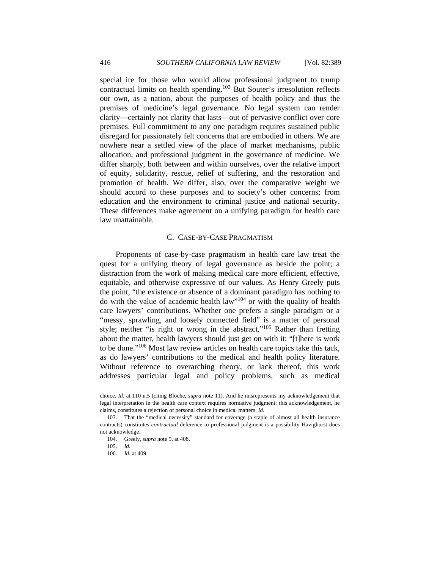special ire for those who would allow professional judgment to trump contractual limits on health spending.<sup>103</sup> But Souter's irresolution reflects our own, as a nation, about the purposes of health policy and thus the premises of medicine's legal governance. No legal system can render clarity—certainly not clarity that lasts—out of pervasive conflict over core premises. Full commitment to any one paradigm requires sustained public disregard for passionately felt concerns that are embodied in others. We are nowhere near a settled view of the place of market mechanisms, public allocation, and professional judgment in the governance of medicine. We differ sharply, both between and within ourselves, over the relative import of equity, solidarity, rescue, relief of suffering, and the restoration and promotion of health. We differ, also, over the comparative weight we should accord to these purposes and to society's other concerns; from education and the environment to criminal justice and national security. These differences make agreement on a unifying paradigm for health care law unattainable.

#### C. CASE-BY-CASE PRAGMATISM

Proponents of case-by-case pragmatism in health care law treat the quest for a unifying theory of legal governance as beside the point; a distraction from the work of making medical care more efficient, effective, equitable, and otherwise expressive of our values. As Henry Greely puts the point, "the existence or absence of a dominant paradigm has nothing to do with the value of academic health law"104 or with the quality of health care lawyers' contributions. Whether one prefers a single paradigm or a "messy, sprawling, and loosely connected field" is a matter of personal style; neither "is right or wrong in the abstract."105 Rather than fretting about the matter, health lawyers should just get on with it: "[t]here is work to be done."106 Most law review articles on health care topics take this tack, as do lawyers' contributions to the medical and health policy literature. Without reference to overarching theory, or lack thereof, this work addresses particular legal and policy problems, such as medical

choice. *Id*. at 110 n.5 (citing Bloche, *supra* note 11). And he misrepresents my acknowledgement that legal interpretation in the health care context requires normative judgment: this acknowledgement, he claims, constitutes a rejection of personal choice in medical matters. *Id.*

 <sup>103.</sup> That the "medical necessity" standard for coverage (a staple of almost all health insurance contracts) constitutes *contractual* deference to professional judgment is a possibility Havighurst does not acknowledge.

 <sup>104.</sup> Greely, *supra* note 9, at 408.

<sup>105.</sup> *Id.*

<sup>106.</sup> *Id.* at 409.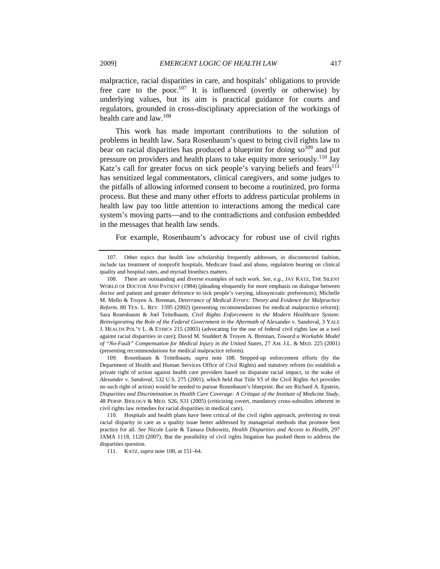malpractice, racial disparities in care, and hospitals' obligations to provide free care to the poor.<sup>107</sup> It is influenced (overtly or otherwise) by underlying values, but its aim is practical guidance for courts and regulators, grounded in cross-disciplinary appreciation of the workings of health care and law.<sup>108</sup>

This work has made important contributions to the solution of problems in health law. Sara Rosenbaum's quest to bring civil rights law to bear on racial disparities has produced a blueprint for doing  $so^{109}$  and put pressure on providers and health plans to take equity more seriously.<sup>110</sup> Jay Katz's call for greater focus on sick people's varying beliefs and fears $111$ has sensitized legal commentators, clinical caregivers, and some judges to the pitfalls of allowing informed consent to become a routinized, pro forma process. But these and many other efforts to address particular problems in health law pay too little attention to interactions among the medical care system's moving parts—and to the contradictions and confusion embedded in the messages that health law sends.

For example, Rosenbaum's advocacy for robust use of civil rights

111. KATZ, *supra* note 108, at 151–64.

 <sup>107.</sup> Other topics that health law scholarship frequently addresses, in disconnected fashion, include tax treatment of nonprofit hospitals, Medicare fraud and abuse, regulation bearing on clinical quality and hospital rates, and myriad bioethics matters.

 <sup>108.</sup> There are outstanding and diverse examples of such work. *See, e.g.*, JAY KATZ, THE SILENT WORLD OF DOCTOR AND PATIENT (1984) (pleading eloquently for more emphasis on dialogue between doctor and patient and greater deference to sick people's varying, idiosyncratic preferences); Michelle M. Mello & Troyen A. Brennan, *Deterrance of Medical Errors: Theory and Evidence for Malpractice Reform*, 80 TEX. L. REV. 1595 (2002) (presenting recommendations for medical malpractice reform); Sara Rosenbaum & Joel Teitelbaum, *Civil Rights Enforcement in the Modern Healthcare System: Reinvigorating the Role of the Federal Government in the Aftermath of Alexander v. Sandoval, 3 YALE* J. HEALTH POL'Y L. & ETHICS 215 (2003) (advocating for the use of federal civil rights law as a tool against racial disparities in care); David M. Studdert & Troyen A. Brennan, *Toward a Workable Model of "No-Fault" Compensation for Medical Injury in the United States*, 27 AM. J.L. & MED. 225 (2001) (presenting recommendations for medical malpractice reform).

 <sup>109.</sup> Rosenbaum & Teitelbaum, *supra* note 108. Stepped-up enforcement efforts (by the Department of Health and Human Services Office of Civil Rights) and statutory reform (to establish a private right of action against health care providers based on disparate racial impact, in the wake of *Alexander v. Sandoval*, 532 U.S. 275 (2001), which held that Title VI of the Civil Rights Act provides no such right of action) would be needed to pursue Rosenbaum's blueprint. *But see* Richard A. Epstein, *Disparities and Discrimination in Health Care Coverage: A Critique of the Institute of Medicine Study*, 48 PERSP. BIOLOGY & MED*.* S26, S31 (2005) (criticizing covert, mandatory cross-subsidies inherent in civil rights law remedies for racial disparities in medical care).

 <sup>110.</sup> Hospitals and health plans have been critical of the civil rights approach, preferring to treat racial disparity in care as a quality issue better addressed by managerial methods that promote best practice for all. *See* Nicole Lurie & Tamara Dubowitz, *Health Disparities and Access to Health*, 297 JAMA 1118, 1120 (2007). But the possibility of civil rights litigation has pushed them to address the disparities question.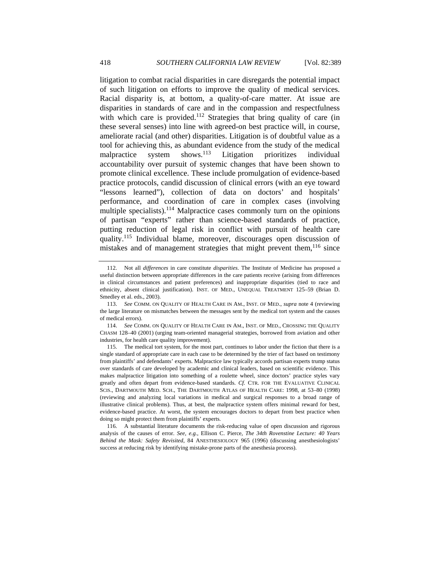litigation to combat racial disparities in care disregards the potential impact of such litigation on efforts to improve the quality of medical services. Racial disparity is, at bottom, a quality-of-care matter. At issue are disparities in standards of care and in the compassion and respectfulness with which care is provided.<sup>112</sup> Strategies that bring quality of care (in these several senses) into line with agreed-on best practice will, in course, ameliorate racial (and other) disparities. Litigation is of doubtful value as a tool for achieving this, as abundant evidence from the study of the medical malpractice system shows.<sup>113</sup> Litigation prioritizes individual accountability over pursuit of systemic changes that have been shown to promote clinical excellence. These include promulgation of evidence-based practice protocols, candid discussion of clinical errors (with an eye toward "lessons learned"), collection of data on doctors' and hospitals' performance, and coordination of care in complex cases (involving multiple specialists).<sup>114</sup> Malpractice cases commonly turn on the opinions of partisan "experts" rather than science-based standards of practice, putting reduction of legal risk in conflict with pursuit of health care quality.<sup>115</sup> Individual blame, moreover, discourages open discussion of mistakes and of management strategies that might prevent them,  $116$  since

 <sup>112.</sup> Not all *differences* in care constitute *disparities*. The Institute of Medicine has proposed a useful distinction between appropriate differences in the care patients receive (arising from differences in clinical circumstances and patient preferences) and inappropriate disparities (tied to race and ethnicity, absent clinical justification). INST. OF MED., UNEQUAL TREATMENT 125–59 (Brian D. Smedley et al. eds., 2003).

<sup>113.</sup> *See* COMM. ON QUALITY OF HEALTH CARE IN AM., INST. OF MED., *supra* note 4 (reviewing the large literature on mismatches between the messages sent by the medical tort system and the causes of medical errors).

<sup>114.</sup> *See* COMM. ON QUALITY OF HEALTH CARE IN AM., INST. OF MED., CROSSING THE QUALITY CHASM 128–40 (2001) (urging team-oriented managerial strategies, borrowed from aviation and other industries, for health care quality improvement).

 <sup>115.</sup> The medical tort system, for the most part, continues to labor under the fiction that there is a single standard of appropriate care in each case to be determined by the trier of fact based on testimony from plaintiffs' and defendants' experts. Malpractice law typically accords partisan experts trump status over standards of care developed by academic and clinical leaders, based on scientific evidence. This makes malpractice litigation into something of a roulette wheel, since doctors' practice styles vary greatly and often depart from evidence-based standards. *Cf.* CTR. FOR THE EVALUATIVE CLINICAL SCIS., DARTMOUTH MED. SCH., THE DARTMOUTH ATLAS OF HEALTH CARE: 1998, at 53–80 (1998) (reviewing and analyzing local variations in medical and surgical responses to a broad range of illustrative clinical problems). Thus, at best, the malpractice system offers minimal reward for best, evidence-based practice. At worst, the system encourages doctors to depart from best practice when doing so might protect them from plaintiffs' experts.

 <sup>116.</sup> A substantial literature documents the risk-reducing value of open discussion and rigorous analysis of the causes of error. *See, e.g.*, Ellison C. Pierce, *The 34th Rovenstine Lecture: 40 Years Behind the Mask: Safety Revisited*, 84 ANESTHESIOLOGY 965 (1996) (discussing anesthesiologists' success at reducing risk by identifying mistake-prone parts of the anesthesia process).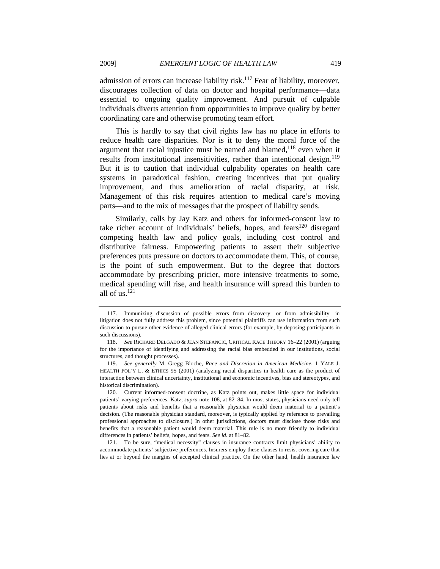admission of errors can increase liability risk.<sup>117</sup> Fear of liability, moreover, discourages collection of data on doctor and hospital performance—data essential to ongoing quality improvement. And pursuit of culpable individuals diverts attention from opportunities to improve quality by better coordinating care and otherwise promoting team effort.

This is hardly to say that civil rights law has no place in efforts to reduce health care disparities. Nor is it to deny the moral force of the argument that racial injustice must be named and blamed,<sup>118</sup> even when it results from institutional insensitivities, rather than intentional design.<sup>119</sup> But it is to caution that individual culpability operates on health care systems in paradoxical fashion, creating incentives that put quality improvement, and thus amelioration of racial disparity, at risk. Management of this risk requires attention to medical care's moving parts—and to the mix of messages that the prospect of liability sends.

Similarly, calls by Jay Katz and others for informed-consent law to take richer account of individuals' beliefs, hopes, and fears<sup>120</sup> disregard competing health law and policy goals, including cost control and distributive fairness. Empowering patients to assert their subjective preferences puts pressure on doctors to accommodate them. This, of course, is the point of such empowerment. But to the degree that doctors accommodate by prescribing pricier, more intensive treatments to some, medical spending will rise, and health insurance will spread this burden to all of us. $121$ 

 <sup>117.</sup> Immunizing discussion of possible errors from discovery—or from admissibility—in litigation does not fully address this problem, since potential plaintiffs can use information from such discussion to pursue other evidence of alleged clinical errors (for example, by deposing participants in such discussions).

<sup>118.</sup> *See* RICHARD DELGADO & JEAN STEFANCIC, CRITICAL RACE THEORY 16–22 (2001) (arguing for the importance of identifying and addressing the racial bias embedded in our institutions, social structures, and thought processes).

<sup>119.</sup> *See generally* M. Gregg Bloche, *Race and Discretion in American Medicine*, 1 YALE J. HEALTH POL'Y L. & ETHICS 95 (2001) (analyzing racial disparities in health care as the product of interaction between clinical uncertainty, institutional and economic incentives, bias and stereotypes, and historical discrimination).

 <sup>120.</sup> Current informed-consent doctrine, as Katz points out, makes little space for individual patients' varying preferences. Katz, *supra* note 108, at 82–84. In most states, physicians need only tell patients about risks and benefits that a reasonable physician would deem material to a patient's decision. (The reasonable physician standard, moreover, is typically applied by reference to prevailing professional approaches to disclosure.) In other jurisdictions, doctors must disclose those risks and benefits that a reasonable patient would deem material. This rule is no more friendly to individual differences in patients' beliefs, hopes, and fears. *See id.* at 81–82.

 <sup>121.</sup> To be sure, "medical necessity" clauses in insurance contracts limit physicians' ability to accommodate patients' subjective preferences. Insurers employ these clauses to resist covering care that lies at or beyond the margins of accepted clinical practice. On the other hand, health insurance law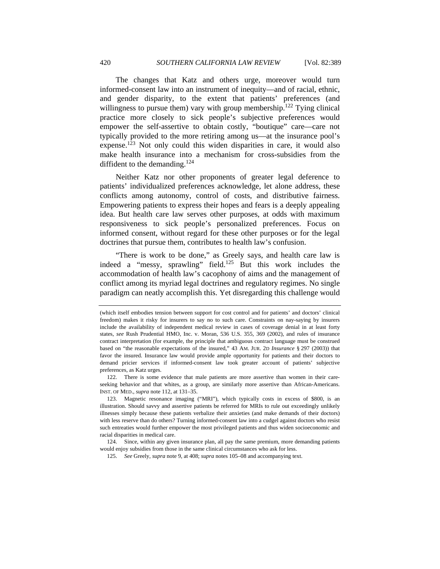The changes that Katz and others urge, moreover would turn informed-consent law into an instrument of inequity—and of racial, ethnic, and gender disparity, to the extent that patients' preferences (and willingness to pursue them) vary with group membership.<sup>122</sup> Tying clinical practice more closely to sick people's subjective preferences would empower the self-assertive to obtain costly, "boutique" care—care not typically provided to the more retiring among us—at the insurance pool's expense.<sup>123</sup> Not only could this widen disparities in care, it would also make health insurance into a mechanism for cross-subsidies from the diffident to the demanding.<sup>124</sup>

Neither Katz nor other proponents of greater legal deference to patients' individualized preferences acknowledge, let alone address, these conflicts among autonomy, control of costs, and distributive fairness. Empowering patients to express their hopes and fears is a deeply appealing idea. But health care law serves other purposes, at odds with maximum responsiveness to sick people's personalized preferences. Focus on informed consent, without regard for these other purposes or for the legal doctrines that pursue them, contributes to health law's confusion.

"There is work to be done," as Greely says, and health care law is indeed a "messy, sprawling" field.<sup>125</sup> But this work includes the accommodation of health law's cacophony of aims and the management of conflict among its myriad legal doctrines and regulatory regimes. No single paradigm can neatly accomplish this. Yet disregarding this challenge would

 122. There is some evidence that male patients are more assertive than women in their careseeking behavior and that whites, as a group, are similarly more assertive than African-Americans. INST. OF MED., *supra* note 112, at 131–35.

<sup>(</sup>which itself embodies tension between support for cost control and for patients' and doctors' clinical freedom) makes it risky for insurers to say no to such care. Constraints on nay-saying by insurers include the availability of independent medical review in cases of coverage denial in at least forty states, *see* Rush Prudential HMO, Inc. v. Moran, 536 U.S. 355, 369 (2002), and rules of insurance contract interpretation (for example, the principle that ambiguous contract language must be construed based on "the reasonable expectations of the insured," 43 AM. JUR. 2D *Insurance* § 297 (2003)) that favor the insured. Insurance law would provide ample opportunity for patients and their doctors to demand pricier services if informed-consent law took greater account of patients' subjective preferences, as Katz urges.

 <sup>123.</sup> Magnetic resonance imaging ("MRI"), which typically costs in excess of \$800, is an illustration. Should savvy and assertive patients be referred for MRIs to rule out exceedingly unlikely illnesses simply because these patients verbalize their anxieties (and make demands of their doctors) with less reserve than do others? Turning informed-consent law into a cudgel against doctors who resist such entreaties would further empower the most privileged patients and thus widen socioeconomic and racial disparities in medical care.

 <sup>124.</sup> Since, within any given insurance plan, all pay the same premium, more demanding patients would enjoy subsidies from those in the same clinical circumstances who ask for less.

 <sup>125.</sup> *See* Greely, *supra* note 9, at 408; *supra* notes 105–08 and accompanying text.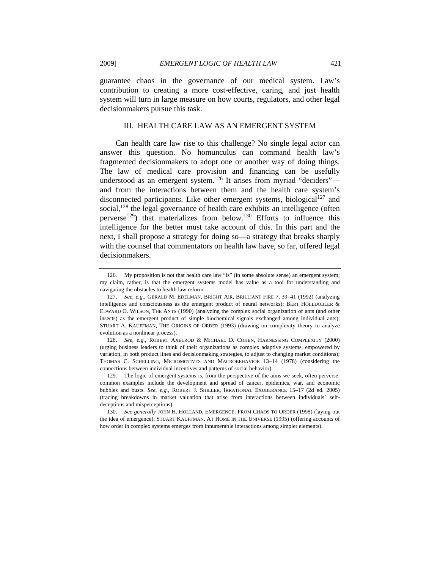guarantee chaos in the governance of our medical system. Law's contribution to creating a more cost-effective, caring, and just health system will turn in large measure on how courts, regulators, and other legal decisionmakers pursue this task.

### III. HEALTH CARE LAW AS AN EMERGENT SYSTEM

Can health care law rise to this challenge? No single legal actor can answer this question. No homunculus can command health law's fragmented decisionmakers to adopt one or another way of doing things. The law of medical care provision and financing can be usefully understood as an emergent system.<sup>126</sup> It arises from myriad "deciders" and from the interactions between them and the health care system's disconnected participants. Like other emergent systems, biological<sup>127</sup> and social,  $128$  the legal governance of health care exhibits an intelligence (often perverse<sup>129</sup>) that materializes from below.<sup>130</sup> Efforts to influence this intelligence for the better must take account of this. In this part and the next, I shall propose a strategy for doing so—a strategy that breaks sharply with the counsel that commentators on health law have, so far, offered legal decisionmakers.

 <sup>126.</sup> My proposition is not that health care law "is" (in some absolute sense) an emergent system; my claim, rather, is that the emergent systems model has value as a tool for understanding and navigating the obstacles to health law reform.

<sup>127.</sup> *See, e.g.*, GERALD M. EDELMAN, BRIGHT AIR, BRILLIANT FIRE 7, 39–41 (1992) (analyzing intelligence and consciousness as the emergent product of neural networks); BERT HÖLLDOBLER & EDWARD O. WILSON, THE ANTS (1990) (analyzing the complex social organization of ants (and other insects) as the emergent product of simple biochemical signals exchanged among individual ants); STUART A. KAUFFMAN, THE ORIGINS OF ORDER (1993) (drawing on complexity theory to analyze evolution as a nonlinear process).

<sup>128.</sup> *See, e.g.*, ROBERT AXELROD & MICHAEL D. COHEN, HARNESSING COMPLEXITY (2000) (urging business leaders to think of their organizations as complex adaptive systems, empowered by variation, in both product lines and decisionmaking strategies, to adjust to changing market conditions); THOMAS C. SCHELLING, MICROMOTIVES AND MACROBEHAVIOR 13–14 (1978) (considering the connections between individual incentives and patterns of social behavior).

 <sup>129.</sup> The logic of emergent systems is, from the perspective of the aims we seek, often perverse: common examples include the development and spread of cancer, epidemics, war, and economic bubbles and busts. *See, e.g.*, ROBERT J. SHILLER, IRRATIONAL EXUBERANCE 15–17 (2d ed. 2005) (tracing breakdowns in market valuation that arise from interactions between individuals' selfdeceptions and misperceptions).

<sup>130.</sup> *See generally* JOHN H. HOLLAND, EMERGENCE: FROM CHAOS TO ORDER (1998) (laying out the idea of emergence); STUART KAUFFMAN, AT HOME IN THE UNIVERSE (1995) (offering accounts of how order in complex systems emerges from innumerable interactions among simpler elements).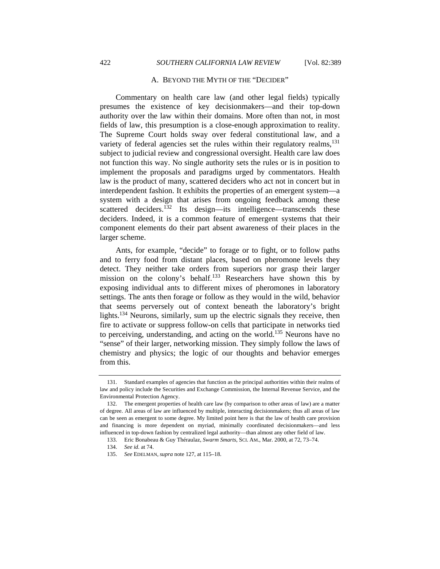#### A. BEYOND THE MYTH OF THE "DECIDER"

Commentary on health care law (and other legal fields) typically presumes the existence of key decisionmakers—and their top-down authority over the law within their domains. More often than not, in most fields of law, this presumption is a close-enough approximation to reality. The Supreme Court holds sway over federal constitutional law, and a variety of federal agencies set the rules within their regulatory realms, $^{131}$ subject to judicial review and congressional oversight. Health care law does not function this way. No single authority sets the rules or is in position to implement the proposals and paradigms urged by commentators. Health law is the product of many, scattered deciders who act not in concert but in interdependent fashion. It exhibits the properties of an emergent system—a system with a design that arises from ongoing feedback among these scattered deciders.<sup>132</sup> Its design—its intelligence—transcends these deciders. Indeed, it is a common feature of emergent systems that their component elements do their part absent awareness of their places in the larger scheme.

Ants, for example, "decide" to forage or to fight, or to follow paths and to ferry food from distant places, based on pheromone levels they detect. They neither take orders from superiors nor grasp their larger mission on the colony's behalf.133 Researchers have shown this by exposing individual ants to different mixes of pheromones in laboratory settings. The ants then forage or follow as they would in the wild, behavior that seems perversely out of context beneath the laboratory's bright lights.<sup>134</sup> Neurons, similarly, sum up the electric signals they receive, then fire to activate or suppress follow-on cells that participate in networks tied to perceiving, understanding, and acting on the world.<sup>135</sup> Neurons have no "sense" of their larger, networking mission. They simply follow the laws of chemistry and physics; the logic of our thoughts and behavior emerges from this.

 <sup>131.</sup> Standard examples of agencies that function as the principal authorities within their realms of law and policy include the Securities and Exchange Commission, the Internal Revenue Service, and the Environmental Protection Agency.

 <sup>132.</sup> The emergent properties of health care law (by comparison to other areas of law) are a matter of degree. All areas of law are influenced by multiple, interacting decisionmakers; thus all areas of law can be seen as emergent to some degree. My limited point here is that the law of health care provision and financing is more dependent on myriad, minimally coordinated decisionmakers—and less influenced in top-down fashion by centralized legal authority—than almost any other field of law.

 <sup>133.</sup> Eric Bonabeau & Guy Théraulaz, *Swarm Smarts*, SCI. AM., Mar. 2000, at 72, 73–74.

 <sup>134.</sup> *See id.* at 74.

 <sup>135.</sup> *See* EDELMAN, *supra* note 127, at 115–18.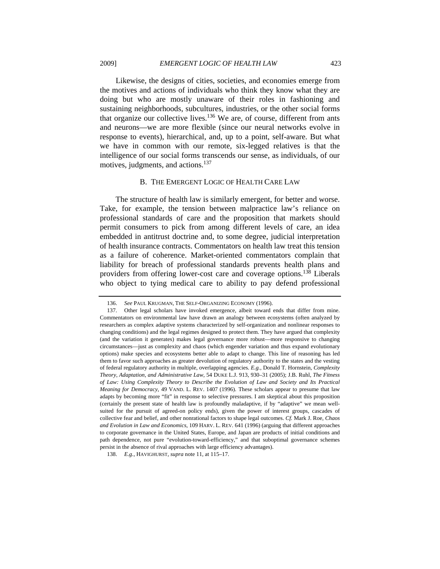Likewise, the designs of cities, societies, and economies emerge from the motives and actions of individuals who think they know what they are doing but who are mostly unaware of their roles in fashioning and sustaining neighborhoods, subcultures, industries, or the other social forms that organize our collective lives.<sup>136</sup> We are, of course, different from ants and neurons—we are more flexible (since our neural networks evolve in response to events), hierarchical, and, up to a point, self-aware. But what we have in common with our remote, six-legged relatives is that the intelligence of our social forms transcends our sense, as individuals, of our motives, judgments, and actions.<sup>137</sup>

#### B. THE EMERGENT LOGIC OF HEALTH CARE LAW

The structure of health law is similarly emergent, for better and worse. Take, for example, the tension between malpractice law's reliance on professional standards of care and the proposition that markets should permit consumers to pick from among different levels of care, an idea embedded in antitrust doctrine and, to some degree, judicial interpretation of health insurance contracts. Commentators on health law treat this tension as a failure of coherence. Market-oriented commentators complain that liability for breach of professional standards prevents health plans and providers from offering lower-cost care and coverage options.138 Liberals who object to tying medical care to ability to pay defend professional

 <sup>136.</sup> *See* PAUL KRUGMAN, THE SELF-ORGANIZING ECONOMY (1996).

 <sup>137.</sup> Other legal scholars have invoked emergence, albeit toward ends that differ from mine. Commentators on environmental law have drawn an analogy between ecosystems (often analyzed by researchers as complex adaptive systems characterized by self-organization and nonlinear responses to changing conditions) and the legal regimes designed to protect them. They have argued that complexity (and the variation it generates) makes legal governance more robust—more responsive to changing circumstances—just as complexity and chaos (which engender variation and thus expand evolutionary options) make species and ecosystems better able to adapt to change. This line of reasoning has led them to favor such approaches as greater devolution of regulatory authority to the states and the vesting of federal regulatory authority in multiple, overlapping agencies. *E.g.*, Donald T. Hornstein, *Complexity Theory, Adaptation, and Administrative Law*, 54 DUKE L.J. 913, 930–31 (2005); J.B. Ruhl, *The Fitness of Law: Using Complexity Theory to Describe the Evolution of Law and Society and Its Practical Meaning for Democracy*, 49 VAND. L. REV. 1407 (1996). These scholars appear to presume that law adapts by becoming more "fit" in response to selective pressures. I am skeptical about this proposition (certainly the present state of health law is profoundly maladaptive, if by "adaptive" we mean wellsuited for the pursuit of agreed-on policy ends), given the power of interest groups, cascades of collective fear and belief, and other nonrational factors to shape legal outcomes. *Cf.* Mark J. Roe, *Chaos and Evolution in Law and Economics*, 109 HARV. L. REV. 641 (1996) (arguing that different approaches to corporate governance in the United States, Europe, and Japan are products of initial conditions and path dependence, not pure "evolution-toward-efficiency," and that suboptimal governance schemes persist in the absence of rival approaches with large efficiency advantages).

<sup>138.</sup> *E.g.*, HAVIGHURST, *supra* note 11, at 115–17.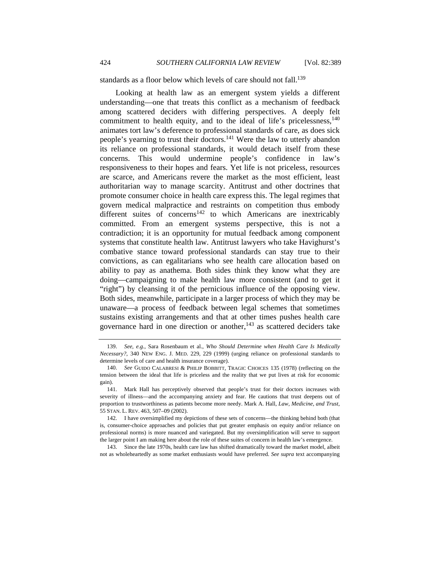standards as a floor below which levels of care should not fall.<sup>139</sup>

Looking at health law as an emergent system yields a different understanding—one that treats this conflict as a mechanism of feedback among scattered deciders with differing perspectives. A deeply felt commitment to health equity, and to the ideal of life's pricelessness,  $140$ animates tort law's deference to professional standards of care, as does sick people's yearning to trust their doctors.<sup>141</sup> Were the law to utterly abandon its reliance on professional standards, it would detach itself from these concerns. This would undermine people's confidence in law's responsiveness to their hopes and fears. Yet life is not priceless, resources are scarce, and Americans revere the market as the most efficient, least authoritarian way to manage scarcity. Antitrust and other doctrines that promote consumer choice in health care express this. The legal regimes that govern medical malpractice and restraints on competition thus embody different suites of concerns<sup>142</sup> to which Americans are inextricably committed. From an emergent systems perspective, this is not a contradiction; it is an opportunity for mutual feedback among component systems that constitute health law. Antitrust lawyers who take Havighurst's combative stance toward professional standards can stay true to their convictions, as can egalitarians who see health care allocation based on ability to pay as anathema. Both sides think they know what they are doing—campaigning to make health law more consistent (and to get it "right") by cleansing it of the pernicious influence of the opposing view. Both sides, meanwhile, participate in a larger process of which they may be unaware—a process of feedback between legal schemes that sometimes sustains existing arrangements and that at other times pushes health care governance hard in one direction or another, $143$  as scattered deciders take

 143. Since the late 1970s, health care law has shifted dramatically toward the market model, albeit not as wholeheartedly as some market enthusiasts would have preferred. *See supra* text accompanying

<sup>139.</sup> *See, e.g.*, Sara Rosenbaum et al., *Who Should Determine when Health Care Is Medically Necessary?*, 340 NEW ENG. J. MED. 229, 229 (1999) (urging reliance on professional standards to determine levels of care and health insurance coverage).

<sup>140.</sup> *See* GUIDO CALABRESI & PHILIP BOBBITT, TRAGIC CHOICES 135 (1978) (reflecting on the tension between the ideal that life is priceless and the reality that we put lives at risk for economic gain).

 <sup>141.</sup> Mark Hall has perceptively observed that people's trust for their doctors increases with severity of illness—and the accompanying anxiety and fear. He cautions that trust deepens out of proportion to trustworthiness as patients become more needy. Mark A. Hall, *Law, Medicine, and Trust*, 55 STAN. L. REV. 463, 507–09 (2002).

 <sup>142.</sup> I have oversimplified my depictions of these sets of concerns—the thinking behind both (that is, consumer-choice approaches and policies that put greater emphasis on equity and/or reliance on professional norms) is more nuanced and variegated. But my oversimplification will serve to support the larger point I am making here about the role of these suites of concern in health law's emergence.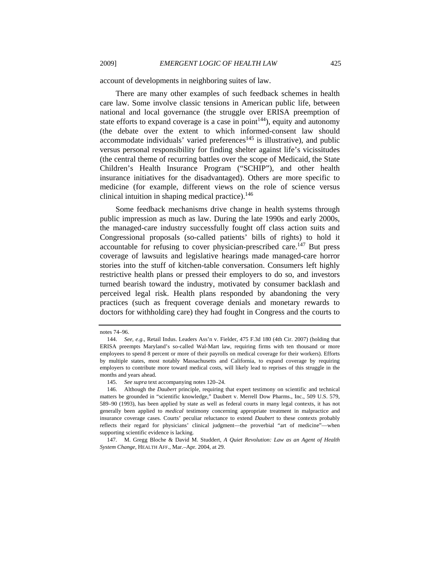account of developments in neighboring suites of law.

There are many other examples of such feedback schemes in health care law. Some involve classic tensions in American public life, between national and local governance (the struggle over ERISA preemption of state efforts to expand coverage is a case in  $point<sup>144</sup>$ , equity and autonomy (the debate over the extent to which informed-consent law should accommodate individuals' varied preferences<sup>145</sup> is illustrative), and public versus personal responsibility for finding shelter against life's vicissitudes (the central theme of recurring battles over the scope of Medicaid, the State Children's Health Insurance Program ("SCHIP"), and other health insurance initiatives for the disadvantaged). Others are more specific to medicine (for example, different views on the role of science versus clinical intuition in shaping medical practice). $146$ 

Some feedback mechanisms drive change in health systems through public impression as much as law. During the late 1990s and early 2000s, the managed-care industry successfully fought off class action suits and Congressional proposals (so-called patients' bills of rights) to hold it accountable for refusing to cover physician-prescribed care.<sup>147</sup> But press coverage of lawsuits and legislative hearings made managed-care horror stories into the stuff of kitchen-table conversation. Consumers left highly restrictive health plans or pressed their employers to do so, and investors turned bearish toward the industry, motivated by consumer backlash and perceived legal risk. Health plans responded by abandoning the very practices (such as frequent coverage denials and monetary rewards to doctors for withholding care) they had fought in Congress and the courts to

notes 74–96.

<sup>144.</sup> *See, e.g.*, Retail Indus. Leaders Ass'n v. Fielder, 475 F.3d 180 (4th Cir. 2007) (holding that ERISA preempts Maryland's so-called Wal-Mart law, requiring firms with ten thousand or more employees to spend 8 percent or more of their payrolls on medical coverage for their workers). Efforts by multiple states, most notably Massachusetts and California, to expand coverage by requiring employers to contribute more toward medical costs, will likely lead to reprises of this struggle in the months and years ahead.

 <sup>145.</sup> *See supra* text accompanying notes 120–24.

 <sup>146.</sup> Although the *Daubert* principle, requiring that expert testimony on scientific and technical matters be grounded in "scientific knowledge," Daubert v. Merrell Dow Pharms., Inc., 509 U.S. 579, 589–90 (1993), has been applied by state as well as federal courts in many legal contexts, it has not generally been applied to *medical* testimony concerning appropriate treatment in malpractice and insurance coverage cases. Courts' peculiar reluctance to extend *Daubert* to these contexts probably reflects their regard for physicians' clinical judgment—the proverbial "art of medicine"—when supporting scientific evidence is lacking.

 <sup>147.</sup> M. Gregg Bloche & David M. Studdert, *A Quiet Revolution: Law as an Agent of Health System Change*, HEALTH AFF., Mar.–Apr. 2004, at 29.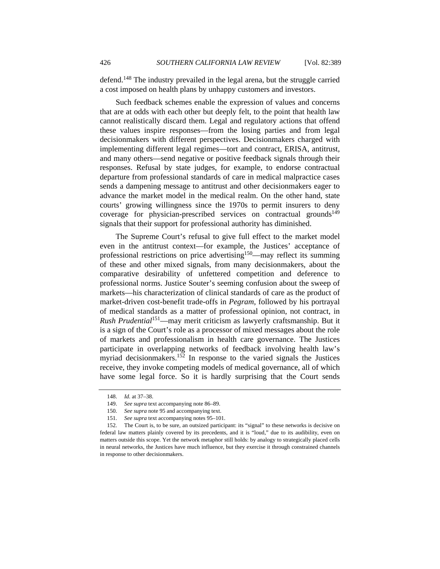defend.148 The industry prevailed in the legal arena, but the struggle carried a cost imposed on health plans by unhappy customers and investors.

Such feedback schemes enable the expression of values and concerns that are at odds with each other but deeply felt, to the point that health law cannot realistically discard them. Legal and regulatory actions that offend these values inspire responses—from the losing parties and from legal decisionmakers with different perspectives. Decisionmakers charged with implementing different legal regimes—tort and contract, ERISA, antitrust, and many others—send negative or positive feedback signals through their responses. Refusal by state judges, for example, to endorse contractual departure from professional standards of care in medical malpractice cases sends a dampening message to antitrust and other decisionmakers eager to advance the market model in the medical realm. On the other hand, state courts' growing willingness since the 1970s to permit insurers to deny coverage for physician-prescribed services on contractual grounds<sup>149</sup> signals that their support for professional authority has diminished.

The Supreme Court's refusal to give full effect to the market model even in the antitrust context—for example, the Justices' acceptance of professional restrictions on price advertising<sup>150</sup>—may reflect its summing of these and other mixed signals, from many decisionmakers, about the comparative desirability of unfettered competition and deference to professional norms. Justice Souter's seeming confusion about the sweep of markets—his characterization of clinical standards of care as the product of market-driven cost-benefit trade-offs in *Pegram*, followed by his portrayal of medical standards as a matter of professional opinion, not contract, in *Rush Prudential*151—may merit criticism as lawyerly craftsmanship. But it is a sign of the Court's role as a processor of mixed messages about the role of markets and professionalism in health care governance. The Justices participate in overlapping networks of feedback involving health law's myriad decisionmakers.152 In response to the varied signals the Justices receive, they invoke competing models of medical governance, all of which have some legal force. So it is hardly surprising that the Court sends

<sup>148.</sup> *Id.* at 37–38.

<sup>149.</sup> *See supra* text accompanying note 86–89.

<sup>150.</sup> *See supra* note 95 and accompanying text.

<sup>151.</sup> *See supra* text accompanying notes 95–101.

 <sup>152.</sup> The Court is, to be sure, an outsized participant: its "signal" to these networks is decisive on federal law matters plainly covered by its precedents, and it is "loud," due to its audibility, even on matters outside this scope. Yet the network metaphor still holds: by analogy to strategically placed cells in neural networks, the Justices have much influence, but they exercise it through constrained channels in response to other decisionmakers.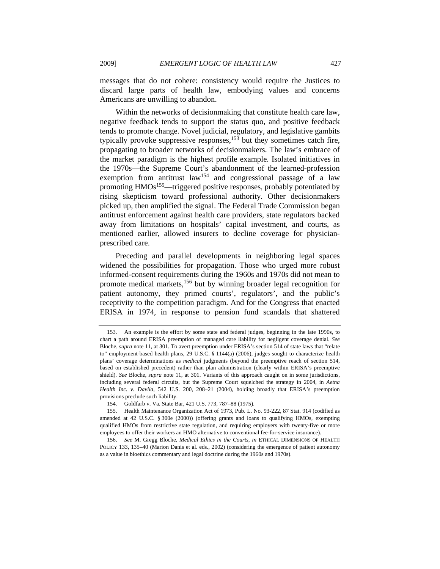messages that do not cohere: consistency would require the Justices to discard large parts of health law, embodying values and concerns Americans are unwilling to abandon.

Within the networks of decisionmaking that constitute health care law, negative feedback tends to support the status quo, and positive feedback tends to promote change. Novel judicial, regulatory, and legislative gambits typically provoke suppressive responses,  $15\overline{3}$  but they sometimes catch fire, propagating to broader networks of decisionmakers. The law's embrace of the market paradigm is the highest profile example. Isolated initiatives in the 1970s—the Supreme Court's abandonment of the learned-profession exemption from antitrust law<sup>154</sup> and congressional passage of a law promoting  $HMOs<sup>155</sup>$ —triggered positive responses, probably potentiated by rising skepticism toward professional authority. Other decisionmakers picked up, then amplified the signal. The Federal Trade Commission began antitrust enforcement against health care providers, state regulators backed away from limitations on hospitals' capital investment, and courts, as mentioned earlier, allowed insurers to decline coverage for physicianprescribed care.

Preceding and parallel developments in neighboring legal spaces widened the possibilities for propagation. Those who urged more robust informed-consent requirements during the 1960s and 1970s did not mean to promote medical markets,<sup>156</sup> but by winning broader legal recognition for patient autonomy, they primed courts', regulators', and the public's receptivity to the competition paradigm. And for the Congress that enacted ERISA in 1974, in response to pension fund scandals that shattered

 <sup>153.</sup> An example is the effort by some state and federal judges, beginning in the late 1990s, to chart a path around ERISA preemption of managed care liability for negligent coverage denial. *See* Bloche, *supra* note 11, at 301. To avert preemption under ERISA's section 514 of state laws that "relate to" employment-based health plans, 29 U.S.C. § 1144(a) (2006), judges sought to characterize health plans' coverage determinations as *medical* judgments (beyond the preemptive reach of section 514, based on established precedent) rather than plan administration (clearly within ERISA's preemptive shield). *See* Bloche, *supra* note 11, at 301. Variants of this approach caught on in some jurisdictions, including several federal circuits, but the Supreme Court squelched the strategy in 2004, in *Aetna Health Inc. v. Davila*, 542 U.S. 200, 208–21 (2004), holding broadly that ERISA's preemption provisions preclude such liability.

 <sup>154.</sup> Goldfarb v. Va. State Bar, 421 U.S. 773, 787–88 (1975).

 <sup>155.</sup> Health Maintenance Organization Act of 1973, Pub. L. No. 93-222, 87 Stat. 914 (codified as amended at 42 U.S.C. § 300e (2000)) (offering grants and loans to qualifying HMOs, exempting qualified HMOs from restrictive state regulation, and requiring employers with twenty-five or more employees to offer their workers an HMO alternative to conventional fee-for-service insurance).

<sup>156.</sup> *See* M. Gregg Bloche, *Medical Ethics in the Courts*, *in* ETHICAL DIMENSIONS OF HEALTH POLICY 133, 135–40 (Marion Danis et al. eds., 2002) (considering the emergence of patient autonomy as a value in bioethics commentary and legal doctrine during the 1960s and 1970s).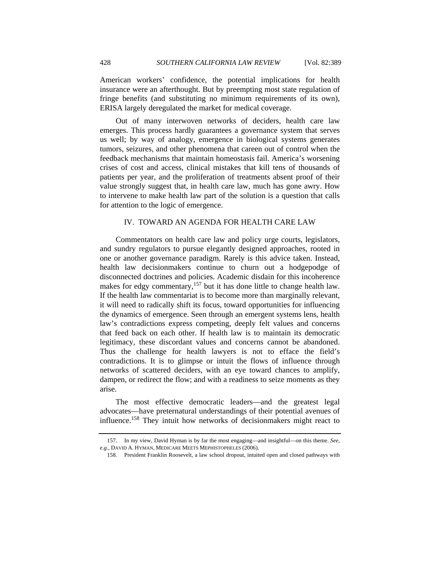American workers' confidence, the potential implications for health insurance were an afterthought. But by preempting most state regulation of fringe benefits (and substituting no minimum requirements of its own), ERISA largely deregulated the market for medical coverage.

Out of many interwoven networks of deciders, health care law emerges. This process hardly guarantees a governance system that serves us well; by way of analogy, emergence in biological systems generates tumors, seizures, and other phenomena that careen out of control when the feedback mechanisms that maintain homeostasis fail. America's worsening crises of cost and access, clinical mistakes that kill tens of thousands of patients per year, and the proliferation of treatments absent proof of their value strongly suggest that, in health care law, much has gone awry. How to intervene to make health law part of the solution is a question that calls for attention to the logic of emergence.

# IV. TOWARD AN AGENDA FOR HEALTH CARE LAW

Commentators on health care law and policy urge courts, legislators, and sundry regulators to pursue elegantly designed approaches, rooted in one or another governance paradigm. Rarely is this advice taken. Instead, health law decisionmakers continue to churn out a hodgepodge of disconnected doctrines and policies. Academic disdain for this incoherence makes for edgy commentary,<sup>157</sup> but it has done little to change health law. If the health law commentariat is to become more than marginally relevant, it will need to radically shift its focus, toward opportunities for influencing the dynamics of emergence. Seen through an emergent systems lens, health law's contradictions express competing, deeply felt values and concerns that feed back on each other. If health law is to maintain its democratic legitimacy, these discordant values and concerns cannot be abandoned. Thus the challenge for health lawyers is not to efface the field's contradictions. It is to glimpse or intuit the flows of influence through networks of scattered deciders, with an eye toward chances to amplify, dampen, or redirect the flow; and with a readiness to seize moments as they arise.

The most effective democratic leaders—and the greatest legal advocates—have preternatural understandings of their potential avenues of influence.158 They intuit how networks of decisionmakers might react to

 <sup>157.</sup> In my view, David Hyman is by far the most engaging—and insightful—on this theme. *See, e.g.*, DAVID A. HYMAN, MEDICARE MEETS MEPHISTOPHELES (2006).

 <sup>158.</sup> President Franklin Roosevelt, a law school dropout, intuited open and closed pathways with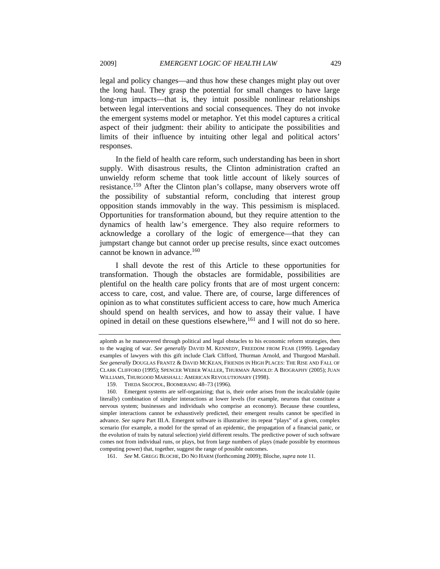legal and policy changes—and thus how these changes might play out over the long haul. They grasp the potential for small changes to have large long-run impacts—that is, they intuit possible nonlinear relationships between legal interventions and social consequences. They do not invoke the emergent systems model or metaphor. Yet this model captures a critical aspect of their judgment: their ability to anticipate the possibilities and limits of their influence by intuiting other legal and political actors' responses.

In the field of health care reform, such understanding has been in short supply. With disastrous results, the Clinton administration crafted an unwieldy reform scheme that took little account of likely sources of resistance.<sup>159</sup> After the Clinton plan's collapse, many observers wrote off the possibility of substantial reform, concluding that interest group opposition stands immovably in the way. This pessimism is misplaced. Opportunities for transformation abound, but they require attention to the dynamics of health law's emergence. They also require reformers to acknowledge a corollary of the logic of emergence—that they can jumpstart change but cannot order up precise results, since exact outcomes cannot be known in advance. $160$ 

I shall devote the rest of this Article to these opportunities for transformation. Though the obstacles are formidable, possibilities are plentiful on the health care policy fronts that are of most urgent concern: access to care, cost, and value. There are, of course, large differences of opinion as to what constitutes sufficient access to care, how much America should spend on health services, and how to assay their value. I have opined in detail on these questions elsewhere,  $^{161}$  and I will not do so here.

aplomb as he maneuvered through political and legal obstacles to his economic reform strategies, then to the waging of war. *See generally* DAVID M. KENNEDY, FREEDOM FROM FEAR (1999). Legendary examples of lawyers with this gift include Clark Clifford, Thurman Arnold, and Thurgood Marshall. *See generally* DOUGLAS FRANTZ & DAVID MCKEAN, FRIENDS IN HIGH PLACES: THE RISE AND FALL OF CLARK CLIFFORD (1995); SPENCER WEBER WALLER, THURMAN ARNOLD: A BIOGRAPHY (2005); JUAN WILLIAMS, THURGOOD MARSHALL: AMERICAN REVOLUTIONARY (1998).

 <sup>159.</sup> THEDA SKOCPOL, BOOMERANG 48–73 (1996).

 <sup>160.</sup> Emergent systems are self-organizing; that is, their order arises from the incalculable (quite literally) combination of simpler interactions at lower levels (for example, neurons that constitute a nervous system; businesses and individuals who comprise an economy). Because these countless, simpler interactions cannot be exhaustively predicted, their emergent results cannot be specified in advance. *See supra* Part III.A. Emergent software is illustrative: its repeat "plays" of a given, complex scenario (for example, a model for the spread of an epidemic, the propagation of a financial panic, or the evolution of traits by natural selection) yield different results. The predictive power of such software comes not from individual runs, or plays, but from large numbers of plays (made possible by enormous computing power) that, together, suggest the range of possible outcomes.

<sup>161.</sup> *See* M. GREGG BLOCHE, DO NO HARM (forthcoming 2009); Bloche, *supra* note 11.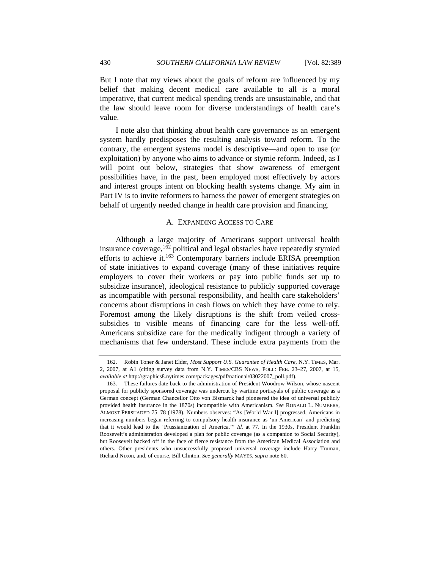But I note that my views about the goals of reform are influenced by my belief that making decent medical care available to all is a moral imperative, that current medical spending trends are unsustainable, and that the law should leave room for diverse understandings of health care's value.

I note also that thinking about health care governance as an emergent system hardly predisposes the resulting analysis toward reform. To the contrary, the emergent systems model is descriptive—and open to use (or exploitation) by anyone who aims to advance or stymie reform. Indeed, as I will point out below, strategies that show awareness of emergent possibilities have, in the past, been employed most effectively by actors and interest groups intent on blocking health systems change. My aim in Part IV is to invite reformers to harness the power of emergent strategies on behalf of urgently needed change in health care provision and financing.

## A. EXPANDING ACCESS TO CARE

Although a large majority of Americans support universal health insurance coverage,162 political and legal obstacles have repeatedly stymied efforts to achieve it.<sup>163</sup> Contemporary barriers include ERISA preemption of state initiatives to expand coverage (many of these initiatives require employers to cover their workers or pay into public funds set up to subsidize insurance), ideological resistance to publicly supported coverage as incompatible with personal responsibility, and health care stakeholders' concerns about disruptions in cash flows on which they have come to rely. Foremost among the likely disruptions is the shift from veiled crosssubsidies to visible means of financing care for the less well-off. Americans subsidize care for the medically indigent through a variety of mechanisms that few understand. These include extra payments from the

 <sup>162.</sup> Robin Toner & Janet Elder, *Most Support U.S. Guarantee of Health Care*, N.Y. TIMES, Mar. 2, 2007, at A1 (citing survey data from N.Y. TIMES/CBS NEWS, POLL: FEB. 23–27, 2007, at 15, *available at* http://graphics8.nytimes.com/packages/pdf/national/03022007\_poll.pdf).

 <sup>163.</sup> These failures date back to the administration of President Woodrow Wilson, whose nascent proposal for publicly sponsored coverage was undercut by wartime portrayals of public coverage as a German concept (German Chancellor Otto von Bismarck had pioneered the idea of universal publicly provided health insurance in the 1870s) incompatible with Americanism. *See* RONALD L. NUMBERS, ALMOST PERSUADED 75–78 (1978). Numbers observes: "As [World War I] progressed, Americans in increasing numbers began referring to compulsory health insurance as 'un-American' and predicting that it would lead to the 'Prussianization of America.'" *Id.* at 77. In the 1930s, President Franklin Roosevelt's administration developed a plan for public coverage (as a companion to Social Security), but Roosevelt backed off in the face of fierce resistance from the American Medical Association and others. Other presidents who unsuccessfully proposed universal coverage include Harry Truman, Richard Nixon, and, of course, Bill Clinton. *See generally* MAYES, *supra* note 60.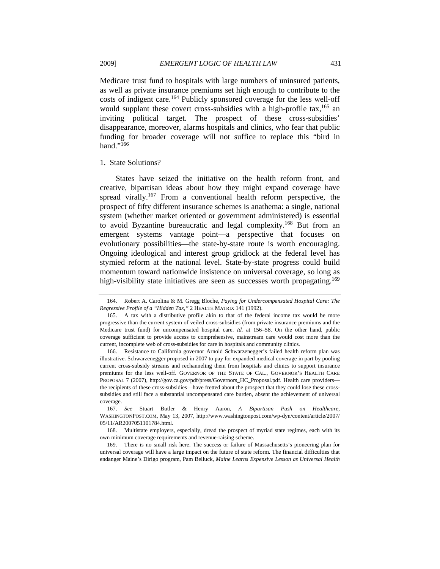Medicare trust fund to hospitals with large numbers of uninsured patients, as well as private insurance premiums set high enough to contribute to the costs of indigent care.<sup>164</sup> Publicly sponsored coverage for the less well-off would supplant these covert cross-subsidies with a high-profile tax,  $165$  an inviting political target. The prospect of these cross-subsidies' disappearance, moreover, alarms hospitals and clinics, who fear that public funding for broader coverage will not suffice to replace this "bird in hand."<sup>166</sup>

#### 1. State Solutions?

States have seized the initiative on the health reform front, and creative, bipartisan ideas about how they might expand coverage have spread virally.<sup>167</sup> From a conventional health reform perspective, the prospect of fifty different insurance schemes is anathema: a single, national system (whether market oriented or government administered) is essential to avoid Byzantine bureaucratic and legal complexity.<sup>168</sup> But from an emergent systems vantage point—a perspective that focuses on evolutionary possibilities—the state-by-state route is worth encouraging. Ongoing ideological and interest group gridlock at the federal level has stymied reform at the national level. State-by-state progress could build momentum toward nationwide insistence on universal coverage, so long as high-visibility state initiatives are seen as successes worth propagating.<sup>169</sup>

 <sup>164.</sup> Robert A. Carolina & M. Gregg Bloche, *Paying for Undercompensated Hospital Care: The Regressive Profile of a "Hidden Tax*,*"* 2 HEALTH MATRIX 141 (1992).

 <sup>165.</sup> A tax with a distributive profile akin to that of the federal income tax would be more progressive than the current system of veiled cross-subsidies (from private insurance premiums and the Medicare trust fund) for uncompensated hospital care. *Id.* at 156–58. On the other hand, public coverage sufficient to provide access to comprehensive, mainstream care would cost more than the current, incomplete web of cross-subsidies for care in hospitals and community clinics.

 <sup>166.</sup> Resistance to California governor Arnold Schwarzenegger's failed health reform plan was illustrative. Schwarzenegger proposed in 2007 to pay for expanded medical coverage in part by pooling current cross-subsidy streams and rechanneling them from hospitals and clinics to support insurance premiums for the less well-off. GOVERNOR OF THE STATE OF CAL., GOVERNOR'S HEALTH CARE PROPOSAL 7 (2007), http://gov.ca.gov/pdf/press/Governors\_HC\_Proposal.pdf. Health care providers the recipients of these cross-subsidies—have fretted about the prospect that they could lose these crosssubsidies and still face a substantial uncompensated care burden, absent the achievement of universal coverage.

 <sup>167.</sup> *See* Stuart Butler & Henry Aaron, *A Bipartisan Push on Healthcare*, WASHINGTONPOST.COM, May 13, 2007, http://www.washingtonpost.com/wp-dyn/content/article/2007/ 05/11/AR2007051101784.html.

 <sup>168.</sup> Multistate employers, especially, dread the prospect of myriad state regimes, each with its own minimum coverage requirements and revenue-raising scheme.

 <sup>169.</sup> There is no small risk here. The success or failure of Massachusetts's pioneering plan for universal coverage will have a large impact on the future of state reform. The financial difficulties that endanger Maine's Dirigo program, Pam Belluck, *Maine Learns Expensive Lesson as Universal Health*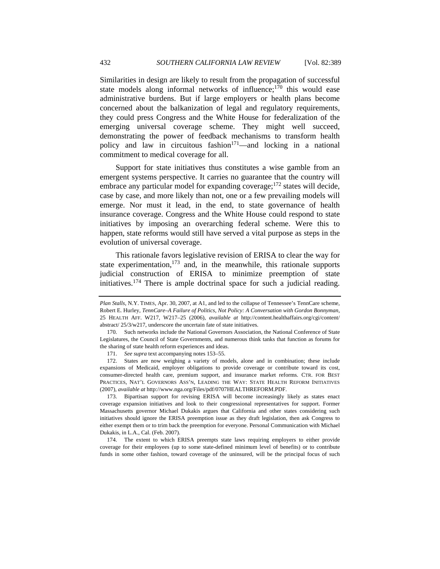Similarities in design are likely to result from the propagation of successful state models along informal networks of influence; $170$  this would ease administrative burdens. But if large employers or health plans become concerned about the balkanization of legal and regulatory requirements, they could press Congress and the White House for federalization of the emerging universal coverage scheme. They might well succeed, demonstrating the power of feedback mechanisms to transform health policy and law in circuitous fashion<sup>171</sup>—and locking in a national commitment to medical coverage for all.

Support for state initiatives thus constitutes a wise gamble from an emergent systems perspective. It carries no guarantee that the country will embrace any particular model for expanding coverage;<sup>172</sup> states will decide, case by case, and more likely than not, one or a few prevailing models will emerge. Nor must it lead, in the end, to state governance of health insurance coverage. Congress and the White House could respond to state initiatives by imposing an overarching federal scheme. Were this to happen, state reforms would still have served a vital purpose as steps in the evolution of universal coverage.

This rationale favors legislative revision of ERISA to clear the way for state experimentation, $173$  and, in the meanwhile, this rationale supports judicial construction of ERISA to minimize preemption of state initiatives.174 There is ample doctrinal space for such a judicial reading.

171. *See supra* text accompanying notes 153–55.

 172. States are now weighing a variety of models, alone and in combination; these include expansions of Medicaid, employer obligations to provide coverage or contribute toward its cost, consumer-directed health care, premium support, and insurance market reforms. CTR. FOR BEST PRACTICES, NAT'L GOVERNORS ASS'N, LEADING THE WAY: STATE HEALTH REFORM INITIATIVES (2007), *available at* http://www.nga.org/Files/pdf/0707HEALTHREFORM.PDF.

 173. Bipartisan support for revising ERISA will become increasingly likely as states enact coverage expansion initiatives and look to their congressional representatives for support. Former Massachusetts governor Michael Dukakis argues that California and other states considering such initiatives should ignore the ERISA preemption issue as they draft legislation, then ask Congress to either exempt them or to trim back the preemption for everyone. Personal Communication with Michael Dukakis, in L.A., Cal. (Feb. 2007).

 174. The extent to which ERISA preempts state laws requiring employers to either provide coverage for their employees (up to some state-defined minimum level of benefits) or to contribute funds in some other fashion, toward coverage of the uninsured, will be the principal focus of such

*Plan Stalls*, N.Y. TIMES, Apr. 30, 2007, at A1, and led to the collapse of Tennessee's TennCare scheme, Robert E. Hurley, *TennCare–A Failure of Politics, Not Policy: A Conversation with Gordon Bonnyman*, 25 HEALTH AFF. W217, W217–25 (2006), *available at* http://content.healthaffairs.org/cgi/content/ abstract/ 25/3/w217, underscore the uncertain fate of state initiatives.

 <sup>170.</sup> Such networks include the National Governors Association, the National Conference of State Legislatures, the Council of State Governments, and numerous think tanks that function as forums for the sharing of state health reform experiences and ideas.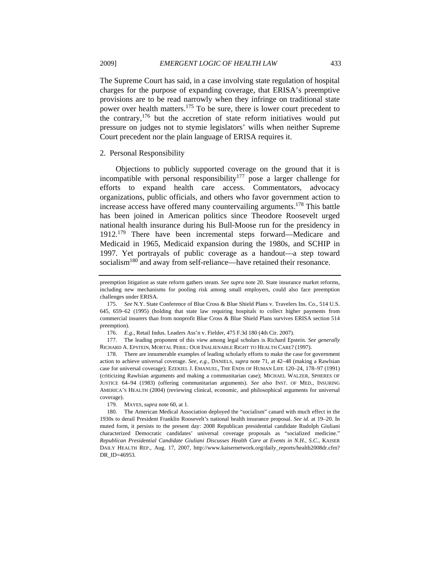The Supreme Court has said, in a case involving state regulation of hospital charges for the purpose of expanding coverage, that ERISA's preemptive provisions are to be read narrowly when they infringe on traditional state power over health matters.<sup>175</sup> To be sure, there is lower court precedent to the contrary, $176$  but the accretion of state reform initiatives would put pressure on judges not to stymie legislators' wills when neither Supreme Court precedent nor the plain language of ERISA requires it.

### 2. Personal Responsibility

Objections to publicly supported coverage on the ground that it is incompatible with personal responsibility<sup>177</sup> pose a larger challenge for efforts to expand health care access. Commentators, advocacy organizations, public officials, and others who favor government action to increase access have offered many countervailing arguments.178 This battle has been joined in American politics since Theodore Roosevelt urged national health insurance during his Bull-Moose run for the presidency in 1912.179 There have been incremental steps forward—Medicare and Medicaid in 1965, Medicaid expansion during the 1980s, and SCHIP in 1997. Yet portrayals of public coverage as a handout—a step toward socialism<sup>180</sup> and away from self-reliance—have retained their resonance.

preemption litigation as state reform gathers steam. *See supra* note 20. State insurance market reforms, including new mechanisms for pooling risk among small employers, could also face preemption challenges under ERISA.

<sup>175.</sup> *See* N.Y. State Conference of Blue Cross & Blue Shield Plans v. Travelers Ins. Co., 514 U.S. 645, 659–62 (1995) (holding that state law requiring hospitals to collect higher payments from commercial insurers than from nonprofit Blue Cross & Blue Shield Plans survives ERISA section 514 preemption).

<sup>176.</sup> *E.g.*, Retail Indus. Leaders Ass'n v. Fielder, 475 F.3d 180 (4th Cir. 2007).

 <sup>177.</sup> The leading proponent of this view among legal scholars is Richard Epstein. *See generally* RICHARD A. EPSTEIN, MORTAL PERIL: OUR INALIENABLE RIGHT TO HEALTH CARE? (1997).

 <sup>178.</sup> There are innumerable examples of leading scholarly efforts to make the case for government action to achieve universal coverage. *See, e.g.*, DANIELS, *supra* note 71, at 42–48 (making a Rawlsian case for universal coverage); EZEKIEL J. EMANUEL, THE ENDS OF HUMAN LIFE 120–24, 178–97 (1991) (criticizing Rawlsian arguments and making a communitarian case); MICHAEL WALZER, SPHERES OF JUSTICE 64–94 (1983) (offering communitarian arguments). *See also* INST. OF MED., INSURING AMERICA'S HEALTH (2004) (reviewing clinical, economic, and philosophical arguments for universal coverage).

 <sup>179.</sup> MAYES, *supra* note 60, at 1.

 <sup>180.</sup> The American Medical Association deployed the "socialism" canard with much effect in the 1930s to derail President Franklin Roosevelt's national health insurance proposal. *See id.* at 19–20. In muted form, it persists to the present day: 2008 Republican presidential candidate Rudolph Giuliani characterized Democratic candidates' universal coverage proposals as "socialized medicine." *Republican Presidential Candidate Giuliani Discusses Health Care at Events in N.H.*, *S.C.*, KAISER DAILY HEALTH REP., Aug. 17, 2007, http://www.kaisernetwork.org/daily\_reports/health2008dr.cfm? DR\_ID=46953.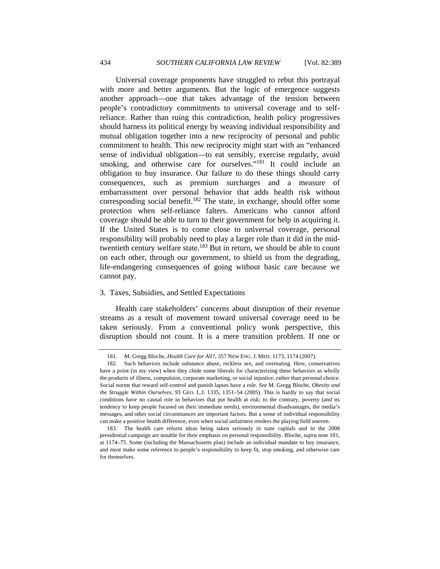Universal coverage proponents have struggled to rebut this portrayal with more and better arguments. But the logic of emergence suggests another approach—one that takes advantage of the tension between people's contradictory commitments to universal coverage and to selfreliance. Rather than ruing this contradiction, health policy progressives should harness its political energy by weaving individual responsibility and mutual obligation together into a new reciprocity of personal and public commitment to health. This new reciprocity might start with an "enhanced sense of individual obligation—to eat sensibly, exercise regularly, avoid smoking, and otherwise care for ourselves."<sup>181</sup> It could include an obligation to buy insurance. Our failure to do these things should carry consequences, such as premium surcharges and a measure of embarrassment over personal behavior that adds health risk without corresponding social benefit.<sup>182</sup> The state, in exchange, should offer some protection when self-reliance falters. Americans who cannot afford coverage should be able to turn to their government for help in acquiring it. If the United States is to come close to universal coverage, personal responsibility will probably need to play a larger role than it did in the midtwentieth century welfare state.<sup>183</sup> But in return, we should be able to count on each other, through our government, to shield us from the degrading, life-endangering consequences of going without basic care because we cannot pay.

## 3. Taxes, Subsidies, and Settled Expectations

Health care stakeholders' concerns about disruption of their revenue streams as a result of movement toward universal coverage need to be taken seriously. From a conventional policy wonk perspective, this disruption should not count. It is a mere transition problem. If one or

 <sup>181.</sup> M. Gregg Bloche, *Health Care for All?*, 357 NEW ENG. J. MED. 1173, 1174 (2007).

 <sup>182.</sup> Such behaviors include substance abuse, reckless sex, and overeating. Here, conservatives have a point (in my view) when they chide some liberals for characterizing these behaviors as wholly the products of illness, compulsion, corporate marketing, or social injustice, rather than personal choice. Social norms that reward self-control and punish lapses have a role. *See* M. Gregg Bloche, *Obesity and the Struggle Within Ourselves*, 93 GEO. L.J. 1335, 1351–54 (2005). This is hardly to say that social conditions have no causal role in behaviors that put health at risk; to the contrary, poverty (and its tendency to keep people focused on their immediate needs), environmental disadvantages, the media's messages, and other social circumstances are important factors. But a sense of individual responsibility can make a positive health difference, even when social unfairness renders the playing field uneven.

 <sup>183.</sup> The health care reform ideas being taken seriously in state capitals and in the 2008 presidential campaign are notable for their emphasis on personal responsibility. Bloche, *supra* note 181, at 1174–75. Some (including the Massachusetts plan) include an individual mandate to buy insurance, and most make some reference to people's responsibility to keep fit, stop smoking, and otherwise care for themselves.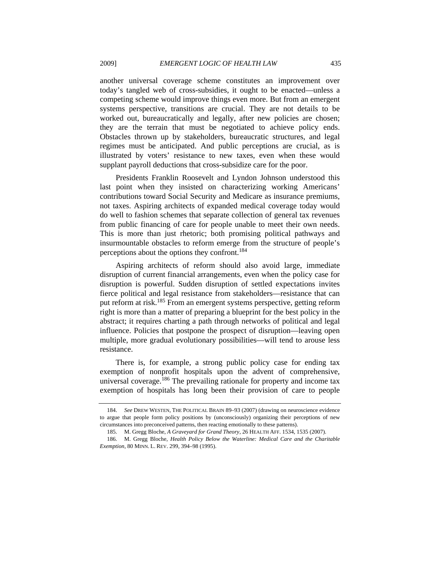another universal coverage scheme constitutes an improvement over today's tangled web of cross-subsidies, it ought to be enacted—unless a competing scheme would improve things even more. But from an emergent systems perspective, transitions are crucial. They are not details to be worked out, bureaucratically and legally, after new policies are chosen; they are the terrain that must be negotiated to achieve policy ends. Obstacles thrown up by stakeholders, bureaucratic structures, and legal regimes must be anticipated. And public perceptions are crucial, as is illustrated by voters' resistance to new taxes, even when these would supplant payroll deductions that cross-subsidize care for the poor.

Presidents Franklin Roosevelt and Lyndon Johnson understood this last point when they insisted on characterizing working Americans' contributions toward Social Security and Medicare as insurance premiums, not taxes. Aspiring architects of expanded medical coverage today would do well to fashion schemes that separate collection of general tax revenues from public financing of care for people unable to meet their own needs. This is more than just rhetoric; both promising political pathways and insurmountable obstacles to reform emerge from the structure of people's perceptions about the options they confront.184

Aspiring architects of reform should also avoid large, immediate disruption of current financial arrangements, even when the policy case for disruption is powerful. Sudden disruption of settled expectations invites fierce political and legal resistance from stakeholders—resistance that can put reform at risk.<sup>185</sup> From an emergent systems perspective, getting reform right is more than a matter of preparing a blueprint for the best policy in the abstract; it requires charting a path through networks of political and legal influence. Policies that postpone the prospect of disruption—leaving open multiple, more gradual evolutionary possibilities—will tend to arouse less resistance.

There is, for example, a strong public policy case for ending tax exemption of nonprofit hospitals upon the advent of comprehensive, universal coverage.<sup>186</sup> The prevailing rationale for property and income tax exemption of hospitals has long been their provision of care to people

<sup>184.</sup> *See* DREW WESTEN, THE POLITICAL BRAIN 89–93 (2007) (drawing on neuroscience evidence to argue that people form policy positions by (unconsciously) organizing their perceptions of new circumstances into preconceived patterns, then reacting emotionally to these patterns).

 <sup>185.</sup> M. Gregg Bloche, *A Graveyard for Grand Theory*, 26 HEALTH AFF. 1534, 1535 (2007).

 <sup>186.</sup> M. Gregg Bloche, *Health Policy Below the Waterline: Medical Care and the Charitable Exemption*, 80 MINN. L. REV. 299, 394–98 (1995).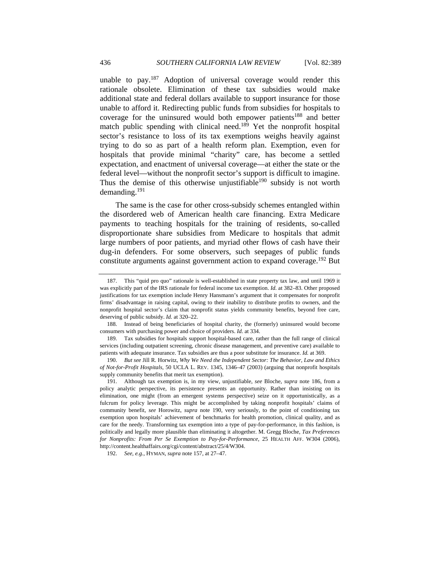unable to pay.<sup>187</sup> Adoption of universal coverage would render this rationale obsolete. Elimination of these tax subsidies would make additional state and federal dollars available to support insurance for those unable to afford it. Redirecting public funds from subsidies for hospitals to coverage for the uninsured would both empower patients<sup>188</sup> and better match public spending with clinical need.<sup>189</sup> Yet the nonprofit hospital sector's resistance to loss of its tax exemptions weighs heavily against trying to do so as part of a health reform plan. Exemption, even for hospitals that provide minimal "charity" care, has become a settled expectation, and enactment of universal coverage—at either the state or the federal level—without the nonprofit sector's support is difficult to imagine. Thus the demise of this otherwise unjustifiable<sup>190</sup> subsidy is not worth demanding.191

The same is the case for other cross-subsidy schemes entangled within the disordered web of American health care financing. Extra Medicare payments to teaching hospitals for the training of residents, so-called disproportionate share subsidies from Medicare to hospitals that admit large numbers of poor patients, and myriad other flows of cash have their dug-in defenders. For some observers, such seepages of public funds constitute arguments against government action to expand coverage.<sup>192</sup> But

 <sup>187.</sup> This "quid pro quo" rationale is well-established in state property tax law, and until 1969 it was explicitly part of the IRS rationale for federal income tax exemption. *Id.* at 382–83. Other proposed justifications for tax exemption include Henry Hansmann's argument that it compensates for nonprofit firms' disadvantage in raising capital, owing to their inability to distribute profits to owners, and the nonprofit hospital sector's claim that nonprofit status yields community benefits, beyond free care, deserving of public subsidy. *Id.* at 320–22.

 <sup>188.</sup> Instead of being beneficiaries of hospital charity, the (formerly) uninsured would become consumers with purchasing power and choice of providers. *Id.* at 334.

 <sup>189.</sup> Tax subsidies for hospitals support hospital-based care, rather than the full range of clinical services (including outpatient screening, chronic disease management, and preventive care) available to patients with adequate insurance. Tax subsidies are thus a poor substitute for insurance. *Id.* at 369.

<sup>190.</sup> *But see* Jill R. Horwitz, *Why We Need the Independent Sector: The Behavior, Law and Ethics of Not-for-Profit Hospitals*, 50 UCLA L. REV. 1345, 1346–47 (2003) (arguing that nonprofit hospitals supply community benefits that merit tax exemption).

 <sup>191.</sup> Although tax exemption is, in my view, unjustifiable, *see* Bloche, *supra* note 186, from a policy analytic perspective, its persistence presents an opportunity. Rather than insisting on its elimination, one might (from an emergent systems perspective) seize on it opportunistically, as a fulcrum for policy leverage. This might be accomplished by taking nonprofit hospitals' claims of community benefit, *see* Horowitz, *supra* note 190, very seriously, to the point of conditioning tax exemption upon hospitals' achievement of benchmarks for health promotion, clinical quality, and as care for the needy. Transforming tax exemption into a type of pay-for-performance, in this fashion, is politically and legally more plausible than eliminating it altogether. M. Gregg Bloche, *Tax Preferences for Nonprofits: From Per Se Exemption to Pay-for-Performance*, 25 HEALTH AFF. W304 (2006), http://content.healthaffairs.org/cgi/content/abstract/25/4/W304.

<sup>192.</sup> *See, e.g.*, HYMAN, *supra* note 157, at 27–47.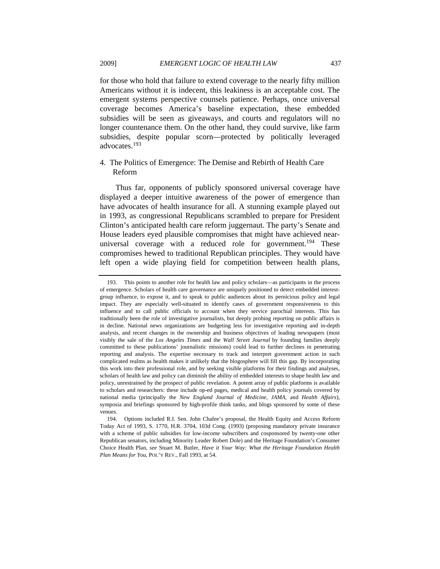for those who hold that failure to extend coverage to the nearly fifty million Americans without it is indecent, this leakiness is an acceptable cost. The emergent systems perspective counsels patience. Perhaps, once universal

coverage becomes America's baseline expectation, these embedded subsidies will be seen as giveaways, and courts and regulators will no longer countenance them. On the other hand, they could survive, like farm subsidies, despite popular scorn—protected by politically leveraged advocates.<sup>193</sup>

# 4. The Politics of Emergence: The Demise and Rebirth of Health Care Reform

Thus far, opponents of publicly sponsored universal coverage have displayed a deeper intuitive awareness of the power of emergence than have advocates of health insurance for all. A stunning example played out in 1993, as congressional Republicans scrambled to prepare for President Clinton's anticipated health care reform juggernaut. The party's Senate and House leaders eyed plausible compromises that might have achieved nearuniversal coverage with a reduced role for government.<sup>194</sup> These compromises hewed to traditional Republican principles. They would have left open a wide playing field for competition between health plans,

 <sup>193.</sup> This points to another role for health law and policy scholars—as participants in the process of emergence. Scholars of health care governance are uniquely positioned to detect embedded interestgroup influence, to expose it, and to speak to public audiences about its pernicious policy and legal impact. They are especially well-situated to identify cases of government responsiveness to this influence and to call public officials to account when they service parochial interests. This has traditionally been the role of investigative journalists, but deeply probing reporting on public affairs is in decline. National news organizations are budgeting less for investigative reporting and in-depth analysis, and recent changes in the ownership and business objectives of leading newspapers (most visibly the sale of the *Los Angeles Times* and the *Wall Street Journal* by founding families deeply committed to these publications' journalistic missions) could lead to further declines in penetrating reporting and analysis. The expertise necessary to track and interpret government action in such complicated realms as health makes it unlikely that the blogosphere will fill this gap. By incorporating this work into their professional role, and by seeking visible platforms for their findings and analyses, scholars of health law and policy can diminish the ability of embedded interests to shape health law and policy, unrestrained by the prospect of public revelation. A potent array of public platforms is available to scholars and researchers: these include op-ed pages, medical and health policy journals covered by national media (principally the *New England Journal of Medicine*, *JAMA*, and *Health Affairs*), symposia and briefings sponsored by high-profile think tanks, and blogs sponsored by some of these venues.

 <sup>194.</sup> Options included R.I. Sen. John Chafee's proposal, the Health Equity and Access Reform Today Act of 1993, S. 1770, H.R. 3704, 103d Cong. (1993) (proposing mandatory private insurance with a scheme of public subsidies for low-income subscribers and cosponsored by twenty-one other Republican senators, including Minority Leader Robert Dole) and the Heritage Foundation's Consumer Choice Health Plan, *see* Stuart M. Butler, *Have it Your Way: What the Heritage Foundation Health Plan Means for You*, POL'Y REV., Fall 1993, at 54.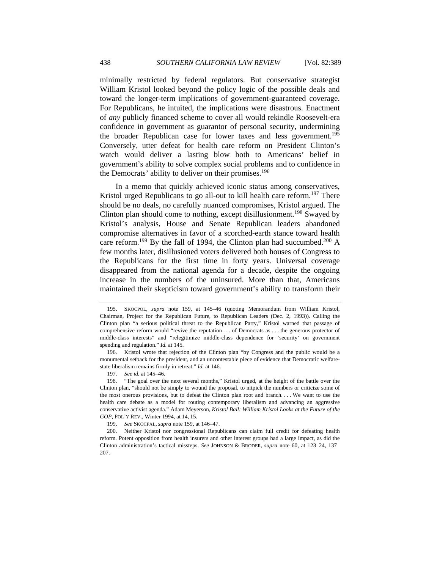minimally restricted by federal regulators. But conservative strategist William Kristol looked beyond the policy logic of the possible deals and toward the longer-term implications of government-guaranteed coverage. For Republicans, he intuited, the implications were disastrous. Enactment of *any* publicly financed scheme to cover all would rekindle Roosevelt-era confidence in government as guarantor of personal security, undermining the broader Republican case for lower taxes and less government.<sup>195</sup> Conversely, utter defeat for health care reform on President Clinton's watch would deliver a lasting blow both to Americans' belief in government's ability to solve complex social problems and to confidence in the Democrats' ability to deliver on their promises.<sup>196</sup>

In a memo that quickly achieved iconic status among conservatives, Kristol urged Republicans to go all-out to kill health care reform.<sup>197</sup> There should be no deals, no carefully nuanced compromises, Kristol argued. The Clinton plan should come to nothing, except disillusionment.<sup>198</sup> Swayed by Kristol's analysis, House and Senate Republican leaders abandoned compromise alternatives in favor of a scorched-earth stance toward health care reform.<sup>199</sup> By the fall of 1994, the Clinton plan had succumbed.<sup>200</sup> A few months later, disillusioned voters delivered both houses of Congress to the Republicans for the first time in forty years. Universal coverage disappeared from the national agenda for a decade, despite the ongoing increase in the numbers of the uninsured. More than that, Americans maintained their skepticism toward government's ability to transform their

 <sup>195.</sup> SKOCPOL, *supra* note 159, at 145–46 (quoting Memorandum from William Kristol, Chairman, Project for the Republican Future, to Republican Leaders (Dec. 2, 1993)). Calling the Clinton plan "a serious political threat to the Republican Party," Kristol warned that passage of comprehensive reform would "revive the reputation . . . of Democrats as . . . the generous protector of middle-class interests" and "relegitimize middle-class dependence for 'security' on government spending and regulation." *Id.* at 145.

 <sup>196.</sup> Kristol wrote that rejection of the Clinton plan "by Congress and the public would be a monumental setback for the president, and an uncontestable piece of evidence that Democratic welfarestate liberalism remains firmly in retreat." *Id.* at 146.

<sup>197.</sup> *See id.* at 145–46.

 <sup>198. &</sup>quot;The goal over the next several months," Kristol urged, at the height of the battle over the Clinton plan, "should not be simply to wound the proposal, to nitpick the numbers or criticize some of the most onerous provisions, but to defeat the Clinton plan root and branch. . . . We want to use the health care debate as a model for routing contemporary liberalism and advancing an aggressive conservative activist agenda." Adam Meyerson, *Kristol Ball: William Kristol Looks at the Future of the GOP*, POL'Y REV., Winter 1994, at 14, 15.

 <sup>199.</sup> *See* SKOCPAL, *supra* note 159, at 146–47.

 <sup>200.</sup> Neither Kristol nor congressional Republicans can claim full credit for defeating health reform. Potent opposition from health insurers and other interest groups had a large impact, as did the Clinton administration's tactical missteps. *See* JOHNSON & BRODER, *supra* note 60, at 123–24, 137– 207.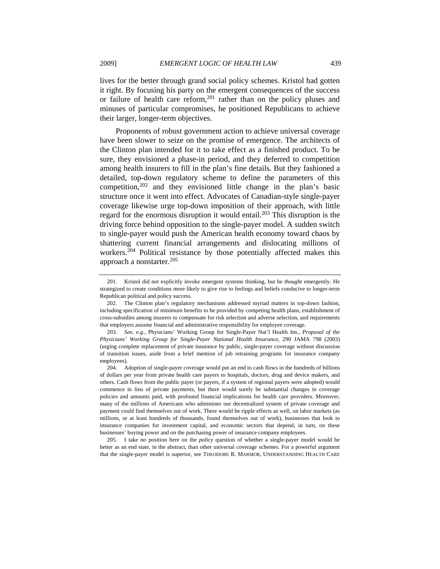lives for the better through grand social policy schemes. Kristol had gotten it right. By focusing his party on the emergent consequences of the success or failure of health care reform,  $201$  rather than on the policy pluses and minuses of particular compromises, he positioned Republicans to achieve their larger, longer-term objectives.

Proponents of robust government action to achieve universal coverage have been slower to seize on the promise of emergence. The architects of the Clinton plan intended for it to take effect as a finished product. To be sure, they envisioned a phase-in period, and they deferred to competition among health insurers to fill in the plan's fine details. But they fashioned a detailed, top-down regulatory scheme to define the parameters of this competition, $202$  and they envisioned little change in the plan's basic structure once it went into effect. Advocates of Canadian-style single-payer coverage likewise urge top-down imposition of their approach, with little regard for the enormous disruption it would entail.<sup>203</sup> This disruption is the driving force behind opposition to the single-payer model. A sudden switch to single-payer would push the American health economy toward chaos by shattering current financial arrangements and dislocating millions of workers.<sup>204</sup> Political resistance by those potentially affected makes this approach a nonstarter. $205$ 

 <sup>201.</sup> Kristol did not explicitly invoke emergent systems thinking, but he *thought* emergently. He strategized to create conditions more likely to give rise to feelings and beliefs conducive to longer-term Republican political and policy success.

 <sup>202.</sup> The Clinton plan's regulatory mechanisms addressed myriad matters in top-down fashion, including specification of minimum benefits to be provided by competing health plans, establishment of cross-subsidies among insurers to compensate for risk selection and adverse selection, and requirements that employers assume financial and administrative responsibility for employee coverage.

<sup>203.</sup> *See, e.g.*, Physicians' Working Group for Single-Payer Nat'l Health Ins., *Proposal of the Physicians' Working Group for Single-Payer National Health Insurance*, 290 JAMA 798 (2003) (urging complete replacement of private insurance by public, single-payer coverage without discussion of transition issues, aside from a brief mention of job retraining programs for insurance company employees).

 <sup>204.</sup> Adoption of single-payer coverage would put an end to cash flows in the hundreds of billions of dollars per year from private health care payers to hospitals, doctors, drug and device makers, and others. Cash flows from the public payer (or payers, if a system of regional payers were adopted) would commence in lieu of private payments, but there would surely be substantial changes in coverage policies and amounts paid, with profound financial implications for health care providers. Moreover, many of the millions of Americans who administer our decentralized system of private coverage and payment could find themselves out of work. There would be ripple effects as well, on labor markets (as millions, or at least hundreds of thousands, found themselves out of work), businesses that look to insurance companies for investment capital, and economic sectors that depend, in turn, on these businesses' buying power and on the purchasing power of insurance company employees.

 <sup>205.</sup> I take no position here on the *policy* question of whether a single-payer model would be better as an end state, in the abstract, than other universal coverage schemes. For a powerful argument that the single-payer model is superior, see THEODORE R. MARMOR, UNDERSTANDING HEALTH CARE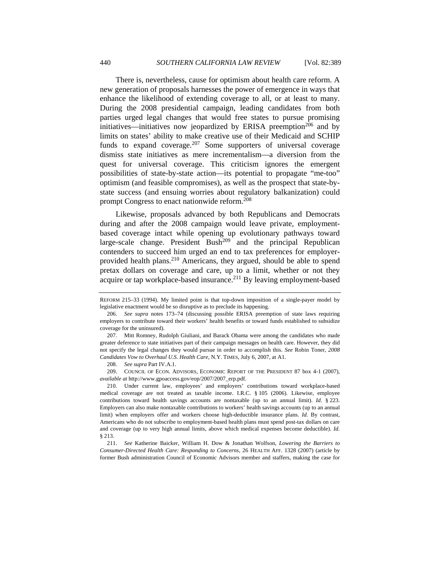There is, nevertheless, cause for optimism about health care reform. A new generation of proposals harnesses the power of emergence in ways that enhance the likelihood of extending coverage to all, or at least to many. During the 2008 presidential campaign, leading candidates from both parties urged legal changes that would free states to pursue promising initiatives—initiatives now jeopardized by ERISA preemption<sup>206</sup> and by limits on states' ability to make creative use of their Medicaid and SCHIP funds to expand coverage. $207$  Some supporters of universal coverage dismiss state initiatives as mere incrementalism—a diversion from the quest for universal coverage. This criticism ignores the emergent possibilities of state-by-state action—its potential to propagate "me-too" optimism (and feasible compromises), as well as the prospect that state-bystate success (and ensuing worries about regulatory balkanization) could prompt Congress to enact nationwide reform.<sup>208</sup>

Likewise, proposals advanced by both Republicans and Democrats during and after the 2008 campaign would leave private, employmentbased coverage intact while opening up evolutionary pathways toward large-scale change. President  $Bush^{209}$  and the principal Republican contenders to succeed him urged an end to tax preferences for employerprovided health plans.<sup>210</sup> Americans, they argued, should be able to spend pretax dollars on coverage and care, up to a limit, whether or not they acquire or tap workplace-based insurance.<sup>211</sup> By leaving employment-based

208. *See supra* Part IV.A.1.

 209. COUNCIL OF ECON. ADVISORS, ECONOMIC REPORT OF THE PRESIDENT 87 box 4-1 (2007), *available at* http://www.gpoaccess.gov/eop/2007/2007\_erp.pdf.

REFORM 215–33 (1994). My limited point is that top-down imposition of a single-payer model by legislative enactment would be so disruptive as to preclude its happening.

<sup>206.</sup> *See supra* notes 173–74 (discussing possible ERISA preemption of state laws requiring employers to contribute toward their workers' health benefits or toward funds established to subsidize coverage for the uninsured).

 <sup>207.</sup> Mitt Romney, Rudolph Giuliani, and Barack Obama were among the candidates who made greater deference to state initiatives part of their campaign messages on health care. However, they did not specify the legal changes they would pursue in order to accomplish this. *See* Robin Toner, *2008 Candidates Vow to Overhaul U.S. Health Care*, N.Y. TIMES, July 6, 2007, at A1.

 <sup>210.</sup> Under current law, employees' and employers' contributions toward workplace-based medical coverage are not treated as taxable income. I.R.C. § 105 (2006). Likewise, employee contributions toward health savings accounts are nontaxable (up to an annual limit). *Id.* § 223. Employers can also make nontaxable contributions to workers' health savings accounts (up to an annual limit) when employers offer and workers choose high-deductible insurance plans. *Id.* By contrast, Americans who do not subscribe to employment-based health plans must spend post-tax dollars on care and coverage (up to very high annual limits, above which medical expenses become deductible). *Id.* § 213.

<sup>211.</sup> *See* Katherine Baicker, William H. Dow & Jonathan Wolfson, *Lowering the Barriers to Consumer-Directed Health Care: Responding to Concerns*, 26 HEALTH AFF. 1328 (2007) (article by former Bush administration Council of Economic Advisors member and staffers, making the case for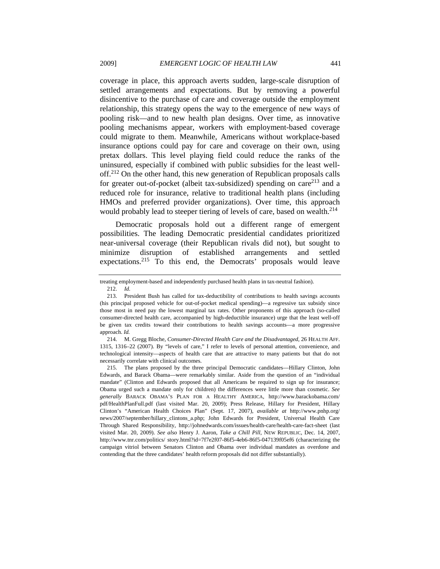coverage in place, this approach averts sudden, large-scale disruption of settled arrangements and expectations. But by removing a powerful disincentive to the purchase of care and coverage outside the employment relationship, this strategy opens the way to the emergence of new ways of pooling risk—and to new health plan designs. Over time, as innovative pooling mechanisms appear, workers with employment-based coverage could migrate to them. Meanwhile, Americans without workplace-based insurance options could pay for care and coverage on their own, using pretax dollars. This level playing field could reduce the ranks of the uninsured, especially if combined with public subsidies for the least welloff.212 On the other hand, this new generation of Republican proposals calls for greater out-of-pocket (albeit tax-subsidized) spending on care<sup>213</sup> and a reduced role for insurance, relative to traditional health plans (including HMOs and preferred provider organizations). Over time, this approach would probably lead to steeper tiering of levels of care, based on wealth.<sup>214</sup>

Democratic proposals hold out a different range of emergent possibilities. The leading Democratic presidential candidates prioritized near-universal coverage (their Republican rivals did not), but sought to minimize disruption of established arrangements and settled expectations.<sup>215</sup> To this end, the Democrats' proposals would leave

treating employment-based and independently purchased health plans in tax-neutral fashion).

<sup>212.</sup> *Id.*

 <sup>213.</sup> President Bush has called for tax-deductibility of contributions to health savings accounts (his principal proposed vehicle for out-of-pocket medical spending)—a regressive tax subsidy since those most in need pay the lowest marginal tax rates. Other proponents of this approach (so-called consumer-directed health care, accompanied by high-deductible insurance) urge that the least well-off be given tax credits toward their contributions to health savings accounts—a more progressive approach. *Id.* 

 <sup>214.</sup> M. Gregg Bloche, *Consumer-Directed Health Care and the Disadvantaged*, 26 HEALTH AFF. 1315, 1316–22 (2007). By "levels of care," I refer to levels of personal attention, convenience, and technological intensity—aspects of health care that are attractive to many patients but that do not necessarily correlate with clinical outcomes.

 <sup>215.</sup> The plans proposed by the three principal Democratic candidates—Hillary Clinton, John Edwards, and Barack Obama—were remarkably similar. Aside from the question of an "individual mandate" (Clinton and Edwards proposed that all Americans be required to sign up for insurance; Obama urged such a mandate only for children) the differences were little more than cosmetic. *See generally* BARACK OBAMA'S PLAN FOR A HEALTHY AMERICA, http://www.barackobama.com/ pdf/HealthPlanFull.pdf (last visited Mar. 20, 2009); Press Release, Hillary for President, Hillary Clinton's "American Health Choices Plan" (Sept. 17, 2007), *available at* http://www.pnhp.org/ news/2007/september/hillary\_clintons\_a.php; John Edwards for President, Universal Health Care Through Shared Responsibility, http://johnedwards.com/issues/health-care/health-care-fact-sheet (last visited Mar. 20, 2009). *See also* Henry J. Aaron, *Take a Chill Pill*, NEW REPUBLIC, Dec. 14, 2007, http://www.tnr.com/politics/ story.html?id=7f7e2f07-86f5-4eb6-86f5-047139f05ef6 (characterizing the campaign vitriol between Senators Clinton and Obama over individual mandates as overdone and contending that the three candidates' health reform proposals did not differ substantially).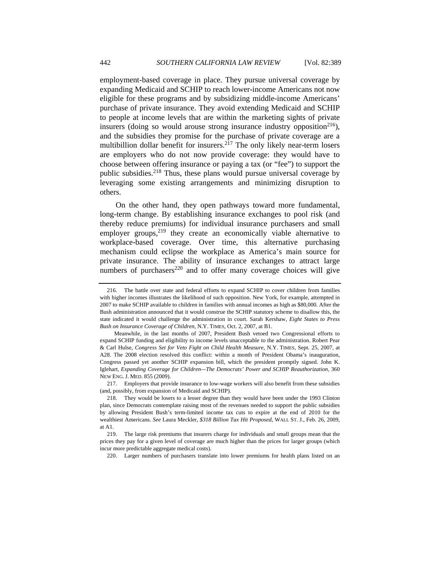employment-based coverage in place. They pursue universal coverage by expanding Medicaid and SCHIP to reach lower-income Americans not now eligible for these programs and by subsidizing middle-income Americans' purchase of private insurance. They avoid extending Medicaid and SCHIP to people at income levels that are within the marketing sights of private insurers (doing so would arouse strong insurance industry opposition<sup>216</sup>), and the subsidies they promise for the purchase of private coverage are a multibillion dollar benefit for insurers.<sup>217</sup> The only likely near-term losers are employers who do not now provide coverage: they would have to choose between offering insurance or paying a tax (or "fee") to support the public subsidies.<sup>218</sup> Thus, these plans would pursue universal coverage by leveraging some existing arrangements and minimizing disruption to others.

On the other hand, they open pathways toward more fundamental, long-term change. By establishing insurance exchanges to pool risk (and thereby reduce premiums) for individual insurance purchasers and small employer groups,<sup>219</sup> they create an economically viable alternative to workplace-based coverage. Over time, this alternative purchasing mechanism could eclipse the workplace as America's main source for private insurance. The ability of insurance exchanges to attract large numbers of purchasers<sup>220</sup> and to offer many coverage choices will give

 217. Employers that provide insurance to low-wage workers will also benefit from these subsidies (and, possibly, from expansion of Medicaid and SCHIP).

220. Larger numbers of purchasers translate into lower premiums for health plans listed on an

 <sup>216.</sup> The battle over state and federal efforts to expand SCHIP to cover children from families with higher incomes illustrates the likelihood of such opposition. New York, for example, attempted in 2007 to make SCHIP available to children in families with annual incomes as high as \$80,000. After the Bush administration announced that it would construe the SCHIP statutory scheme to disallow this, the state indicated it would challenge the administration in court. Sarah Kershaw, *Eight States to Press Bush on Insurance Coverage of Children*, N.Y. TIMES, Oct. 2, 2007, at B1.

Meanwhile, in the last months of 2007, President Bush vetoed two Congressional efforts to expand SCHIP funding and eligibility to income levels unacceptable to the administration. Robert Pear & Carl Hulse, *Congress Set for Veto Fight on Child Health Measure*, N.Y. TIMES, Sept. 25, 2007, at A28. The 2008 election resolved this conflict: within a month of President Obama's inauguration, Congress passed yet another SCHIP expansion bill, which the president promptly signed. John K. Iglehart, *Expanding Coverage for Children—The Democrats' Power and SCHIP Reauthorization*, 360 NEW ENG. J. MED. 855 (2009).

 <sup>218.</sup> They would be losers to a lesser degree than they would have been under the 1993 Clinton plan, since Democrats contemplate raising most of the revenues needed to support the public subsidies by allowing President Bush's term-limited income tax cuts to expire at the end of 2010 for the wealthiest Americans. *See* Laura Meckler, *\$318 Billion Tax Hit Proposed*, WALL ST. J., Feb. 26, 2009, at A1.

 <sup>219.</sup> The large risk premiums that insurers charge for individuals and small groups mean that the prices they pay for a given level of coverage are much higher than the prices for larger groups (which incur more predictable aggregate medical costs).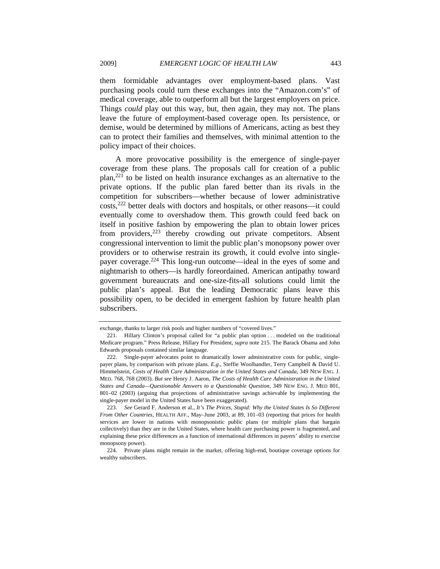them formidable advantages over employment-based plans. Vast purchasing pools could turn these exchanges into the "Amazon.com's" of medical coverage, able to outperform all but the largest employers on price. Things *could* play out this way, but, then again, they may not. The plans leave the future of employment-based coverage open. Its persistence, or demise, would be determined by millions of Americans, acting as best they can to protect their families and themselves, with minimal attention to the policy impact of their choices.

A more provocative possibility is the emergence of single-payer coverage from these plans. The proposals call for creation of a public  $plan<sub>1</sub><sup>221</sup>$  to be listed on health insurance exchanges as an alternative to the private options. If the public plan fared better than its rivals in the competition for subscribers—whether because of lower administrative costs,222 better deals with doctors and hospitals, or other reasons—it could eventually come to overshadow them. This growth could feed back on itself in positive fashion by empowering the plan to obtain lower prices from providers,  $223$  thereby crowding out private competitors. Absent congressional intervention to limit the public plan's monopsony power over providers or to otherwise restrain its growth, it could evolve into singlepayer coverage.<sup>224</sup> This long-run outcome—ideal in the eyes of some and nightmarish to others—is hardly foreordained. American antipathy toward government bureaucrats and one-size-fits-all solutions could limit the public plan's appeal. But the leading Democratic plans leave this possibility open, to be decided in emergent fashion by future health plan subscribers.

exchange, thanks to larger risk pools and higher numbers of "covered lives."

 <sup>221.</sup> Hillary Clinton's proposal called for "a public plan option . . . modeled on the traditional Medicare program." Press Release, Hillary For President, *supra* note 215. The Barack Obama and John Edwards proposals contained similar language.

 <sup>222.</sup> Single-payer advocates point to dramatically lower administrative costs for public, singlepayer plans, by comparison with private plans. *E.g.*, Steffie Woolhandler, Terry Campbell & David U. Himmelstein, *Costs of Health Care Administration in the United States and Canada*, 349 NEW ENG. J. MED. 768, 768 (2003). *But see* Henry J. Aaron, *The Costs of Health Care Administration in the United States and Canada—Questionable Answers to a Questionable Question*, 349 NEW ENG. J. MED 801, 801–02 (2003) (arguing that projections of administrative savings achievable by implementing the single-payer model in the United States have been exaggerated).

 <sup>223.</sup> *See* Gerard F. Anderson et al., *It's The Prices, Stupid: Why the United States Is So Different From Other Countries*, HEALTH AFF., May–June 2003, at 89, 101–03 (reporting that prices for health services are lower in nations with monopsonistic public plans (or multiple plans that bargain collectively) than they are in the United States, where health care purchasing power is fragmented, and explaining these price differences as a function of international differences in payers' ability to exercise monopsony power).

 <sup>224.</sup> Private plans might remain in the market, offering high-end, boutique coverage options for wealthy subscribers.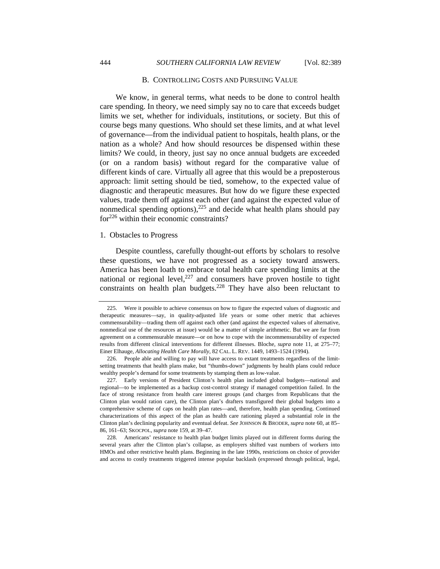### B. CONTROLLING COSTS AND PURSUING VALUE

We know, in general terms, what needs to be done to control health care spending. In theory, we need simply say no to care that exceeds budget limits we set, whether for individuals, institutions, or society. But this of course begs many questions. Who should set these limits, and at what level of governance—from the individual patient to hospitals, health plans, or the nation as a whole? And how should resources be dispensed within these limits? We could, in theory, just say no once annual budgets are exceeded (or on a random basis) without regard for the comparative value of different kinds of care. Virtually all agree that this would be a preposterous approach: limit setting should be tied, somehow, to the expected value of diagnostic and therapeutic measures. But how do we figure these expected values, trade them off against each other (and against the expected value of nonmedical spending options), $225$  and decide what health plans should pay for<sup>226</sup> within their economic constraints?

#### 1. Obstacles to Progress

Despite countless, carefully thought-out efforts by scholars to resolve these questions, we have not progressed as a society toward answers. America has been loath to embrace total health care spending limits at the national or regional level,<sup>227</sup> and consumers have proven hostile to tight constraints on health plan budgets.<sup>228</sup> They have also been reluctant to

 <sup>225.</sup> Were it possible to achieve consensus on how to figure the expected values of diagnostic and therapeutic measures—say, in quality-adjusted life years or some other metric that achieves commensurability—trading them off against each other (and against the expected values of alternative, nonmedical use of the resources at issue) would be a matter of simple arithmetic. But we are far from agreement on a commensurable measure—or on how to cope with the incommensurability of expected results from different clinical interventions for different illnesses. Bloche, *supra* note 11, at 275–77; Einer Elhauge, *Allocating Health Care Morally*, 82 CAL. L. REV. 1449, 1493–1524 (1994).

 <sup>226.</sup> People able and willing to pay will have access to extant treatments regardless of the limitsetting treatments that health plans make, but "thumbs-down" judgments by health plans could reduce wealthy people's demand for some treatments by stamping them as low-value.

 <sup>227.</sup> Early versions of President Clinton's health plan included global budgets—national and regional—to be implemented as a backup cost-control strategy if managed competition failed. In the face of strong resistance from health care interest groups (and charges from Republicans that the Clinton plan would ration care), the Clinton plan's drafters transfigured their global budgets into a comprehensive scheme of caps on health plan rates—and, therefore, health plan spending. Continued characterizations of this aspect of the plan as health care rationing played a substantial role in the Clinton plan's declining popularity and eventual defeat. *See* JOHNSON & BRODER, *supra* note 60, at 85– 86, 161–63; SKOCPOL, *supra* note 159, at 39–47.

<sup>228.</sup> Americans' resistance to health plan budget limits played out in different forms during the several years after the Clinton plan's collapse, as employers shifted vast numbers of workers into HMOs and other restrictive health plans. Beginning in the late 1990s, restrictions on choice of provider and access to costly treatments triggered intense popular backlash (expressed through political, legal,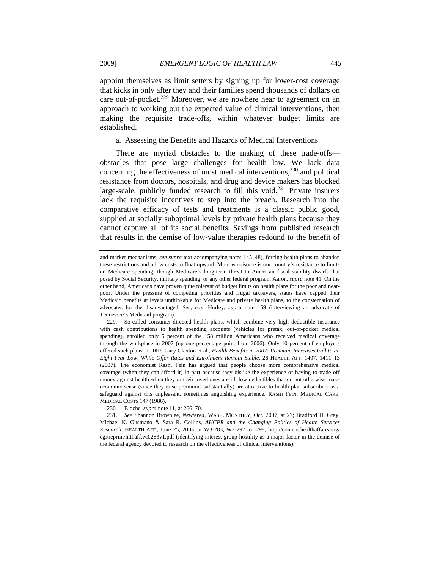appoint themselves as limit setters by signing up for lower-cost coverage that kicks in only after they and their families spend thousands of dollars on care out-of-pocket.<sup>229</sup> Moreover, we are nowhere near to agreement on an approach to working out the expected value of clinical interventions, then making the requisite trade-offs, within whatever budget limits are established.

a. Assessing the Benefits and Hazards of Medical Interventions

There are myriad obstacles to the making of these trade-offs obstacles that pose large challenges for health law. We lack data concerning the effectiveness of most medical interventions,  $230$  and political resistance from doctors, hospitals, and drug and device makers has blocked large-scale, publicly funded research to fill this void.<sup>231</sup> Private insurers lack the requisite incentives to step into the breach. Research into the comparative efficacy of tests and treatments is a classic public good, supplied at socially suboptimal levels by private health plans because they cannot capture all of its social benefits. Savings from published research that results in the demise of low-value therapies redound to the benefit of

and market mechanisms, *see supra* text accompanying notes 145–48), forcing health plans to abandon these restrictions and allow costs to float upward. More worrisome is our country's resistance to limits on Medicare spending, though Medicare's long-term threat to American fiscal stability dwarfs that posed by Social Security, military spending, or any other federal program. Aaron, *supra* note 41. On the other hand, Americans have proven quite tolerant of budget limits on health plans for the poor and nearpoor. Under the pressure of competing priorities and frugal taxpayers, states have capped their Medicaid benefits at levels unthinkable for Medicare and private health plans, to the consternation of advocates for the disadvantaged. *See, e.g.*, Hurley, *supra* note 169 (interviewing an advocate of Tennessee's Medicaid program).

 <sup>229.</sup> So-called consumer-directed health plans, which combine very high deductible insurance with cash contributions to health spending accounts (vehicles for pretax, out-of-pocket medical spending), enrolled only 5 percent of the 158 million Americans who received medical coverage through the workplace in 2007 (up one percentage point from 2006). Only 10 percent of employers offered such plans in 2007. Gary Claxton et al., *Health Benefits in 2007: Premium Increases Fall to an Eight-Year Low, While Offer Rates and Enrollment Remain Stable*, 26 HEALTH AFF. 1407, 1411–13 (2007). The economist Rashi Fein has argued that people choose more comprehensive medical coverage (when they can afford it) in part because they dislike the experience of having to trade off money against health when they or their loved ones are ill; low deductibles that do not otherwise make economic sense (since they raise premiums substantially) are attractive to health plan subscribers as a safeguard against this unpleasant, sometimes anguishing experience. RASHI FEIN, MEDICAL CARE, MEDICAL COSTS 147 (1986).

 <sup>230.</sup> Bloche, *supra* note 11, at 266–70.

<sup>231.</sup> *See* Shannon Brownlee, *Newtered*, WASH. MONTHLY, Oct. 2007, at 27; Bradford H. Gray, Michael K. Gusmano & Sara R. Collins, *AHCPR and the Changing Politics of Health Services Research*, HEALTH AFF., June 25, 2003, at W3-283, W3-297 to -298, http://content.healthaffairs.org/ cgi/reprint/hlthaff.w3.283v1.pdf (identifying interest group hostility as a major factor in the demise of the federal agency devoted to research on the effectiveness of clinical interventions).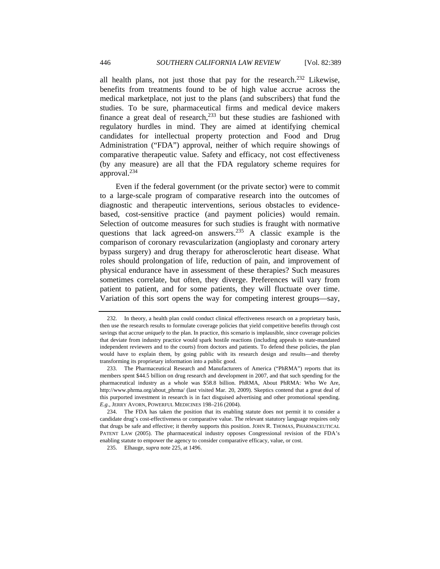all health plans, not just those that pay for the research.<sup>232</sup> Likewise, benefits from treatments found to be of high value accrue across the medical marketplace, not just to the plans (and subscribers) that fund the studies. To be sure, pharmaceutical firms and medical device makers finance a great deal of research, $233$  but these studies are fashioned with regulatory hurdles in mind. They are aimed at identifying chemical candidates for intellectual property protection and Food and Drug Administration ("FDA") approval, neither of which require showings of comparative therapeutic value. Safety and efficacy, not cost effectiveness (by any measure) are all that the FDA regulatory scheme requires for approval.234

Even if the federal government (or the private sector) were to commit to a large-scale program of comparative research into the outcomes of diagnostic and therapeutic interventions, serious obstacles to evidencebased, cost-sensitive practice (and payment policies) would remain. Selection of outcome measures for such studies is fraught with normative questions that lack agreed-on answers.235 A classic example is the comparison of coronary revascularization (angioplasty and coronary artery bypass surgery) and drug therapy for atherosclerotic heart disease. What roles should prolongation of life, reduction of pain, and improvement of physical endurance have in assessment of these therapies? Such measures sometimes correlate, but often, they diverge. Preferences will vary from patient to patient, and for some patients, they will fluctuate over time. Variation of this sort opens the way for competing interest groups—say,

 <sup>232.</sup> In theory, a health plan could conduct clinical effectiveness research on a proprietary basis, then use the research results to formulate coverage policies that yield competitive benefits through cost savings that accrue *uniquely* to the plan. In practice, this scenario is implausible, since coverage policies that deviate from industry practice would spark hostile reactions (including appeals to state-mandated independent reviewers and to the courts) from doctors and patients. To defend these policies, the plan would have to explain them, by going public with its research design and results—and thereby transforming its proprietary information into a public good.

 <sup>233.</sup> The Pharmaceutical Research and Manufacturers of America ("PhRMA") reports that its members spent \$44.5 billion on drug research and development in 2007, and that such spending for the pharmaceutical industry as a whole was \$58.8 billion. PhRMA, About PhRMA: Who We Are, http://www.phrma.org/about\_phrma/ (last visited Mar. 20, 2009). Skeptics contend that a great deal of this purported investment in research is in fact disguised advertising and other promotional spending. *E.g.*, JERRY AVORN, POWERFUL MEDICINES 198–216 (2004).

 <sup>234.</sup> The FDA has taken the position that its enabling statute does not permit it to consider a candidate drug's cost-effectiveness or comparative value. The relevant statutory language requires only that drugs be safe and effective; it thereby supports this position. JOHN R. THOMAS, PHARMACEUTICAL PATENT LAW (2005). The pharmaceutical industry opposes Congressional revision of the FDA's enabling statute to empower the agency to consider comparative efficacy, value, or cost.

 <sup>235.</sup> Elhauge, *supra* note 225, at 1496.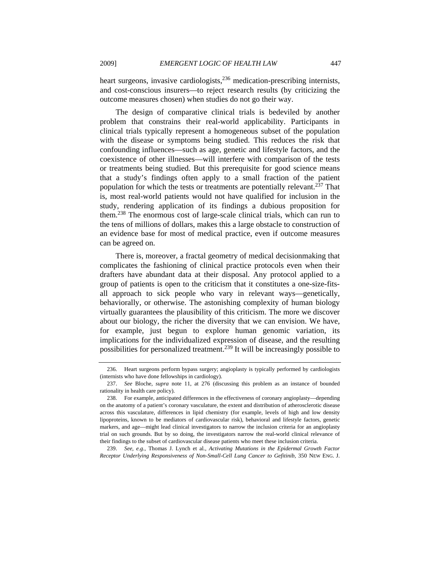heart surgeons, invasive cardiologists, $2^{36}$  medication-prescribing internists, and cost-conscious insurers—to reject research results (by criticizing the outcome measures chosen) when studies do not go their way.

The design of comparative clinical trials is bedeviled by another problem that constrains their real-world applicability. Participants in clinical trials typically represent a homogeneous subset of the population with the disease or symptoms being studied. This reduces the risk that confounding influences—such as age, genetic and lifestyle factors, and the coexistence of other illnesses—will interfere with comparison of the tests or treatments being studied. But this prerequisite for good science means that a study's findings often apply to a small fraction of the patient population for which the tests or treatments are potentially relevant.<sup>237</sup> That is, most real-world patients would not have qualified for inclusion in the study, rendering application of its findings a dubious proposition for them.238 The enormous cost of large-scale clinical trials, which can run to the tens of millions of dollars, makes this a large obstacle to construction of an evidence base for most of medical practice, even if outcome measures can be agreed on.

There is, moreover, a fractal geometry of medical decisionmaking that complicates the fashioning of clinical practice protocols even when their drafters have abundant data at their disposal. Any protocol applied to a group of patients is open to the criticism that it constitutes a one-size-fitsall approach to sick people who vary in relevant ways—genetically, behaviorally, or otherwise. The astonishing complexity of human biology virtually guarantees the plausibility of this criticism. The more we discover about our biology, the richer the diversity that we can envision. We have, for example, just begun to explore human genomic variation, its implications for the individualized expression of disease, and the resulting possibilities for personalized treatment.239 It will be increasingly possible to

239. *See, e.g.*, Thomas J. Lynch et al., *Activating Mutations in the Epidermal Growth Factor Receptor Underlying Responsiveness of Non-Small-Cell Lung Cancer to Gefitinib*, 350 NEW ENG. J.

 <sup>236.</sup> Heart surgeons perform bypass surgery; angioplasty is typically performed by cardiologists (internists who have done fellowships in cardiology).

 <sup>237.</sup> *See* Bloche, *supra* note 11, at 276 (discussing this problem as an instance of bounded rationality in health care policy).

 <sup>238.</sup> For example, anticipated differences in the effectiveness of coronary angioplasty—depending on the anatomy of a patient's coronary vasculature, the extent and distribution of atherosclerotic disease across this vasculature, differences in lipid chemistry (for example, levels of high and low density lipoproteins, known to be mediators of cardiovascular risk), behavioral and lifestyle factors, genetic markers, and age—might lead clinical investigators to narrow the inclusion criteria for an angioplasty trial on such grounds. But by so doing, the investigators narrow the real-world clinical relevance of their findings to the subset of cardiovascular disease patients who meet these inclusion criteria.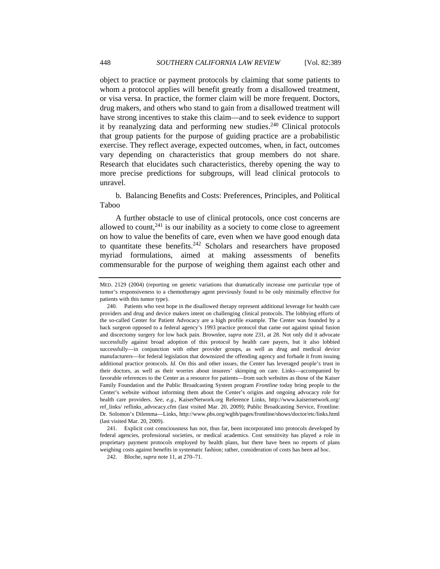object to practice or payment protocols by claiming that some patients to whom a protocol applies will benefit greatly from a disallowed treatment, or visa versa. In practice, the former claim will be more frequent. Doctors, drug makers, and others who stand to gain from a disallowed treatment will have strong incentives to stake this claim—and to seek evidence to support it by reanalyzing data and performing new studies. $240$  Clinical protocols that group patients for the purpose of guiding practice are a probabilistic exercise. They reflect average, expected outcomes, when, in fact, outcomes vary depending on characteristics that group members do not share. Research that elucidates such characteristics, thereby opening the way to more precise predictions for subgroups, will lead clinical protocols to unravel.

b. Balancing Benefits and Costs: Preferences, Principles, and Political Taboo

A further obstacle to use of clinical protocols, once cost concerns are allowed to count, $241$  is our inability as a society to come close to agreement on how to value the benefits of care, even when we have good enough data to quantitate these benefits.<sup>242</sup> Scholars and researchers have proposed myriad formulations, aimed at making assessments of benefits commensurable for the purpose of weighing them against each other and

 241. Explicit cost consciousness has not, thus far, been incorporated into protocols developed by federal agencies, professional societies, or medical academics. Cost sensitivity has played a role in proprietary payment protocols employed by health plans, but there have been no reports of plans weighing costs against benefits in systematic fashion; rather, consideration of costs has been ad hoc.

242. Bloche, *supra* note 11, at 270–71.

MED. 2129 (2004) (reporting on genetic variations that dramatically increase one particular type of tumor's responsiveness to a chemotherapy agent previously found to be only minimally effective for patients with this tumor type).

 <sup>240.</sup> Patients who vest hope in the disallowed therapy represent additional leverage for health care providers and drug and device makers intent on challenging clinical protocols. The lobbying efforts of the so-called Center for Patient Advocacy are a high profile example. The Center was founded by a back surgeon opposed to a federal agency's 1993 practice protocol that came out against spinal fusion and discectomy surgery for low back pain. Brownlee, *supra* note 231, at 28. Not only did it advocate successfully against broad adoption of this protocol by health care payers, but it also lobbied successfully—in conjunction with other provider groups, as well as drug and medical device manufacturers—for federal legislation that downsized the offending agency and forbade it from issuing additional practice protocols. *Id.* On this and other issues, the Center has leveraged people's trust in their doctors, as well as their worries about insurers' skimping on care. Links—accompanied by favorable references to the Center as a resource for patients—from such websites as those of the Kaiser Family Foundation and the Public Broadcasting System program *Frontline* today bring people to the Center's website without informing them about the Center's origins and ongoing advocacy role for health care providers. *See, e.g.*, KaiserNetwork.org Reference Links, http://www.kaisernetwork.org/ ref\_links/ reflinks\_advocacy.cfm (last visited Mar. 20, 2009); Public Broadcasting Service, Frontline: Dr. Solomon's Dilemma—Links, http://www.pbs.org/wgbh/pages/frontline/shows/doctor/etc/links.html (last visited Mar. 20, 2009).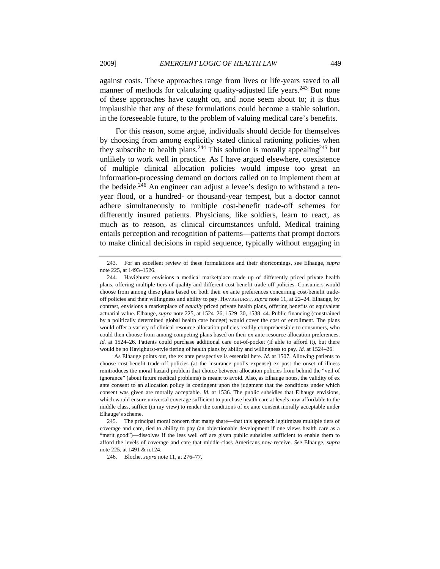against costs. These approaches range from lives or life-years saved to all manner of methods for calculating quality-adjusted life years.<sup>243</sup> But none of these approaches have caught on, and none seem about to; it is thus implausible that any of these formulations could become a stable solution, in the foreseeable future, to the problem of valuing medical care's benefits.

For this reason, some argue, individuals should decide for themselves by choosing from among explicitly stated clinical rationing policies when they subscribe to health plans.<sup>244</sup> This solution is morally appealing<sup>245</sup> but unlikely to work well in practice. As I have argued elsewhere, coexistence of multiple clinical allocation policies would impose too great an information-processing demand on doctors called on to implement them at the bedside.<sup>246</sup> An engineer can adjust a levee's design to withstand a tenyear flood, or a hundred- or thousand-year tempest, but a doctor cannot adhere simultaneously to multiple cost-benefit trade-off schemes for differently insured patients. Physicians, like soldiers, learn to react, as much as to reason, as clinical circumstances unfold. Medical training entails perception and recognition of patterns—patterns that prompt doctors to make clinical decisions in rapid sequence, typically without engaging in

As Elhauge points out, the ex ante perspective is essential here. *Id*. at 1507. Allowing patients to choose cost-benefit trade-off policies (at the insurance pool's expense) ex post the onset of illness reintroduces the moral hazard problem that choice between allocation policies from behind the "veil of ignorance" (about future medical problems) is meant to avoid. Also, as Elhauge notes, the validity of ex ante consent to an allocation policy is contingent upon the judgment that the conditions under which consent was given are morally acceptable. *Id.* at 1536. The public subsidies that Elhauge envisions, which would ensure universal coverage sufficient to purchase health care at levels now affordable to the middle class, suffice (in my view) to render the conditions of ex ante consent morally acceptable under Elhauge's scheme.

246. Bloche, *supra* note 11, at 276–77.

 <sup>243.</sup> For an excellent review of these formulations and their shortcomings, see Elhauge, *supra* note 225, at 1493–1526.

 <sup>244.</sup> Havighurst envisions a medical marketplace made up of differently priced private health plans, offering multiple tiers of quality and different cost-benefit trade-off policies. Consumers would choose from among these plans based on both their ex ante preferences concerning cost-benefit tradeoff policies and their willingness and ability to pay. HAVIGHURST, *supra* note 11, at 22–24. Elhauge, by contrast, envisions a marketplace of *equally* priced private health plans, offering benefits of equivalent actuarial value. Elhauge, *supra* note 225, at 1524–26, 1529–30, 1538–44. Public financing (constrained by a politically determined global health care budget) would cover the cost of enrollment. The plans would offer a variety of clinical resource allocation policies readily comprehensible to consumers, who could then choose from among competing plans based on their ex ante resource allocation preferences. *Id.* at 1524–26. Patients could purchase additional care out-of-pocket (if able to afford it), but there would be no Havighurst-style tiering of health plans by ability and willingness to pay. *Id.* at 1524–26.

 <sup>245.</sup> The principal moral concern that many share—that this approach legitimizes multiple tiers of coverage and care, tied to ability to pay (an objectionable development if one views health care as a "merit good")—dissolves if the less well off are given public subsidies sufficient to enable them to afford the levels of coverage and care that middle-class Americans now receive. *See* Elhauge, *supra* note 225, at 1491 & n.124.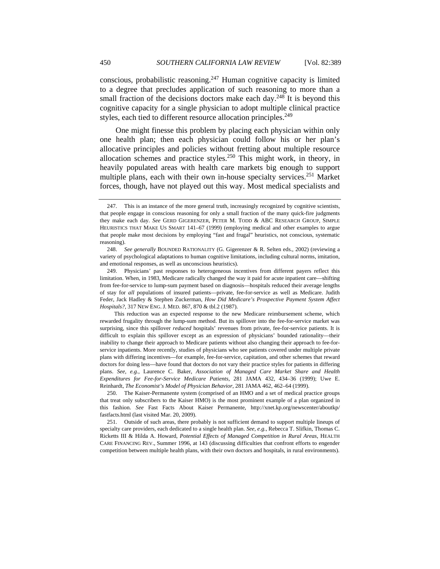conscious, probabilistic reasoning.<sup>247</sup> Human cognitive capacity is limited to a degree that precludes application of such reasoning to more than a small fraction of the decisions doctors make each day.<sup>248</sup> It is beyond this cognitive capacity for a single physician to adopt multiple clinical practice styles, each tied to different resource allocation principles.<sup>249</sup>

One might finesse this problem by placing each physician within only one health plan; then each physician could follow his or her plan's allocative principles and policies without fretting about multiple resource allocation schemes and practice styles.<sup>250</sup> This might work, in theory, in heavily populated areas with health care markets big enough to support multiple plans, each with their own in-house specialty services.<sup>251</sup> Market forces, though, have not played out this way. Most medical specialists and

 250. The Kaiser-Permanente system (comprised of an HMO and a set of medical practice groups that treat only subscribers to the Kaiser HMO) is the most prominent example of a plan organized in this fashion. *See* Fast Facts About Kaiser Permanente, http://xnet.kp.org/newscenter/aboutkp/ fastfacts.html (last visited Mar. 20, 2009).

 251. Outside of such areas, there probably is not sufficient demand to support multiple lineups of specialty care providers, each dedicated to a single health plan. *See, e.g.*, Rebecca T. Slifkin, Thomas C. Ricketts III & Hilda A. Howard, *Potential Effects of Managed Competition in Rural Areas*, HEALTH CARE FINANCING REV., Summer 1996, at 143 (discussing difficulties that confront efforts to engender competition between multiple health plans, with their own doctors and hospitals, in rural environments).

 <sup>247.</sup> This is an instance of the more general truth, increasingly recognized by cognitive scientists, that people engage in conscious reasoning for only a small fraction of the many quick-fire judgments they make each day. *See* GERD GIGERENZER, PETER M. TODD & ABC RESEARCH GROUP, SIMPLE HEURISTICS THAT MAKE US SMART 141–67 (1999) (employing medical and other examples to argue that people make most decisions by employing "fast and frugal" heuristics, not conscious, systematic reasoning).

<sup>248.</sup> *See generally* BOUNDED RATIONALITY (G. Gigerenzer & R. Selten eds., 2002) (reviewing a variety of psychological adaptations to human cognitive limitations, including cultural norms, imitation, and emotional responses, as well as unconscious heuristics).

 <sup>249.</sup> Physicians' past responses to heterogeneous incentives from different payers reflect this limitation. When, in 1983, Medicare radically changed the way it paid for acute inpatient care—shifting from fee-for-service to lump-sum payment based on diagnosis—hospitals reduced their average lengths of stay for *all* populations of insured patients—private, fee-for-service as well as Medicare. Judith Feder, Jack Hadley & Stephen Zuckerman, *How Did Medicare's Prospective Payment System Affect Hospitals?*, 317 NEW ENG. J. MED. 867, 870 & tbl.2 (1987).

This reduction was an expected response to the new Medicare reimbursement scheme, which rewarded frugality through the lump-sum method. But its spillover into the fee-for-service market was surprising, since this spillover *reduced* hospitals' revenues from private, fee-for-service patients. It is difficult to explain this spillover except as an expression of physicians' bounded rationality—their inability to change their approach to Medicare patients without also changing their approach to fee-forservice inpatients. More recently, studies of physicians who see patients covered under multiple private plans with differing incentives—for example, fee-for-service, capitation, and other schemes that reward doctors for doing less—have found that doctors do not vary their practice styles for patients in differing plans. *See, e.g.*, Laurence C. Baker, *Association of Managed Care Market Share and Health Expenditures for Fee-for-Service Medicare Patients*, 281 JAMA 432, 434–36 (1999); Uwe E. Reinhardt, *The Economist's Model of Physician Behavior*, 281 JAMA 462, 462–64 (1999).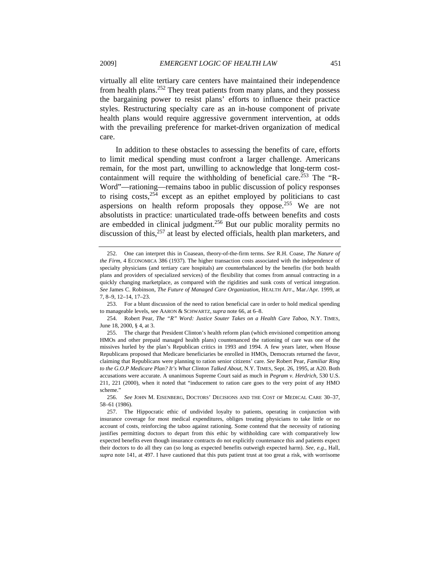virtually all elite tertiary care centers have maintained their independence from health plans.<sup>252</sup> They treat patients from many plans, and they possess the bargaining power to resist plans' efforts to influence their practice styles. Restructuring specialty care as an in-house component of private health plans would require aggressive government intervention, at odds with the prevailing preference for market-driven organization of medical care.

In addition to these obstacles to assessing the benefits of care, efforts to limit medical spending must confront a larger challenge. Americans remain, for the most part, unwilling to acknowledge that long-term costcontainment will require the withholding of beneficial care.<sup>253</sup> The "R-Word"—rationing—remains taboo in public discussion of policy responses to rising  $costs$ ,<sup>254</sup> except as an epithet employed by politicians to cast aspersions on health reform proposals they oppose.<sup>255</sup> We are not absolutists in practice: unarticulated trade-offs between benefits and costs are embedded in clinical judgment.<sup>256</sup> But our public morality permits no discussion of this,  $257$  at least by elected officials, health plan marketers, and

 <sup>252.</sup> One can interpret this in Coasean, theory-of-the-firm terms. *See* R.H. Coase, *The Nature of the Firm*, 4 ECONOMICA 386 (1937). The higher transaction costs associated with the independence of specialty physicians (and tertiary care hospitals) are counterbalanced by the benefits (for both health plans and providers of specialized services) of the flexibility that comes from annual contracting in a quickly changing marketplace, as compared with the rigidities and sunk costs of vertical integration. *See* James C. Robinson, *The Future of Managed Care Organization*, HEALTH AFF., Mar./Apr. 1999, at 7, 8–9, 12–14, 17–23.

 <sup>253.</sup> For a blunt discussion of the need to ration beneficial care in order to hold medical spending to manageable levels, see AARON & SCHWARTZ, *supra* note 66, at 6–8.

 <sup>254.</sup> Robert Pear, *The "R" Word: Justice Souter Takes on a Health Care Taboo*, N.Y. TIMES, June 18, 2000, § 4, at 3.

 <sup>255.</sup> The charge that President Clinton's health reform plan (which envisioned competition among HMOs and other prepaid managed health plans) countenanced the rationing of care was one of the missives hurled by the plan's Republican critics in 1993 and 1994. A few years later, when House Republicans proposed that Medicare beneficiaries be enrolled in HMOs, Democrats returned the favor, claiming that Republicans were planning to ration senior citizens' care. *See* Robert Pear, *Familiar Ring to the G.O.P Medicare Plan? It's What Clinton Talked About*, N.Y. TIMES, Sept. 26, 1995, at A20. Both accusations were accurate. A unanimous Supreme Court said as much in *Pegram v. Herdrich*, 530 U.S. 211, 221 (2000), when it noted that "inducement to ration care goes to the very point of any HMO scheme."

 <sup>256.</sup> *See* JOHN M. EISENBERG, DOCTORS' DECISIONS AND THE COST OF MEDICAL CARE 30–37, 58–61 (1986).

 <sup>257.</sup> The Hippocratic ethic of undivided loyalty to patients, operating in conjunction with insurance coverage for most medical expenditures, obliges treating physicians to take little or no account of costs, reinforcing the taboo against rationing. Some contend that the necessity of rationing justifies permitting doctors to depart from this ethic by withholding care with comparatively low expected benefits even though insurance contracts do not explicitly countenance this and patients expect their doctors to do all they can (so long as expected benefits outweigh expected harm). *See, e.g.*, Hall, *supra* note 141, at 497. I have cautioned that this puts patient trust at too great a risk, with worrisome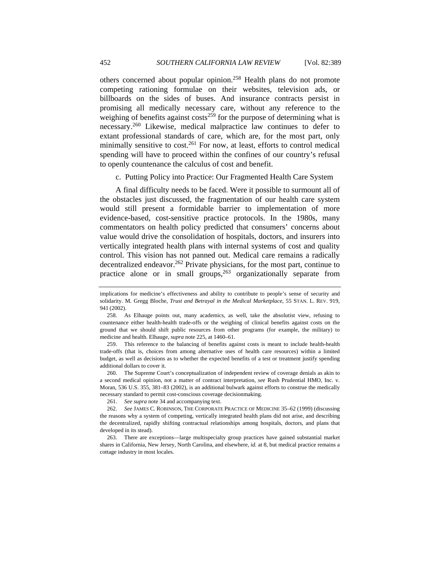others concerned about popular opinion.258 Health plans do not promote competing rationing formulae on their websites, television ads, or billboards on the sides of buses. And insurance contracts persist in promising all medically necessary care, without any reference to the weighing of benefits against  $\cos^{-259}$  for the purpose of determining what is necessary.260 Likewise, medical malpractice law continues to defer to extant professional standards of care, which are, for the most part, only minimally sensitive to cost.<sup>261</sup> For now, at least, efforts to control medical spending will have to proceed within the confines of our country's refusal to openly countenance the calculus of cost and benefit.

c. Putting Policy into Practice: Our Fragmented Health Care System

A final difficulty needs to be faced. Were it possible to surmount all of the obstacles just discussed, the fragmentation of our health care system would still present a formidable barrier to implementation of more evidence-based, cost-sensitive practice protocols. In the 1980s, many commentators on health policy predicted that consumers' concerns about value would drive the consolidation of hospitals, doctors, and insurers into vertically integrated health plans with internal systems of cost and quality control. This vision has not panned out. Medical care remains a radically decentralized endeavor.<sup>262</sup> Private physicians, for the most part, continue to practice alone or in small groups,<sup>263</sup> organizationally separate from

implications for medicine's effectiveness and ability to contribute to people's sense of security and solidarity. M. Gregg Bloche, *Trust and Betrayal in the Medical Marketplace*, 55 STAN. L. REV. 919, 941 (2002).

 <sup>258.</sup> As Elhauge points out, many academics, as well, take the absolutist view, refusing to countenance either health-health trade-offs or the weighing of clinical benefits against costs on the ground that we should shift public resources from other programs (for example, the military) to medicine and health. Elhauge, *supra* note 225, at 1460–61.

 <sup>259.</sup> This reference to the balancing of benefits against costs is meant to include health-health trade-offs (that is, choices from among alternative uses of health care resources) within a limited budget, as well as decisions as to whether the expected benefits of a test or treatment justify spending additional dollars to cover it.

 <sup>260.</sup> The Supreme Court's conceptualization of independent review of coverage denials as akin to a second medical opinion, not a matter of contract interpretation, *see* Rush Prudential HMO, Inc. v. Moran, 536 U.S. 355, 381–83 (2002), is an additional bulwark against efforts to construe the medically necessary standard to permit cost-conscious coverage decisionmaking.

<sup>261.</sup> *See supra* note 34 and accompanying text.

<sup>262.</sup> *See* JAMES C. ROBINSON, THE CORPORATE PRACTICE OF MEDICINE 35–62 (1999) (discussing the reasons why a system of competing, vertically integrated health plans did not arise, and describing the decentralized, rapidly shifting contractual relationships among hospitals, doctors, and plans that developed in its stead).

 <sup>263.</sup> There are exceptions—large multispecialty group practices have gained substantial market shares in California, New Jersey, North Carolina, and elsewhere, *id.* at 8, but medical practice remains a cottage industry in most locales.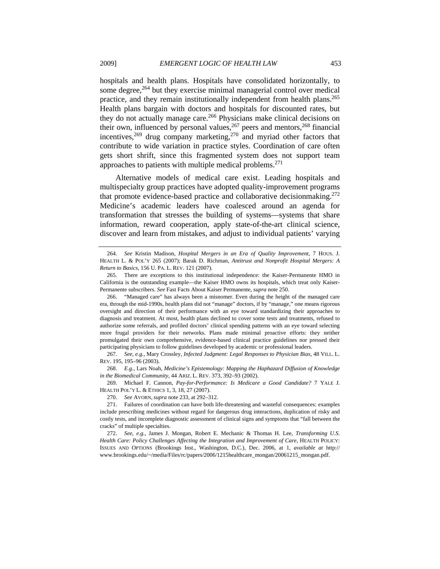hospitals and health plans. Hospitals have consolidated horizontally, to some degree,<sup>264</sup> but they exercise minimal managerial control over medical practice, and they remain institutionally independent from health plans.<sup>265</sup> Health plans bargain with doctors and hospitals for discounted rates, but they do not actually manage care.<sup>266</sup> Physicians make clinical decisions on their own, influenced by personal values,  $267$  peers and mentors,  $268$  financial incentives,  $269$  drug company marketing,  $270$  and myriad other factors that contribute to wide variation in practice styles. Coordination of care often gets short shrift, since this fragmented system does not support team approaches to patients with multiple medical problems.<sup>271</sup>

Alternative models of medical care exist. Leading hospitals and multispecialty group practices have adopted quality-improvement programs that promote evidence-based practice and collaborative decisionmaking.272 Medicine's academic leaders have coalesced around an agenda for transformation that stresses the building of systems—systems that share information, reward cooperation, apply state-of-the-art clinical science, discover and learn from mistakes, and adjust to individual patients' varying

267. *See, e.g.*, Mary Crossley, *Infected Judgment: Legal Responses to Physician Bias*, 48 VILL. L. REV. 195, 195–96 (2003).

268. *E.g.*, Lars Noah, *Medicine's Epistemology: Mapping the Haphazard Diffusion of Knowledge in the Biomedical Community*, 44 ARIZ. L. REV. 373, 392–93 (2002).

 269. Michael F. Cannon, *Pay-for-Performance: Is Medicare a Good Candidate?* 7 YALE J. HEALTH POL'Y L. & ETHICS 1, 3, 18, 27 (2007).

270. *See* AVORN, *supra* note 233, at 292–312.

 <sup>264.</sup> *See* Kristin Madison, *Hospital Mergers in an Era of Quality Improvement*, 7 HOUS. J. HEALTH L. & POL'Y 265 (2007); Barak D. Richman, *Antitrust and Nonprofit Hospital Mergers: A Return to Basics*, 156 U. PA. L. REV. 121 (2007).

 <sup>265.</sup> There are exceptions to this institutional independence: the Kaiser-Permanente HMO in California is the outstanding example—the Kaiser HMO owns its hospitals, which treat only Kaiser-Permanente subscribers. *See* Fast Facts About Kaiser Permanente, *supra* note 250.

 <sup>266. &</sup>quot;Managed care" has always been a misnomer. Even during the height of the managed care era, through the mid-1990s, health plans did not "manage" doctors, if by "manage," one means rigorous oversight and direction of their performance with an eye toward standardizing their approaches to diagnosis and treatment. At most, health plans declined to cover some tests and treatments, refused to authorize some referrals, and profiled doctors' clinical spending patterns with an eye toward selecting more frugal providers for their networks. Plans made minimal proactive efforts: they neither promulgated their own comprehensive, evidence-based clinical practice guidelines nor pressed their participating physicians to follow guidelines developed by academic or professional leaders.

 <sup>271.</sup> Failures of coordination can have both life-threatening and wasteful consequences: examples include prescribing medicines without regard for dangerous drug interactions, duplication of risky and costly tests, and incomplete diagnostic assessment of clinical signs and symptoms that "fall between the cracks" of multiple specialties.

 <sup>272.</sup> *See, e.g.*, James J. Mongan, Robert E. Mechanic & Thomas H. Lee, *Transforming U.S. Health Care: Policy Challenges Affecting the Integration and Improvement of Care*, HEALTH POLICY: ISSUES AND OPTIONS (Brookings Inst., Washington, D.C.), Dec. 2006, at 1, *available at* http:// www.brookings.edu/~/media/Files/rc/papers/2006/1215healthcare\_mongan/20061215\_mongan.pdf.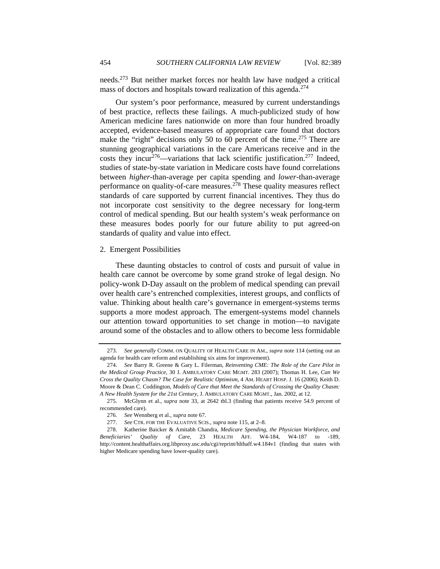needs.273 But neither market forces nor health law have nudged a critical mass of doctors and hospitals toward realization of this agenda.<sup>274</sup>

Our system's poor performance, measured by current understandings of best practice, reflects these failings. A much-publicized study of how American medicine fares nationwide on more than four hundred broadly accepted, evidence-based measures of appropriate care found that doctors make the "right" decisions only 50 to 60 percent of the time.<sup>275</sup> There are stunning geographical variations in the care Americans receive and in the costs they incur<sup>276</sup>—variations that lack scientific justification.<sup>277</sup> Indeed, studies of state-by-state variation in Medicare costs have found correlations between *higher*-than-average per capita spending and *lower*-than-average performance on quality-of-care measures.278 These quality measures reflect standards of care supported by current financial incentives. They thus do not incorporate cost sensitivity to the degree necessary for long-term control of medical spending. But our health system's weak performance on these measures bodes poorly for our future ability to put agreed-on standards of quality and value into effect.

### 2. Emergent Possibilities

These daunting obstacles to control of costs and pursuit of value in health care cannot be overcome by some grand stroke of legal design. No policy-wonk D-Day assault on the problem of medical spending can prevail over health care's entrenched complexities, interest groups, and conflicts of value. Thinking about health care's governance in emergent-systems terms supports a more modest approach. The emergent-systems model channels our attention toward opportunities to set change in motion—to navigate around some of the obstacles and to allow others to become less formidable

<sup>273.</sup> *See generally* COMM. ON QUALITY OF HEALTH CARE IN AM., *supra* note 114 (setting out an agenda for health care reform and establishing six aims for improvement).

<sup>274.</sup> *See* Barry R. Greene & Gary L. Filerman, *Reinventing CME: The Role of the Care Pilot in the Medical Group Practice*, 30 J. AMBULATORY CARE MGMT. 283 (2007); Thomas H. Lee, *Can We Cross the Quality Chasm? The Case for Realistic Optimism*, 4 AM. HEART HOSP. J. 16 (2006); Keith D. Moore & Dean C. Coddington, *Models of Care that Meet the Standards of Crossing the Quality Chasm: A New Health System for the 21st Century*, J. AMBULATORY CARE MGMT., Jan. 2002, at 12.

 <sup>275.</sup> McGlynn et al., *supra* note 33, at 2642 tbl.3 (finding that patients receive 54.9 percent of recommended care).

 <sup>276.</sup> *See* Wennberg et al., *supra* note 67.

<sup>277.</sup> *See* CTR. FOR THE EVALUATIVE SCIS., *supra* note 115, at 2–8.

 <sup>278.</sup> Katherine Baicker & Amitabh Chandra, *Medicare Spending, the Physician Workforce, and Beneficiaries' Quality of Care*, 23 HEALTH AFF. W4-184, W4-187 to -189, http://content.healthaffairs.org.libproxy.usc.edu/cgi/reprint/hlthaff.w4.184v1 (finding that states with higher Medicare spending have lower-quality care).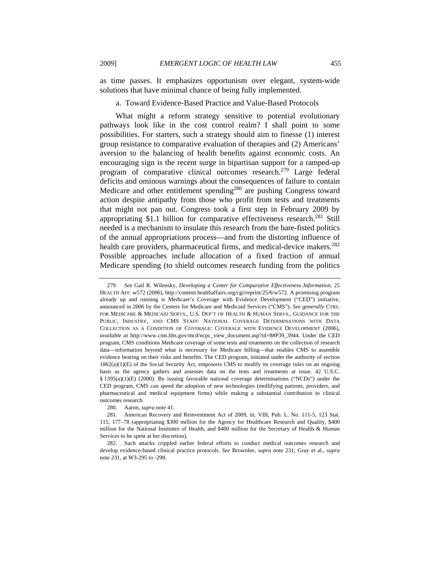as time passes. It emphasizes opportunism over elegant, system-wide solutions that have minimal chance of being fully implemented.

## a. Toward Evidence-Based Practice and Value-Based Protocols

What might a reform strategy sensitive to potential evolutionary pathways look like in the cost control realm? I shall point to some possibilities. For starters, such a strategy should aim to finesse (1) interest group resistance to comparative evaluation of therapies and (2) Americans' aversion to the balancing of health benefits against economic costs. An encouraging sign is the recent surge in bipartisan support for a ramped-up program of comparative clinical outcomes research.<sup>279</sup> Large federal deficits and ominous warnings about the consequences of failure to contain Medicare and other entitlement spending<sup>280</sup> are pushing Congress toward action despite antipathy from those who profit from tests and treatments that might not pan out. Congress took a first step in February 2009 by appropriating \$1.1 billion for comparative effectiveness research.<sup>281</sup> Still needed is a mechanism to insulate this research from the bare-fisted politics of the annual appropriations process—and from the distorting influence of health care providers, pharmaceutical firms, and medical-device makers.<sup>282</sup> Possible approaches include allocation of a fixed fraction of annual Medicare spending (to shield outcomes research funding from the politics

 <sup>279.</sup> *See* Gail R. Wilensky, *Developing a Center for Comparative Effectiveness Information*, 25 HEALTH AFF. w572 (2006), http://content.healthaffairs.org/cgi/reprint/25/6/w572. A promising program already up and running is Medicare's Coverage with Evidence Development ("CED") initiative, announced in 2006 by the Centers for Medicare and Medicaid Services ("CMS"). *See generally* CTRS. FOR MEDICARE & MEDICAID SERVS., U.S. DEP'T OF HEALTH & HUMAN SERVS., GUIDANCE FOR THE PUBLIC, INDUSTRY, AND CMS STAFF: NATIONAL COVERAGE DETERMINATIONS WITH DATA COLLECTION AS A CONDITION OF COVERAGE: COVERAGE WITH EVIDENCE DEVELOPMENT (2006), *available at* http://www.cms.hhs.gov/mcd/ncpc\_view\_document.asp?id=8#P39\_3944. Under the CED program, CMS conditions Medicare coverage of some tests and treatments on the collection of research data—information beyond what is necessary for Medicare billing—that enables CMS to assemble evidence bearing on their risks and benefits. The CED program, initiated under the authority of section 1862(a)(1)(E) of the Social Security Act, empowers CMS to modify its coverage rules on an ongoing basis as the agency gathers and assesses data on the tests and treatments at issue. 42 U.S.C. § 1395(a)(1)(E) (2000). By issuing favorable national coverage determinations ("NCDs") under the CED program, CMS can speed the adoption of new technologies (mollifying patients, providers, and pharmaceutical and medical equipment firms) while making a substantial contribution to clinical outcomes research.

 <sup>280.</sup> Aaron, *supra* note 41.

<sup>281.</sup> American Recovery and Reinvestment Act of 2009, tit. VIII, Pub. L. No. 111-5, 123 Stat. 115, 177–78 (appropriating \$300 million for the Agency for Healthcare Research and Quality, \$400 million for the National Institutes of Health, and \$400 million for the Secretary of Health & Human Services to be spent at her discretion).

 <sup>282.</sup> Such attacks crippled earlier federal efforts to conduct medical outcomes research and develop evidence-based clinical practice protocols. *See* Brownlee, *supra* note 231; Gray et al., *supra* note 231, at W3-295 to -298.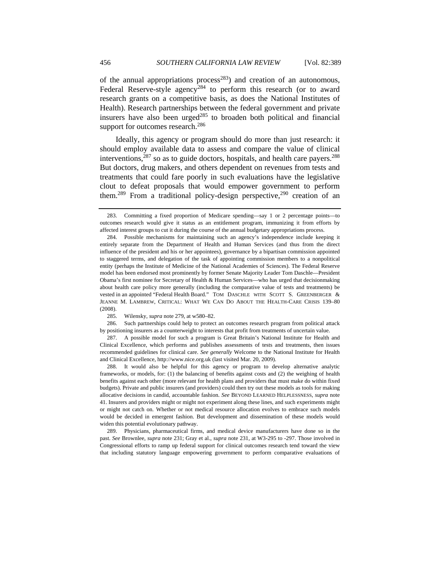of the annual appropriations process<sup>283</sup>) and creation of an autonomous, Federal Reserve-style agency<sup>284</sup> to perform this research (or to award research grants on a competitive basis, as does the National Institutes of Health). Research partnerships between the federal government and private insurers have also been urged $285$  to broaden both political and financial support for outcomes research.<sup>286</sup>

Ideally, this agency or program should do more than just research: it should employ available data to assess and compare the value of clinical interventions, $287$  so as to guide doctors, hospitals, and health care payers. $288$ But doctors, drug makers, and others dependent on revenues from tests and treatments that could fare poorly in such evaluations have the legislative clout to defeat proposals that would empower government to perform them.<sup>289</sup> From a traditional policy-design perspective,<sup>290</sup> creation of an

 286. Such partnerships could help to protect an outcomes research program from political attack by positioning insurers as a counterweight to interests that profit from treatments of uncertain value.

 <sup>283.</sup> Committing a fixed proportion of Medicare spending—say 1 or 2 percentage points—to outcomes research would give it status as an entitlement program, immunizing it from efforts by affected interest groups to cut it during the course of the annual budgetary appropriations process.

 <sup>284.</sup> Possible mechanisms for maintaining such an agency's independence include keeping it entirely separate from the Department of Health and Human Services (and thus from the direct influence of the president and his or her appointees), governance by a bipartisan commission appointed to staggered terms, and delegation of the task of appointing commission members to a nonpolitical entity (perhaps the Institute of Medicine of the National Academies of Sciences). The Federal Reserve model has been endorsed most prominently by former Senate Majority Leader Tom Daschle—President Obama's first nominee for Secretary of Health & Human Services—who has urged that decisionmaking about health care policy more generally (including the comparative value of tests and treatments) be vested in an appointed "Federal Health Board." TOM DASCHLE WITH SCOTT S. GREENBERGER & JEANNE M. LAMBREW, CRITICAL: WHAT WE CAN DO ABOUT THE HEALTH-CARE CRISIS 139–80 (2008).

 <sup>285.</sup> Wilensky, *supra* note 279, at w580–82.

 <sup>287.</sup> A possible model for such a program is Great Britain's National Institute for Health and Clinical Excellence, which performs and publishes assessments of tests and treatments, then issues recommended guidelines for clinical care. *See generally* Welcome to the National Institute for Health and Clinical Excellence, http://www.nice.org.uk (last visited Mar. 20, 2009).

 <sup>288.</sup> It would also be helpful for this agency or program to develop alternative analytic frameworks, or models, for: (1) the balancing of benefits against costs and (2) the weighing of health benefits against each other (more relevant for health plans and providers that must make do within fixed budgets). Private and public insurers (and providers) could then try out these models as tools for making allocative decisions in candid, accountable fashion. *See* BEYOND LEARNED HELPLESSNESS, *supra* note 41. Insurers and providers might or might not experiment along these lines, and such experiments might or might not catch on. Whether or not medical resource allocation evolves to embrace such models would be decided in emergent fashion. But development and dissemination of these models would widen this potential evolutionary pathway.

 <sup>289.</sup> Physicians, pharmaceutical firms, and medical device manufacturers have done so in the past. *See* Brownlee, *supra* note 231; Gray et al., *supra* note 231, at W3-295 to -297. Those involved in Congressional efforts to ramp up federal support for clinical outcomes research tend toward the view that including statutory language empowering government to perform comparative evaluations of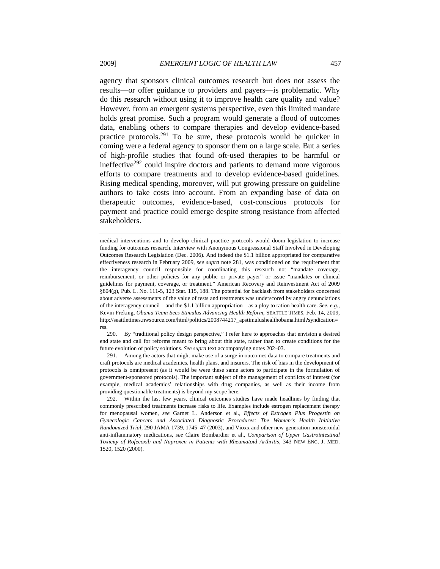agency that sponsors clinical outcomes research but does not assess the results—or offer guidance to providers and payers—is problematic. Why do this research without using it to improve health care quality and value? However, from an emergent systems perspective, even this limited mandate holds great promise. Such a program would generate a flood of outcomes data, enabling others to compare therapies and develop evidence-based practice protocols.<sup>291</sup> To be sure, these protocols would be quicker in coming were a federal agency to sponsor them on a large scale. But a series of high-profile studies that found oft-used therapies to be harmful or ineffective<sup>292</sup> could inspire doctors and patients to demand more vigorous efforts to compare treatments and to develop evidence-based guidelines. Rising medical spending, moreover, will put growing pressure on guideline authors to take costs into account. From an expanding base of data on therapeutic outcomes, evidence-based, cost-conscious protocols for payment and practice could emerge despite strong resistance from affected stakeholders.

 290. By "traditional policy design perspective," I refer here to approaches that envision a desired end state and call for reforms meant to bring about this state, rather than to create conditions for the future evolution of policy solutions. *See supra* text accompanying notes 202–03.

 291. Among the actors that might make use of a surge in outcomes data to compare treatments and craft protocols are medical academics, health plans, and insurers. The risk of bias in the development of protocols is omnipresent (as it would be were these same actors to participate in the formulation of government-sponsored protocols). The important subject of the management of conflicts of interest (for example, medical academics' relationships with drug companies, as well as their income from providing questionable treatments) is beyond my scope here.

medical interventions and to develop clinical practice protocols would doom legislation to increase funding for outcomes research. Interview with Anonymous Congressional Staff Involved in Developing Outcomes Research Legislation (Dec. 2006). And indeed the \$1.1 billion appropriated for comparative effectiveness research in February 2009, *see supra* note 281, was conditioned on the requirement that the interagency council responsible for coordinating this research not "mandate coverage, reimbursement, or other policies for any public or private payer" or issue "mandates or clinical guidelines for payment, coverage, or treatment." American Recovery and Reinvestment Act of 2009 §804(g), Pub. L. No. 111-5, 123 Stat. 115, 188. The potential for backlash from stakeholders concerned about adverse assessments of the value of tests and treatments was underscored by angry denunciations of the interagency council—and the \$1.1 billion appropriation—as a ploy to ration health care. *See, e.g.*, Kevin Freking, *Obama Team Sees Stimulus Advancing Health Reform*, SEATTLE TIMES, Feb. 14, 2009, http://seattletimes.nwsource.com/html/politics/2008744217\_apstimulushealthobama.html?syndication= rss.

 <sup>292.</sup> Within the last few years, clinical outcomes studies have made headlines by finding that commonly prescribed treatments increase risks to life. Examples include estrogen replacement therapy for menopausal women, *see* Garnet L. Anderson et al., *Effects of Estrogen Plus Progestin on Gynecologic Cancers and Associated Diagnostic Procedures: The Women's Health Initiative Randomized Trial*, 290 JAMA 1739, 1745–47 (2003), and Vioxx and other new-generation nonsteroidal anti-inflammatory medications, *see* Claire Bombardier et al., *Comparison of Upper Gastrointestinal Toxicity of Rofecoxib and Naproxen in Patients with Rheumatoid Arthritis*, 343 NEW ENG. J. MED. 1520, 1520 (2000).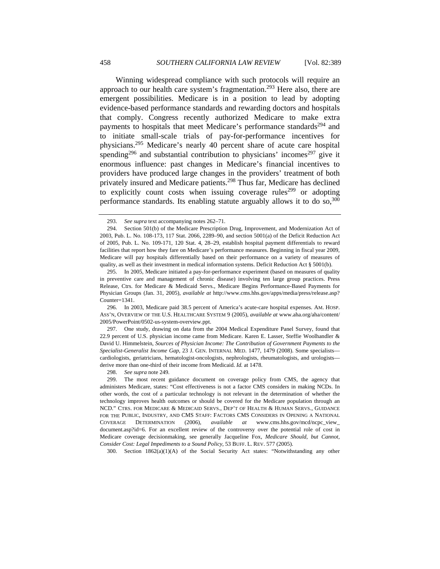Winning widespread compliance with such protocols will require an approach to our health care system's fragmentation.<sup>293</sup> Here also, there are emergent possibilities. Medicare is in a position to lead by adopting evidence-based performance standards and rewarding doctors and hospitals that comply. Congress recently authorized Medicare to make extra payments to hospitals that meet Medicare's performance standards<sup>294</sup> and to initiate small-scale trials of pay-for-performance incentives for physicians.295 Medicare's nearly 40 percent share of acute care hospital spending<sup>296</sup> and substantial contribution to physicians' incomes<sup>297</sup> give it enormous influence: past changes in Medicare's financial incentives to providers have produced large changes in the providers' treatment of both privately insured and Medicare patients.<sup>298</sup> Thus far, Medicare has declined to explicitly count costs when issuing coverage rules<sup>299</sup> or adopting performance standards. Its enabling statute arguably allows it to do so,<sup>300</sup>

 297. One study, drawing on data from the 2004 Medical Expenditure Panel Survey, found that 22.9 percent of U.S. physician income came from Medicare. Karen E. Lasser, Steffie Woolhandler & David U. Himmelstein, *Sources of Physician Income: The Contribution of Government Payments to the Specialist-Generalist Income Gap*, 23 J. GEN. INTERNAL MED. 1477, 1479 (2008). Some specialists cardiologists, geriatricians, hematologist-oncologists, nephrologists, rheumatologists, and urologists derive more than one-third of their income from Medicaid. *Id.* at 1478.

298. *See supra* note 249.

300. Section 1862(a)(1)(A) of the Social Security Act states: "Notwithstanding any other

<sup>293.</sup> *See supra* text accompanying notes 262–71.

 <sup>294.</sup> Section 501(b) of the Medicare Prescription Drug, Improvement, and Modernization Act of 2003, Pub. L. No. 108-173, 117 Stat. 2066, 2289–90, and section 5001(a) of the Deficit Reduction Act of 2005, Pub. L. No. 109-171, 120 Stat. 4, 28–29, establish hospital payment differentials to reward facilities that report how they fare on Medicare's performance measures. Beginning in fiscal year 2009, Medicare will pay hospitals differentially based on their performance on a variety of measures of quality, as well as their investment in medical information systems. Deficit Reduction Act § 5001(b).

 <sup>295.</sup> In 2005, Medicare initiated a pay-for-performance experiment (based on measures of quality in preventive care and management of chronic disease) involving ten large group practices. Press Release, Ctrs. for Medicare & Medicaid Servs., Medicare Begins Performance-Based Payments for Physician Groups (Jan. 31, 2005), *available at* http://www.cms.hhs.gov/apps/media/press/release.asp? Counter=1341.

 <sup>296.</sup> In 2003, Medicare paid 38.5 percent of America's acute-care hospital expenses. AM. HOSP. ASS'N, OVERVIEW OF THE U.S. HEALTHCARE SYSTEM 9 (2005), *available at* www.aha.org/aha/content/ 2005/PowerPoint/0502-us-system-overview.ppt.

 <sup>299.</sup> The most recent guidance document on coverage policy from CMS, the agency that administers Medicare, states: "Cost effectiveness is not a factor CMS considers in making NCDs. In other words, the cost of a particular technology is not relevant in the determination of whether the technology improves health outcomes or should be covered for the Medicare population through an NCD." CTRS. FOR MEDICARE & MEDICAID SERVS., DEP'T OF HEALTH & HUMAN SERVS., GUIDANCE FOR THE PUBLIC, INDUSTRY, AND CMS STAFF: FACTORS CMS CONSIDERS IN OPENING A NATIONAL COVERAGE DETERMINATION (2006), *available at* www.cms.hhs.gov/mcd/ncpc\_view\_ document.asp?id=6. For an excellent review of the controversy over the potential role of cost in Medicare coverage decisionmaking, see generally Jacqueline Fox, *Medicare Should, but Cannot, Consider Cost: Legal Impediments to a Sound Policy*, 53 BUFF. L. REV. 577 (2005).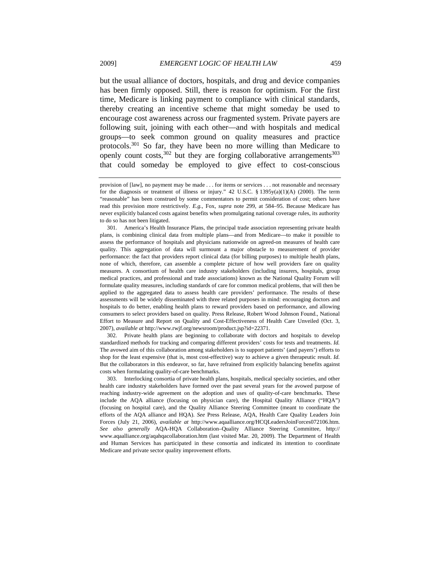but the usual alliance of doctors, hospitals, and drug and device companies has been firmly opposed. Still, there is reason for optimism. For the first time, Medicare is linking payment to compliance with clinical standards, thereby creating an incentive scheme that might someday be used to encourage cost awareness across our fragmented system. Private payers are following suit, joining with each other—and with hospitals and medical groups—to seek common ground on quality measures and practice protocols.<sup>301</sup> So far, they have been no more willing than Medicare to openly count  $costs$ ,  $302$  but they are forging collaborative arrangements  $303$ that could someday be employed to give effect to cost-conscious

 301. America's Health Insurance Plans, the principal trade association representing private health plans, is combining clinical data from multiple plans—and from Medicare—to make it possible to assess the performance of hospitals and physicians nationwide on agreed-on measures of health care quality. This aggregation of data will surmount a major obstacle to measurement of provider performance: the fact that providers report clinical data (for billing purposes) to multiple health plans, none of which, therefore, can assemble a complete picture of how well providers fare on quality measures. A consortium of health care industry stakeholders (including insurers, hospitals, group medical practices, and professional and trade associations) known as the National Quality Forum will formulate quality measures, including standards of care for common medical problems, that will then be applied to the aggregated data to assess health care providers' performance. The results of these assessments will be widely disseminated with three related purposes in mind: encouraging doctors and hospitals to do better, enabling health plans to reward providers based on performance, and allowing consumers to select providers based on quality. Press Release, Robert Wood Johnson Found., National Effort to Measure and Report on Quality and Cost-Effectiveness of Health Care Unveiled (Oct. 3, 2007), *available at* http://www.rwjf.org/newsroom/product.jsp?id=22371.

 302. Private health plans are beginning to collaborate with doctors and hospitals to develop standardized methods for tracking and comparing different providers' costs for tests and treatments. *Id.* The avowed aim of this collaboration among stakeholders is to support patients' (and payers') efforts to shop for the least expensive (that is, most cost-effective) way to achieve a given therapeutic result. *Id.* But the collaborators in this endeavor, so far, have refrained from explicitly balancing benefits against costs when formulating quality-of-care benchmarks.

 303. Interlocking consortia of private health plans, hospitals, medical specialty societies, and other health care industry stakeholders have formed over the past several years for the avowed purpose of reaching industry-wide agreement on the adoption and uses of quality-of-care benchmarks. These include the AQA alliance (focusing on physician care), the Hospital Quality Alliance ("HQA") (focusing on hospital care), and the Quality Alliance Steering Committee (meant to coordinate the efforts of the AQA alliance and HQA). *See* Press Release, AQA, Health Care Quality Leaders Join Forces (July 21, 2006), *available at* http://www.aqaalliance.org/HCQLeadersJoinForces072106.htm. *See also generally* AQA-HQA Collaboration–Quality Alliance Steering Committee, http:// www.aqaalliance.org/aqahqacollaboration.htm (last visited Mar. 20, 2009). The Department of Health and Human Services has participated in these consortia and indicated its intention to coordinate Medicare and private sector quality improvement efforts.

provision of [law], no payment may be made . . . for items or services . . . not reasonable and necessary for the diagnosis or treatment of illness or injury."  $42 \text{ U.S.C.}$  §  $1395y(a)(1)(A)$  (2000). The term "reasonable" has been construed by some commentators to permit consideration of cost; others have read this provision more restrictively. *E.g.*, Fox, *supra* note 299, at 584–95. Because Medicare has never explicitly balanced costs against benefits when promulgating national coverage rules, its authority to do so has not been litigated.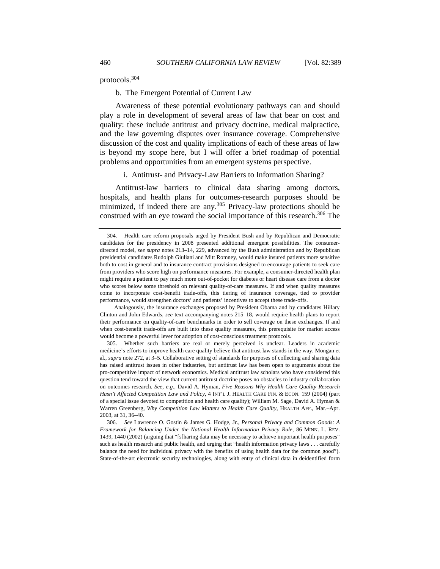protocols.304

b. The Emergent Potential of Current Law

Awareness of these potential evolutionary pathways can and should play a role in development of several areas of law that bear on cost and quality: these include antitrust and privacy doctrine, medical malpractice, and the law governing disputes over insurance coverage. Comprehensive discussion of the cost and quality implications of each of these areas of law is beyond my scope here, but I will offer a brief roadmap of potential problems and opportunities from an emergent systems perspective.

i. Antitrust- and Privacy-Law Barriers to Information Sharing?

Antitrust-law barriers to clinical data sharing among doctors, hospitals, and health plans for outcomes-research purposes should be minimized, if indeed there are any. $305$  Privacy-law protections should be construed with an eye toward the social importance of this research.<sup>306</sup> The

Analogously, the insurance exchanges proposed by President Obama and by candidates Hillary Clinton and John Edwards, *see* text accompanying notes 215–18, would require health plans to report their performance on quality-of-care benchmarks in order to sell coverage on these exchanges. If and when cost-benefit trade-offs are built into these quality measures, this prerequisite for market access would become a powerful lever for adoption of cost-conscious treatment protocols.

 305. Whether such barriers are real or merely perceived is unclear. Leaders in academic medicine's efforts to improve health care quality believe that antitrust law stands in the way. Mongan et al., *supra* note 272, at 3–5. Collaborative setting of standards for purposes of collecting and sharing data has raised antitrust issues in other industries, but antitrust law has been open to arguments about the pro-competitive impact of network economics. Medical antitrust law scholars who have considered this question tend toward the view that current antitrust doctrine poses no obstacles to industry collaboration on outcomes research. *See, e.g.*, David A. Hyman, *Five Reasons Why Health Care Quality Research Hasn't Affected Competition Law and Policy*, 4 INT'L J. HEALTH CARE FIN. & ECON. 159 (2004) (part of a special issue devoted to competition and health care quality); William M. Sage, David A. Hyman & Warren Greenberg, *Why Competition Law Matters to Health Care Quality*, HEALTH AFF., Mar.–Apr. 2003, at 31, 36–40.

306. *See* Lawrence O. Gostin & James G. Hodge, Jr., *Personal Privacy and Common Goods: A Framework for Balancing Under the National Health Information Privacy Rule*, 86 MINN. L. REV. 1439, 1440 (2002) (arguing that "[s]haring data may be necessary to achieve important health purposes" such as health research and public health, and urging that "health information privacy laws . . . carefully balance the need for individual privacy with the benefits of using health data for the common good"). State-of-the-art electronic security technologies, along with entry of clinical data in deidentified form

 <sup>304.</sup> Health care reform proposals urged by President Bush and by Republican and Democratic candidates for the presidency in 2008 presented additional emergent possibilities. The consumerdirected model, *see supra* notes 213–14, 229, advanced by the Bush administration and by Republican presidential candidates Rudolph Giuliani and Mitt Romney, would make insured patients more sensitive both to cost in general and to insurance contract provisions designed to encourage patients to seek care from providers who score high on performance measures. For example, a consumer-directed health plan might require a patient to pay much more out-of-pocket for diabetes or heart disease care from a doctor who scores below some threshold on relevant quality-of-care measures. If and when quality measures come to incorporate cost-benefit trade-offs, this tiering of insurance coverage, tied to provider performance, would strengthen doctors' and patients' incentives to accept these trade-offs.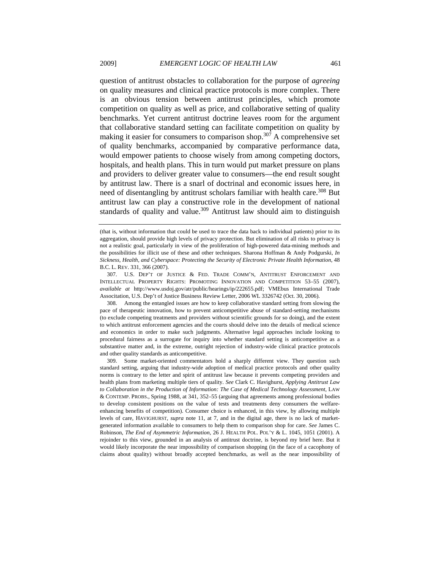question of antitrust obstacles to collaboration for the purpose of *agreeing* on quality measures and clinical practice protocols is more complex. There is an obvious tension between antitrust principles, which promote competition on quality as well as price, and collaborative setting of quality benchmarks. Yet current antitrust doctrine leaves room for the argument that collaborative standard setting can facilitate competition on quality by making it easier for consumers to comparison shop.<sup>307</sup> A comprehensive set of quality benchmarks, accompanied by comparative performance data, would empower patients to choose wisely from among competing doctors, hospitals, and health plans. This in turn would put market pressure on plans and providers to deliver greater value to consumers—the end result sought by antitrust law. There is a snarl of doctrinal and economic issues here, in need of disentangling by antitrust scholars familiar with health care.<sup>308</sup> But antitrust law can play a constructive role in the development of national standards of quality and value.<sup>309</sup> Antitrust law should aim to distinguish

 307. U.S. DEP'T OF JUSTICE & FED. TRADE COMM'N, ANTITRUST ENFORCEMENT AND INTELLECTUAL PROPERTY RIGHTS: PROMOTING INNOVATION AND COMPETITION 53–55 (2007), *available at* http://www.usdoj.gov/atr/public/hearings/ip/222655.pdf; VMEbus International Trade Associtation, U.S. Dep't of Justice Business Review Letter, 2006 WL 3326742 (Oct. 30, 2006).

 308. Among the entangled issues are how to keep collaborative standard setting from slowing the pace of therapeutic innovation, how to prevent anticompetitive abuse of standard-setting mechanisms (to exclude competing treatments and providers without scientific grounds for so doing), and the extent to which antitrust enforcement agencies and the courts should delve into the details of medical science and economics in order to make such judgments. Alternative legal approaches include looking to procedural fairness as a surrogate for inquiry into whether standard setting is anticompetitive as a substantive matter and, in the extreme, outright rejection of industry-wide clinical practice protocols and other quality standards as anticompetitive.

 309. Some market-oriented commentators hold a sharply different view. They question such standard setting, arguing that industry-wide adoption of medical practice protocols and other quality norms is contrary to the letter and spirit of antitrust law because it prevents competing providers and health plans from marketing multiple tiers of quality. *See* Clark C. Havighurst, *Applying Antitrust Law to Collaboration in the Production of Information: The Case of Medical Technology Assessment*, LAW & CONTEMP. PROBS., Spring 1988, at 341, 352–55 (arguing that agreements among professional bodies to develop consistent positions on the value of tests and treatments deny consumers the welfareenhancing benefits of competition). Consumer choice is enhanced, in this view, by allowing multiple levels of care, HAVIGHURST, *supra* note 11, at 7, and in the digital age, there is no lack of marketgenerated information available to consumers to help them to comparison shop for care. *See* James C. Robinson, *The End of Asymmetric Information*, 26 J. HEALTH POL. POL'Y & L. 1045, 1051 (2001). A rejoinder to this view, grounded in an analysis of antitrust doctrine, is beyond my brief here. But it would likely incorporate the near impossibility of comparison shopping (in the face of a cacophony of claims about quality) without broadly accepted benchmarks, as well as the near impossibility of

<sup>(</sup>that is, without information that could be used to trace the data back to individual patients) prior to its aggregation, should provide high levels of privacy protection. But elimination of all risks to privacy is not a realistic goal, particularly in view of the proliferation of high-powered data-mining methods and the possibilities for illicit use of these and other techniques. Sharona Hoffman & Andy Podgurski, *In Sickness, Health, and Cyberspace: Protecting the Security of Electronic Private Health Information*, 48 B.C. L. REV. 331, 366 (2007).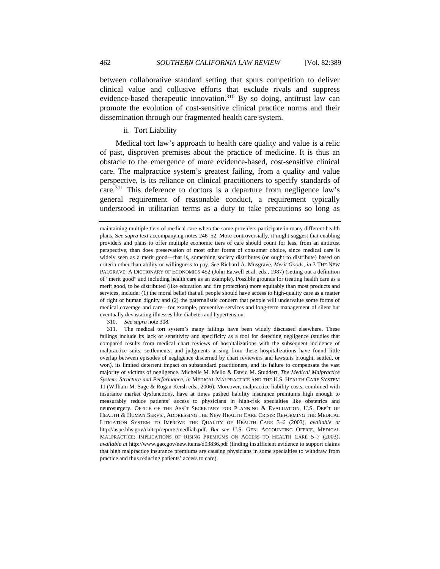between collaborative standard setting that spurs competition to deliver clinical value and collusive efforts that exclude rivals and suppress evidence-based therapeutic innovation.<sup>310</sup> By so doing, antitrust law can promote the evolution of cost-sensitive clinical practice norms and their dissemination through our fragmented health care system.

## ii. Tort Liability

Medical tort law's approach to health care quality and value is a relic of past, disproven premises about the practice of medicine. It is thus an obstacle to the emergence of more evidence-based, cost-sensitive clinical care. The malpractice system's greatest failing, from a quality and value perspective, is its reliance on clinical practitioners to specify standards of care.311 This deference to doctors is a departure from negligence law's general requirement of reasonable conduct, a requirement typically understood in utilitarian terms as a duty to take precautions so long as

310. *See supra* note 308.

maintaining multiple tiers of medical care when the same providers participate in many different health plans. S*ee supra* text accompanying notes 246–52. More controversially, it might suggest that enabling providers and plans to offer multiple economic tiers of care should count for less, from an antitrust perspective, than does preservation of most other forms of consumer choice, since medical care is widely seen as a merit good—that is, something society distributes (or ought to distribute) based on criteria other than ability or willingness to pay. *See* Richard A. Musgrave, *Merit Goods*, *in* 3 THE NEW PALGRAVE: A DICTIONARY OF ECONOMICS 452 (John Eatwell et al. eds., 1987) (setting out a definition of "merit good" and including health care as an example). Possible grounds for treating health care as a merit good, to be distributed (like education and fire protection) more equitably than most products and services, include: (1) the moral belief that all people should have access to high-quality care as a matter of right or human dignity and (2) the paternalistic concern that people will undervalue some forms of medical coverage and care—for example, preventive services and long-term management of silent but eventually devastating illnesses like diabetes and hypertension.

 <sup>311.</sup> The medical tort system's many failings have been widely discussed elsewhere. These failings include its lack of sensitivity and specificity as a tool for detecting negligence (studies that compared results from medical chart reviews of hospitalizations with the subsequent incidence of malpractice suits, settlements, and judgments arising from these hospitalizations have found little overlap between episodes of negligence discerned by chart reviewers and lawsuits brought, settled, or won), its limited deterrent impact on substandard practitioners, and its failure to compensate the vast majority of victims of negligence. Michelle M. Mello & David M. Studdert, *The Medical Malpractice System: Structure and Performance*, *in* MEDICAL MALPRACTICE AND THE U.S. HEALTH CARE SYSTEM 11 (William M. Sage & Rogan Kersh eds., 2006). Moreover, malpractice liability costs, combined with insurance market dysfunctions, have at times pushed liability insurance premiums high enough to measurably reduce patients' access to physicians in high-risk specialties like obstetrics and neurosurgery. OFFICE OF THE ASS'T SECRETARY FOR PLANNING & EVALUATION, U.S. DEP'T OF HEALTH & HUMAN SERVS., ADDRESSING THE NEW HEALTH CARE CRISIS: REFORMING THE MEDICAL LITIGATION SYSTEM TO IMPROVE THE QUALITY OF HEALTH CARE 3–6 (2003), *available at* http://aspe.hhs.gov/daltcp/reports/medliab.pdf. *But see* U.S. GEN. ACCOUNTING OFFICE, MEDICAL MALPRACTICE: IMPLICATIONS OF RISING PREMIUMS ON ACCESS TO HEALTH CARE 5–7 (2003), *available at* http://www.gao.gov/new.items/d03836.pdf (finding insufficient evidence to support claims that high malpractice insurance premiums are causing physicians in some specialties to withdraw from practice and thus reducing patients' access to care).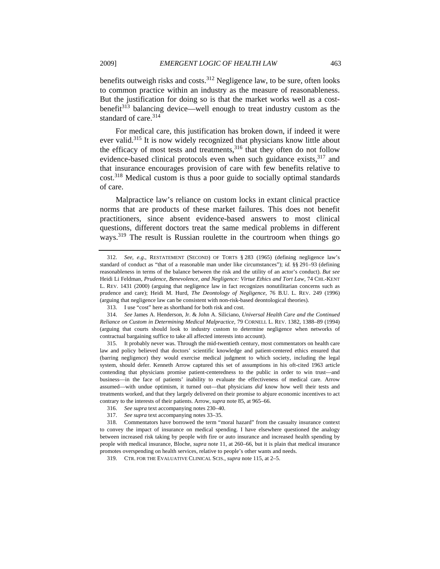benefits outweigh risks and costs.<sup>312</sup> Negligence law, to be sure, often looks to common practice within an industry as the measure of reasonableness. But the justification for doing so is that the market works well as a costbenefit $313$  balancing device—well enough to treat industry custom as the standard of care.<sup>314</sup>

For medical care, this justification has broken down, if indeed it were ever valid.315 It is now widely recognized that physicians know little about the efficacy of most tests and treatments,<sup>316</sup> that they often do not follow evidence-based clinical protocols even when such guidance exists, <sup>317</sup> and that insurance encourages provision of care with few benefits relative to cost.<sup>318</sup> Medical custom is thus a poor guide to socially optimal standards of care.

Malpractice law's reliance on custom locks in extant clinical practice norms that are products of these market failures. This does not benefit practitioners, since absent evidence-based answers to most clinical questions, different doctors treat the same medical problems in different ways.319 The result is Russian roulette in the courtroom when things go

<sup>312.</sup> *See, e.g.*, RESTATEMENT (SECOND) OF TORTS § 283 (1965) (defining negligence law's standard of conduct as "that of a reasonable man under like circumstances"); *id.* §§ 291–93 (defining reasonableness in terms of the balance between the risk and the utility of an actor's conduct). *But see* Heidi Li Feldman, *Prudence, Benevolence, and Negligence: Virtue Ethics and Tort Law*, 74 CHI.-KENT L. REV. 1431 (2000) (arguing that negligence law in fact recognizes nonutilitarian concerns such as prudence and care); Heidi M. Hurd, *The Deontology of Negligence*, 76 B.U. L. REV. 249 (1996) (arguing that negligence law can be consistent with non-risk-based deontological theories).

 <sup>313.</sup> I use "cost" here as shorthand for both risk and cost.

<sup>314.</sup> *See* James A. Henderson, Jr. & John A. Siliciano, *Universal Health Care and the Continued Reliance on Custom in Determining Medical Malpractice*, 79 CORNELL L. REV. 1382, 1388–89 (1994) (arguing that courts should look to industry custom to determine negligence when networks of contractual bargaining suffice to take all affected interests into account).

 <sup>315.</sup> It probably never was. Through the mid-twentieth century, most commentators on health care law and policy believed that doctors' scientific knowledge and patient-centered ethics ensured that (barring negligence) they would exercise medical judgment to which society, including the legal system, should defer. Kenneth Arrow captured this set of assumptions in his oft-cited 1963 article contending that physicians promise patient-centeredness to the public in order to win trust—and business—in the face of patients' inability to evaluate the effectiveness of medical care. Arrow assumed—with undue optimism, it turned out—that physicians *did* know how well their tests and treatments worked, and that they largely delivered on their promise to abjure economic incentives to act contrary to the interests of their patients. Arrow, *supra* note 85, at 965–66.

<sup>316.</sup> *See supra* text accompanying notes 230–40.

<sup>317.</sup> *See supra* text accompanying notes 33–35.

 <sup>318.</sup> Commentators have borrowed the term "moral hazard" from the casualty insurance context to convey the impact of insurance on medical spending. I have elsewhere questioned the analogy between increased risk taking by people with fire or auto insurance and increased health spending by people with medical insurance, Bloche, *supra* note 11, at 260–66, but it is plain that medical insurance promotes overspending on health services, relative to people's other wants and needs.

 <sup>319.</sup> CTR. FOR THE EVALUATIVE CLINICAL SCIS., *supra* note 115, at 2–5.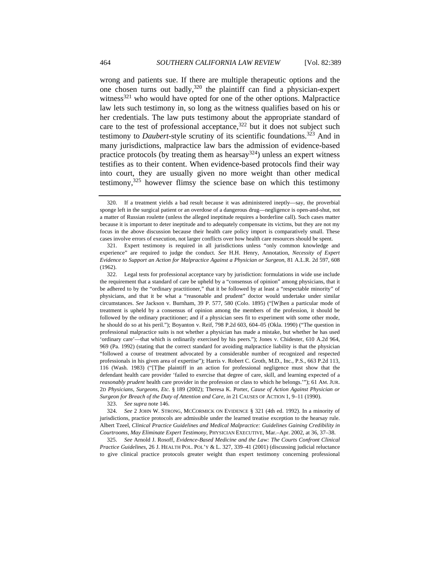wrong and patients sue. If there are multiple therapeutic options and the one chosen turns out badly,320 the plaintiff can find a physician-expert witness $321$  who would have opted for one of the other options. Malpractice law lets such testimony in, so long as the witness qualifies based on his or her credentials. The law puts testimony about the appropriate standard of care to the test of professional acceptance,  $322$  but it does not subject such testimony to *Daubert*-style scrutiny of its scientific foundations.323 And in many jurisdictions, malpractice law bars the admission of evidence-based practice protocols (by treating them as hearsay  $(324)$ ) unless an expert witness testifies as to their content. When evidence-based protocols find their way into court, they are usually given no more weight than other medical testimony,  $325$  however flimsy the science base on which this testimony

323. *See supra* note 146.

324. *See* 2 JOHN W. STRONG, MCCORMICK ON EVIDENCE § 321 (4th ed. 1992). In a minority of jurisdictions, practice protocols are admissible under the learned treatise exception to the hearsay rule. Albert Tzeel, *Clinical Practice Guidelines and Medical Malpractice: Guidelines Gaining Credibility in Courtrooms, May Eliminate Expert Testimony*, PHYSICIAN EXECUTIVE, Mar.–Apr. 2002, at 36, 37–38.

325. *See* Arnold J. Rosoff, *Evidence-Based Medicine and the Law: The Courts Confront Clinical Practice Guidelines*, 26 J. HEALTH POL. POL'Y & L. 327, 339–41 (2001) (discussing judicial reluctance to give clinical practice protocols greater weight than expert testimony concerning professional

 <sup>320.</sup> If a treatment yields a bad result because it was administered ineptly—say, the proverbial sponge left in the surgical patient or an overdose of a dangerous drug—negligence is open-and-shut, not a matter of Russian roulette (unless the alleged ineptitude requires a borderline call). Such cases matter because it is important to deter ineptitude and to adequately compensate its victims, but they are not my focus in the above discussion because their health care policy import is comparatively small. These cases involve errors of execution, not larger conflicts over how health care resources should be spent.

 <sup>321.</sup> Expert testimony is required in all jurisdictions unless "only common knowledge and experience" are required to judge the conduct. *See* H.H. Henry, Annotation, *Necessity of Expert Evidence to Support an Action for Malpractice Against a Physician or Surgeon*, 81 A.L.R. 2d 597, 608 (1962).

 <sup>322.</sup> Legal tests for professional acceptance vary by jurisdiction: formulations in wide use include the requirement that a standard of care be upheld by a "consensus of opinion" among physicians, that it be adhered to by the "ordinary practitioner," that it be followed by at least a "respectable minority" of physicians, and that it be what a "reasonable and prudent" doctor would undertake under similar circumstances. *See* Jackson v. Burnham, 39 P. 577, 580 (Colo. 1895) ("[W]hen a particular mode of treatment is upheld by a consensus of opinion among the members of the profession, it should be followed by the ordinary practitioner; and if a physician sees fit to experiment with some other mode, he should do so at his peril."); Boyanton v. Reif, 798 P.2d 603, 604–05 (Okla. 1990) ("The question in professional malpractice suits is not whether a physician has made a mistake, but whether he has used 'ordinary care'—that which is ordinarily exercised by his peers."); Jones v. Chidester, 610 A.2d 964, 969 (Pa. 1992) (stating that the correct standard for avoiding malpractice liability is that the physician "followed a course of treatment advocated by a considerable number of recognized and respected professionals in his given area of expertise"); Harris v. Robert C. Groth, M.D., Inc., P.S., 663 P.2d 113, 116 (Wash. 1983) ("[T]he plaintiff in an action for professional negligence must show that the defendant health care provider 'failed to exercise that degree of care, skill, and learning expected of a *reasonably prudent* health care provider in the profession or class to which he belongs.'"); 61 AM. JUR. 2D *Physicians, Surgeons, Etc.* § 189 (2002); Theresa K. Porter, *Cause of Action Against Physician or Surgeon for Breach of the Duty of Attention and Care*, *in* 21 CAUSES OF ACTION 1, 9–11 (1990).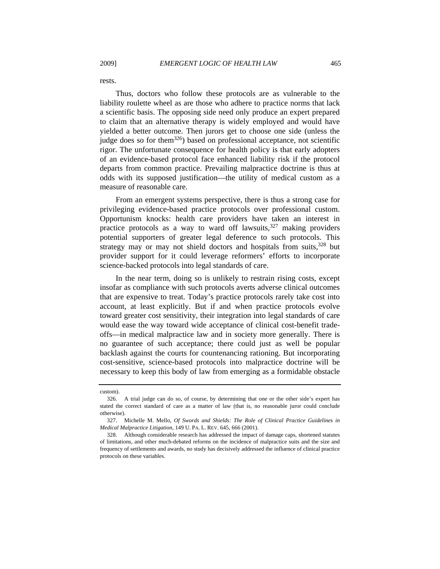rests.

Thus, doctors who follow these protocols are as vulnerable to the liability roulette wheel as are those who adhere to practice norms that lack a scientific basis. The opposing side need only produce an expert prepared to claim that an alternative therapy is widely employed and would have yielded a better outcome. Then jurors get to choose one side (unless the judge does so for them<sup>326</sup>) based on professional acceptance, not scientific rigor. The unfortunate consequence for health policy is that early adopters of an evidence-based protocol face enhanced liability risk if the protocol departs from common practice. Prevailing malpractice doctrine is thus at odds with its supposed justification—the utility of medical custom as a measure of reasonable care.

From an emergent systems perspective, there is thus a strong case for privileging evidence-based practice protocols over professional custom. Opportunism knocks: health care providers have taken an interest in practice protocols as a way to ward off lawsuits,  $327$  making providers potential supporters of greater legal deference to such protocols. This strategy may or may not shield doctors and hospitals from suits, $328$  but provider support for it could leverage reformers' efforts to incorporate science-backed protocols into legal standards of care.

In the near term, doing so is unlikely to restrain rising costs, except insofar as compliance with such protocols averts adverse clinical outcomes that are expensive to treat. Today's practice protocols rarely take cost into account, at least explicitly. But if and when practice protocols evolve toward greater cost sensitivity, their integration into legal standards of care would ease the way toward wide acceptance of clinical cost-benefit tradeoffs—in medical malpractice law and in society more generally. There is no guarantee of such acceptance; there could just as well be popular backlash against the courts for countenancing rationing. But incorporating cost-sensitive, science-based protocols into malpractice doctrine will be necessary to keep this body of law from emerging as a formidable obstacle

custom).

 <sup>326.</sup> A trial judge can do so, of course, by determining that one or the other side's expert has stated the correct standard of care as a matter of law (that is, no reasonable juror could conclude otherwise).

 <sup>327.</sup> Michelle M. Mello, *Of Swords and Shields: The Role of Clinical Practice Guidelines in Medical Malpractice Litigation*, 149 U. PA. L. REV. 645, 666 (2001).

 <sup>328.</sup> Although considerable research has addressed the impact of damage caps, shortened statutes of limitations, and other much-debated reforms on the incidence of malpractice suits and the size and frequency of settlements and awards, no study has decisively addressed the influence of clinical practice protocols on these variables.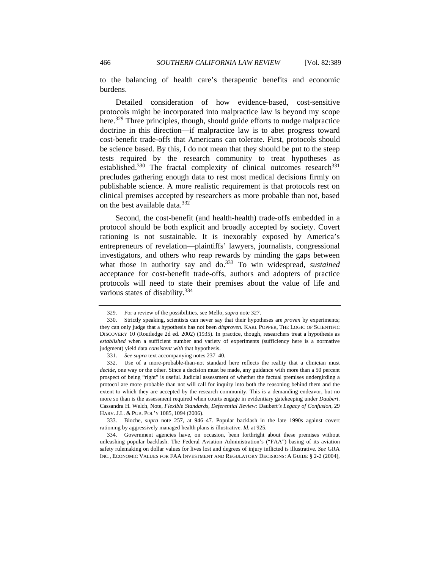to the balancing of health care's therapeutic benefits and economic burdens.

Detailed consideration of how evidence-based, cost-sensitive protocols might be incorporated into malpractice law is beyond my scope here.<sup>329</sup> Three principles, though, should guide efforts to nudge malpractice doctrine in this direction—if malpractice law is to abet progress toward cost-benefit trade-offs that Americans can tolerate. First, protocols should be science based. By this, I do not mean that they should be put to the steep tests required by the research community to treat hypotheses as established. $330$  The fractal complexity of clinical outcomes research  $331$ precludes gathering enough data to rest most medical decisions firmly on publishable science. A more realistic requirement is that protocols rest on clinical premises accepted by researchers as more probable than not, based on the best available data.<sup>332</sup>

Second, the cost-benefit (and health-health) trade-offs embedded in a protocol should be both explicit and broadly accepted by society. Covert rationing is not sustainable. It is inexorably exposed by America's entrepreneurs of revelation—plaintiffs' lawyers, journalists, congressional investigators, and others who reap rewards by minding the gaps between what those in authority say and do.<sup>333</sup> To win widespread, *sustained* acceptance for cost-benefit trade-offs, authors and adopters of practice protocols will need to state their premises about the value of life and various states of disability.334

 333. Bloche, *supra* note 257, at 946–47. Popular backlash in the late 1990s against covert rationing by aggressively managed health plans is illustrative. *Id.* at 925.

 334. Government agencies have, on occasion, been forthright about these premises without unleashing popular backlash. The Federal Aviation Administration's ("FAA") basing of its aviation safety rulemaking on dollar values for lives lost and degrees of injury inflicted is illustrative. *See* GRA INC., ECONOMIC VALUES FOR FAA INVESTMENT AND REGULATORY DECISIONS: A GUIDE § 2-2 (2004),

<sup>329.</sup> For a review of the possibilities, see Mello, *supra* note 327.

 <sup>330.</sup> Strictly speaking, scientists can never say that their hypotheses are *proven* by experiments; they can only judge that a hypothesis has not been *disproven.* KARL POPPER, THE LOGIC OF SCIENTIFIC DISCOVERY 10 (Routledge 2d ed. 2002) (1935). In practice, though, researchers treat a hypothesis as *established* when a sufficient number and variety of experiments (sufficiency here is a normative judgment) yield data *consistent with* that hypothesis.

<sup>331.</sup> *See supra* text accompanying notes 237–40.

 <sup>332.</sup> Use of a more-probable-than-not standard here reflects the reality that a clinician must *decide*, one way or the other. Since a decision must be made, any guidance with more than a 50 percent prospect of being "right" is useful. Judicial assessment of whether the factual premises undergirding a protocol are more probable than not will call for inquiry into both the reasoning behind them and the extent to which they are accepted by the research community. This is a demanding endeavor, but no more so than is the assessment required when courts engage in evidentiary gatekeeping under *Daubert*. Cassandra H. Welch, Note, *Flexible Standards, Deferential Review:* Daubert*'s Legacy of Confusion*, 29 HARV. J.L. & PUB. POL'Y 1085, 1094 (2006).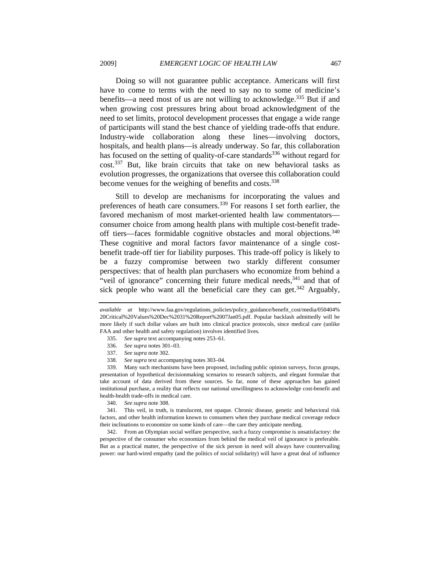Doing so will not guarantee public acceptance. Americans will first have to come to terms with the need to say no to some of medicine's benefits—a need most of us are not willing to acknowledge.335 But if and when growing cost pressures bring about broad acknowledgment of the need to set limits, protocol development processes that engage a wide range of participants will stand the best chance of yielding trade-offs that endure. Industry-wide collaboration along these lines—involving doctors, hospitals, and health plans—is already underway. So far, this collaboration has focused on the setting of quality-of-care standards<sup>336</sup> without regard for cost.337 But, like brain circuits that take on new behavioral tasks as evolution progresses, the organizations that oversee this collaboration could become venues for the weighing of benefits and costs.<sup>338</sup>

Still to develop are mechanisms for incorporating the values and preferences of heath care consumers.339 For reasons I set forth earlier, the favored mechanism of most market-oriented health law commentators consumer choice from among health plans with multiple cost-benefit tradeoff tiers—faces formidable cognitive obstacles and moral objections.<sup>340</sup> These cognitive and moral factors favor maintenance of a single costbenefit trade-off tier for liability purposes. This trade-off policy is likely to be a fuzzy compromise between two starkly different consumer perspectives: that of health plan purchasers who economize from behind a "veil of ignorance" concerning their future medical needs,  $341$  and that of sick people who want all the beneficial care they can get. $342$  Arguably,

- 335. *See supra* text accompanying notes 253–61.
- 336. *See supra* notes 301–03.
- 337. *See supra* note 302.
- 338. *See supra* text accompanying notes 303–04.

 339. Many such mechanisms have been proposed, including public opinion surveys, focus groups, presentation of hypothetical decisionmaking scenarios to research subjects, and elegant formulae that take account of data derived from these sources. So far, none of these approaches has gained institutional purchase, a reality that reflects our national unwillingness to acknowledge cost-benefit and health-health trade-offs in medical care.

340. *See supra* note 308.

 341. This veil, in truth, is translucent, not opaque. Chronic disease, genetic and behavioral risk factors, and other health information known to consumers when they purchase medical coverage reduce their inclinations to economize on some kinds of care—the care they anticipate needing.

 342. From an Olympian social welfare perspective, such a fuzzy compromise is unsatisfactory: the perspective of the consumer who economizes from behind the medical veil of ignorance is preferable. But as a practical matter, the perspective of the sick person in need will always have countervailing power: our hard-wired empathy (and the politics of social solidarity) will have a great deal of influence

*available at* http://www.faa.gov/regulations\_policies/policy\_guidance/benefit\_cost/media/050404% 20Critical%20Values%20Dec%2031%20Report%2007Jan05.pdf. Popular backlash admittedly will be more likely if such dollar values are built into clinical practice protocols, since medical care (unlike FAA and other health and safety regulation) involves identified lives.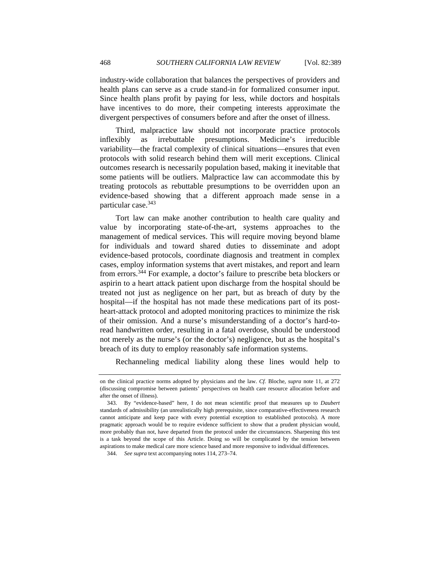industry-wide collaboration that balances the perspectives of providers and health plans can serve as a crude stand-in for formalized consumer input. Since health plans profit by paying for less, while doctors and hospitals have incentives to do more, their competing interests approximate the divergent perspectives of consumers before and after the onset of illness.

Third, malpractice law should not incorporate practice protocols inflexibly as irrebuttable presumptions. Medicine's irreducible variability—the fractal complexity of clinical situations—ensures that even protocols with solid research behind them will merit exceptions. Clinical outcomes research is necessarily population based, making it inevitable that some patients will be outliers. Malpractice law can accommodate this by treating protocols as rebuttable presumptions to be overridden upon an evidence-based showing that a different approach made sense in a particular case.<sup>343</sup>

Tort law can make another contribution to health care quality and value by incorporating state-of-the-art, systems approaches to the management of medical services. This will require moving beyond blame for individuals and toward shared duties to disseminate and adopt evidence-based protocols, coordinate diagnosis and treatment in complex cases, employ information systems that avert mistakes, and report and learn from errors.344 For example, a doctor's failure to prescribe beta blockers or aspirin to a heart attack patient upon discharge from the hospital should be treated not just as negligence on her part, but as breach of duty by the hospital—if the hospital has not made these medications part of its postheart-attack protocol and adopted monitoring practices to minimize the risk of their omission. And a nurse's misunderstanding of a doctor's hard-toread handwritten order, resulting in a fatal overdose, should be understood not merely as the nurse's (or the doctor's) negligence, but as the hospital's breach of its duty to employ reasonably safe information systems.

Rechanneling medical liability along these lines would help to

on the clinical practice norms adopted by physicians and the law. *Cf.* Bloche, *supra* note 11, at 272 (discussing compromise between patients' perspectives on health care resource allocation before and after the onset of illness).

 <sup>343.</sup> By "evidence-based" here, I do not mean scientific proof that measures up to *Daubert* standards of admissibility (an unrealistically high prerequisite, since comparative-effectiveness research cannot anticipate and keep pace with every potential exception to established protocols). A more pragmatic approach would be to require evidence sufficient to show that a prudent physician would, more probably than not, have departed from the protocol under the circumstances. Sharpening this test is a task beyond the scope of this Article. Doing so will be complicated by the tension between aspirations to make medical care more science based and more responsive to individual differences.

<sup>344.</sup> *See supra* text accompanying notes 114, 273–74.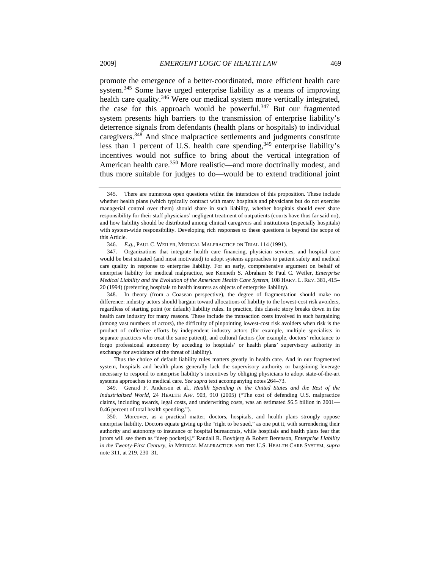promote the emergence of a better-coordinated, more efficient health care system.<sup>345</sup> Some have urged enterprise liability as a means of improving health care quality.<sup>346</sup> Were our medical system more vertically integrated, the case for this approach would be powerful.<sup>347</sup> But our fragmented system presents high barriers to the transmission of enterprise liability's deterrence signals from defendants (health plans or hospitals) to individual caregivers.348 And since malpractice settlements and judgments constitute less than 1 percent of U.S. health care spending,  $349$  enterprise liability's incentives would not suffice to bring about the vertical integration of American health care.<sup>350</sup> More realistic—and more doctrinally modest, and thus more suitable for judges to do—would be to extend traditional joint

 348. In theory (from a Coasean perspective), the degree of fragmentation should make no difference: industry actors should bargain toward allocations of liability to the lowest-cost risk avoiders, regardless of starting point (or default) liability rules. In practice, this classic story breaks down in the health care industry for many reasons. These include the transaction costs involved in such bargaining (among vast numbers of actors), the difficulty of pinpointing lowest-cost risk avoiders when risk is the product of collective efforts by independent industry actors (for example, multiple specialists in separate practices who treat the same patient), and cultural factors (for example, doctors' reluctance to forgo professional autonomy by acceding to hospitals' or health plans' supervisory authority in exchange for avoidance of the threat of liability).

Thus the choice of default liability rules matters greatly in health care. And in our fragmented system, hospitals and health plans generally lack the supervisory authority or bargaining leverage necessary to respond to enterprise liability's incentives by obliging physicians to adopt state-of-the-art systems approaches to medical care. *See supra* text accompanying notes 264–73.

 349. Gerard F. Anderson et al., *Health Spending in the United States and the Rest of the Industrialized World*, 24 HEALTH AFF. 903, 910 (2005) ("The cost of defending U.S. malpractice claims, including awards, legal costs, and underwriting costs, was an estimated \$6.5 billion in 2001-0.46 percent of total health spending.").

 350. Moreover, as a practical matter, doctors, hospitals, and health plans strongly oppose enterprise liability. Doctors equate giving up the "right to be sued," as one put it, with surrendering their authority and autonomy to insurance or hospital bureaucrats, while hospitals and health plans fear that jurors will see them as "deep pocket[s]." Randall R. Bovbjerg & Robert Berenson, *Enterprise Liability in the Twenty-First Century*, *in* MEDICAL MALPRACTICE AND THE U.S. HEALTH CARE SYSTEM, *supra* note 311, at 219, 230–31.

 <sup>345.</sup> There are numerous open questions within the interstices of this proposition. These include whether health plans (which typically contract with many hospitals and physicians but do not exercise managerial control over them) should share in such liability, whether hospitals should ever share responsibility for their staff physicians' negligent treatment of outpatients (courts have thus far said no), and how liability should be distributed among clinical caregivers and institutions (especially hospitals) with system-wide responsibility. Developing rich responses to these questions is beyond the scope of this Article.

<sup>346.</sup> *E.g.*, PAUL C. WEILER, MEDICAL MALPRACTICE ON TRIAL 114 (1991).

 <sup>347.</sup> Organizations that integrate health care financing, physician services, and hospital care would be best situated (and most motivated) to adopt systems approaches to patient safety and medical care quality in response to enterprise liability. For an early, comprehensive argument on behalf of enterprise liability for medical malpractice, see Kenneth S. Abraham & Paul C. Weiler, *Enterprise Medical Liability and the Evolution of the American Health Care System*, 108 HARV. L. REV. 381, 415– 20 (1994) (preferring hospitals to health insurers as objects of enterprise liability).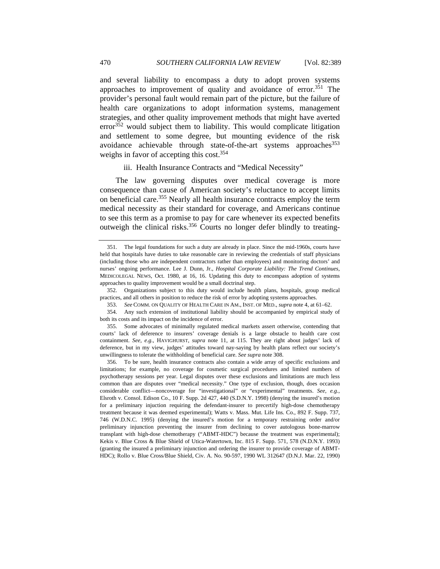and several liability to encompass a duty to adopt proven systems approaches to improvement of quality and avoidance of error.<sup>351</sup> The provider's personal fault would remain part of the picture, but the failure of health care organizations to adopt information systems, management strategies, and other quality improvement methods that might have averted  $error<sup>352</sup>$  would subject them to liability. This would complicate litigation and settlement to some degree, but mounting evidence of the risk avoidance achievable through state-of-the-art systems approaches<sup>353</sup> weighs in favor of accepting this cost.  $354$ 

iii. Health Insurance Contracts and "Medical Necessity"

The law governing disputes over medical coverage is more consequence than cause of American society's reluctance to accept limits on beneficial care.<sup>355</sup> Nearly all health insurance contracts employ the term medical necessity as their standard for coverage, and Americans continue to see this term as a promise to pay for care whenever its expected benefits outweigh the clinical risks.<sup>356</sup> Courts no longer defer blindly to treating-

 352. Organizations subject to this duty would include health plans, hospitals, group medical practices, and all others in position to reduce the risk of error by adopting systems approaches.

 355. Some advocates of minimally regulated medical markets assert otherwise, contending that courts' lack of deference to insurers' coverage denials is a large obstacle to health care cost containment. *See, e.g.*, HAVIGHURST, *supra* note 11, at 115. They are right about judges' lack of deference, but in my view, judges' attitudes toward nay-saying by health plans reflect our society's unwillingness to tolerate the withholding of beneficial care. *See supra* note 308.

 356. To be sure, health insurance contracts also contain a wide array of specific exclusions and limitations; for example, no coverage for cosmetic surgical procedures and limited numbers of psychotherapy sessions per year. Legal disputes over these exclusions and limitations are much less common than are disputes over "medical necessity." One type of exclusion, though, does occasion considerable conflict—noncoverage for "investigational" or "experimental" treatments. *See, e.g.*, Elsroth v. Consol. Edison Co., 10 F. Supp. 2d 427, 440 (S.D.N.Y. 1998) (denying the insured's motion for a preliminary injuction requiring the defendant-insurer to precertify high-dose chemotherapy treatment because it was deemed experimental); Watts v. Mass. Mut. Life Ins. Co., 892 F. Supp. 737, 746 (W.D.N.C. 1995) (denying the insured's motion for a temporary restraining order and/or preliminary injunction preventing the insurer from declining to cover autologous bone-marrow transplant with high-dose chemotherapy ("ABMT-HDC") because the treatment was experimental); Kekis v. Blue Cross & Blue Shield of Utica-Watertown, Inc. 815 F. Supp. 571, 578 (N.D.N.Y. 1993) (granting the insured a preliminary injunction and ordering the insurer to provide coverage of ABMT-HDC); Rollo v. Blue Cross/Blue Shield, Civ. A. No. 90-597, 1990 WL 312647 (D.N.J. Mar. 22, 1990)

 <sup>351.</sup> The legal foundations for such a duty are already in place. Since the mid-1960s, courts have held that hospitals have duties to take reasonable care in reviewing the credentials of staff physicians (including those who are independent contractors rather than employees) and monitoring doctors' and nurses' ongoing performance. Lee J. Dunn, Jr., *Hospital Corporate Liability: The Trend Continues*, MEDICOLEGAL NEWS, Oct. 1980, at 16, 16. Updating this duty to encompass adoption of systems approaches to quality improvement would be a small doctrinal step.

 <sup>353.</sup> *See* COMM. ON QUALITY OF HEALTH CARE IN AM., INST. OF MED., *supra* note 4, at 61–62.

 <sup>354.</sup> Any such extension of institutional liability should be accompanied by empirical study of both its costs and its impact on the incidence of error.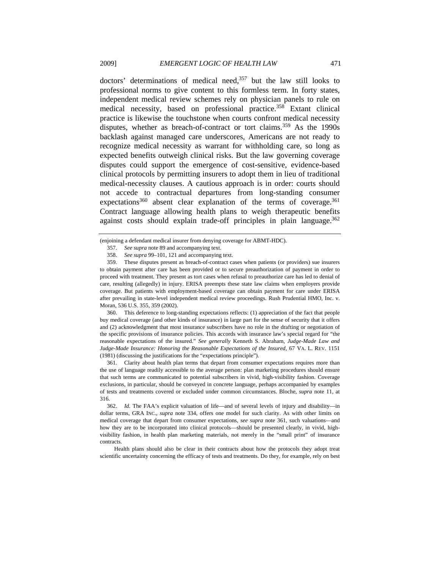doctors' determinations of medical need, $357$  but the law still looks to professional norms to give content to this formless term. In forty states, independent medical review schemes rely on physician panels to rule on medical necessity, based on professional practice.<sup>358</sup> Extant clinical practice is likewise the touchstone when courts confront medical necessity disputes, whether as breach-of-contract or tort claims.<sup>359</sup> As the 1990s backlash against managed care underscores, Americans are not ready to recognize medical necessity as warrant for withholding care, so long as expected benefits outweigh clinical risks. But the law governing coverage disputes could support the emergence of cost-sensitive, evidence-based clinical protocols by permitting insurers to adopt them in lieu of traditional medical-necessity clauses. A cautious approach is in order: courts should not accede to contractual departures from long-standing consumer expectations<sup>360</sup> absent clear explanation of the terms of coverage.<sup>361</sup> Contract language allowing health plans to weigh therapeutic benefits against costs should explain trade-off principles in plain language.<sup>362</sup>

 360. This deference to long-standing expectations reflects: (1) appreciation of the fact that people buy medical coverage (and other kinds of insurance) in large part for the sense of security that it offers and (2) acknowledgment that most insurance subscribers have no role in the drafting or negotiation of the specific provisions of insurance policies. This accords with insurance law's special regard for "the reasonable expectations of the insured." *See generally* Kenneth S. Abraham, *Judge-Made Law and Judge-Made Insurance: Honoring the Reasonable Expectations of the Insured*, 67 VA. L. REV. 1151 (1981) (discussing the justifications for the "expectations principle").

 361. Clarity about health plan terms that depart from consumer expectations requires more than the use of language readily accessible to the average person: plan marketing procedures should ensure that such terms are communicated to potential subscribers in vivid, high-visibility fashion. Coverage exclusions, in particular, should be conveyed in concrete language, perhaps accompanied by examples of tests and treatments covered or excluded under common circumstances. Bloche, *supra* note 11, at 316.

Health plans should also be clear in their contracts about how the protocols they adopt treat scientific uncertainty concerning the efficacy of tests and treatments. Do they, for example, rely on best

<sup>(</sup>enjoining a defendant medical insurer from denying coverage for ABMT-HDC).

<sup>357.</sup> *See supra* note 89 and accompanying text.

<sup>358.</sup> *See supra* 99–101, 121 and accompanying text.

 <sup>359.</sup> These disputes present as breach-of-contract cases when patients (or providers) sue insurers to obtain payment after care has been provided or to secure preauthorization of payment in order to proceed with treatment. They present as tort cases when refusal to preauthorize care has led to denial of care, resulting (allegedly) in injury. ERISA preempts these state law claims when employers provide coverage. But patients with employment-based coverage can obtain payment for care under ERISA after prevailing in state-level independent medical review proceedings. Rush Prudential HMO, Inc. v. Moran, 536 U.S. 355, 359 (2002).

<sup>362.</sup> *Id.* The FAA's explicit valuation of life—and of several levels of injury and disability—in dollar terms, GRA INC., *supra* note 334, offers one model for such clarity. As with other limits on medical coverage that depart from consumer expectations, *see supra* note 361, such valuations—and how they are to be incorporated into clinical protocols—should be presented clearly, in vivid, highvisibility fashion, in health plan marketing materials, not merely in the "small print" of insurance contracts.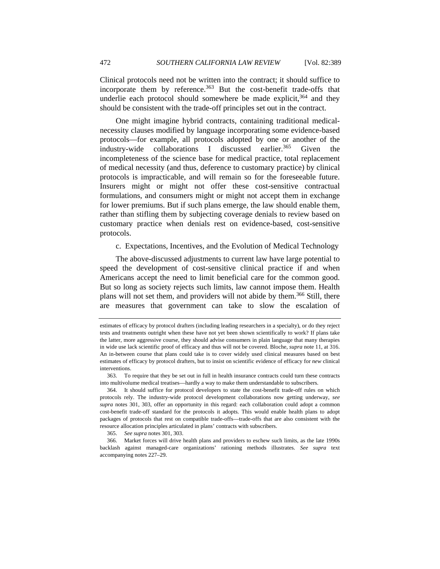Clinical protocols need not be written into the contract; it should suffice to incorporate them by reference.<sup>363</sup> But the cost-benefit trade-offs that underlie each protocol should somewhere be made explicit, $364$  and they should be consistent with the trade-off principles set out in the contract.

One might imagine hybrid contracts, containing traditional medicalnecessity clauses modified by language incorporating some evidence-based protocols—for example, all protocols adopted by one or another of the industry-wide collaborations I discussed earlier.<sup>365</sup> Given the incompleteness of the science base for medical practice, total replacement of medical necessity (and thus, deference to customary practice) by clinical protocols is impracticable, and will remain so for the foreseeable future. Insurers might or might not offer these cost-sensitive contractual formulations, and consumers might or might not accept them in exchange for lower premiums. But if such plans emerge, the law should enable them, rather than stifling them by subjecting coverage denials to review based on customary practice when denials rest on evidence-based, cost-sensitive protocols.

c. Expectations, Incentives, and the Evolution of Medical Technology

The above-discussed adjustments to current law have large potential to speed the development of cost-sensitive clinical practice if and when Americans accept the need to limit beneficial care for the common good. But so long as society rejects such limits, law cannot impose them. Health plans will not set them, and providers will not abide by them.<sup>366</sup> Still, there are measures that government can take to slow the escalation of

estimates of efficacy by protocol drafters (including leading researchers in a specialty), or do they reject tests and treatments outright when these have not yet been shown scientifically to work? If plans take the latter, more aggressive course, they should advise consumers in plain language that many therapies in wide use lack scientific proof of efficacy and thus will not be covered. Bloche, *supra* note 11, at 316. An in-between course that plans could take is to cover widely used clinical measures based on best estimates of efficacy by protocol drafters, but to insist on scientific evidence of efficacy for *new* clinical interventions.

 <sup>363.</sup> To require that they be set out in full in health insurance contracts could turn these contracts into multivolume medical treatises—hardly a way to make them understandable to subscribers.

 <sup>364.</sup> It should suffice for protocol developers to state the cost-benefit trade-off rules on which protocols rely. The industry-wide protocol development collaborations now getting underway, *see supra* notes 301, 303, offer an opportunity in this regard: each collaboration could adopt a common cost-benefit trade-off standard for the protocols it adopts. This would enable health plans to adopt packages of protocols that rest on compatible trade-offs—trade-offs that are also consistent with the resource allocation principles articulated in plans' contracts with subscribers.

<sup>365.</sup> *See supra* notes 301, 303.

 <sup>366.</sup> Market forces will drive health plans and providers to eschew such limits, as the late 1990s backlash against managed-care organizations' rationing methods illustrates. *See supra* text accompanying notes 227–29.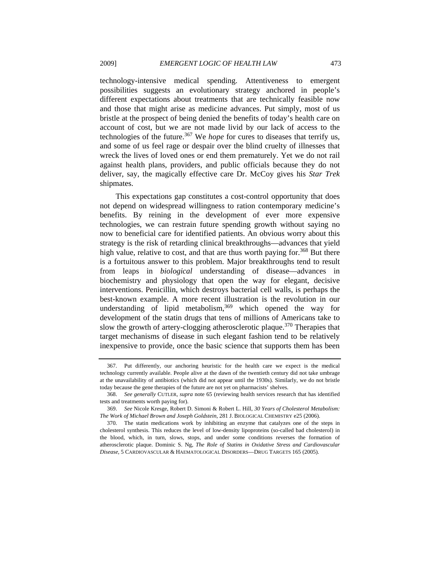technology-intensive medical spending. Attentiveness to emergent possibilities suggests an evolutionary strategy anchored in people's different expectations about treatments that are technically feasible now and those that might arise as medicine advances. Put simply, most of us bristle at the prospect of being denied the benefits of today's health care on account of cost, but we are not made livid by our lack of access to the technologies of the future.<sup>367</sup> We *hope* for cures to diseases that terrify us, and some of us feel rage or despair over the blind cruelty of illnesses that wreck the lives of loved ones or end them prematurely. Yet we do not rail against health plans, providers, and public officials because they do not deliver, say, the magically effective care Dr. McCoy gives his *Star Trek* shipmates.

This expectations gap constitutes a cost-control opportunity that does not depend on widespread willingness to ration contemporary medicine's benefits. By reining in the development of ever more expensive technologies, we can restrain future spending growth without saying no now to beneficial care for identified patients. An obvious worry about this strategy is the risk of retarding clinical breakthroughs—advances that yield high value, relative to cost, and that are thus worth paying for.<sup>368</sup> But there is a fortuitous answer to this problem. Major breakthroughs tend to result from leaps in *biological* understanding of disease—advances in biochemistry and physiology that open the way for elegant, decisive interventions. Penicillin, which destroys bacterial cell walls, is perhaps the best-known example. A more recent illustration is the revolution in our understanding of lipid metabolism, $369$  which opened the way for development of the statin drugs that tens of millions of Americans take to slow the growth of artery-clogging atherosclerotic plaque.<sup>370</sup> Therapies that target mechanisms of disease in such elegant fashion tend to be relatively inexpensive to provide, once the basic science that supports them has been

 <sup>367.</sup> Put differently, our anchoring heuristic for the health care we expect is the medical technology currently available. People alive at the dawn of the twentieth century did not take umbrage at the unavailability of antibiotics (which did not appear until the 1930s). Similarly, we do not bristle today because the gene therapies of the future are not yet on pharmacists' shelves.

<sup>368.</sup> *See generally* CUTLER, *supra* note 65 (reviewing health services research that has identified tests and treatments worth paying for).

 <sup>369.</sup> *See* Nicole Kresge, Robert D. Simoni & Robert L. Hill, *30 Years of Cholesterol Metabolism: The Work of Michael Brown and Joseph Goldstein*, 281 J. BIOLOGICAL CHEMISTRY e25 (2006).

 <sup>370.</sup> The statin medications work by inhibiting an enzyme that catalyzes one of the steps in cholesterol synthesis. This reduces the level of low-density lipoproteins (so-called bad cholesterol) in the blood, which, in turn, slows, stops, and under some conditions reverses the formation of atherosclerotic plaque. Dominic S. Ng, *The Role of Statins in Oxidative Stress and Cardiovascular Disease*, 5 CARDIOVASCULAR & HAEMATOLOGICAL DISORDERS—DRUG TARGETS 165 (2005).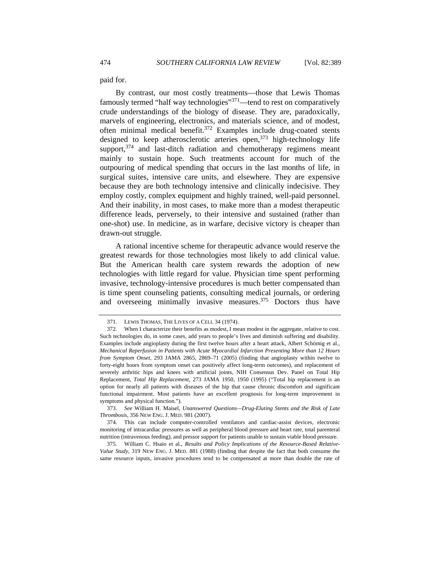paid for.

By contrast, our most costly treatments—those that Lewis Thomas famously termed "half way technologies"<sup>371</sup>—tend to rest on comparatively crude understandings of the biology of disease. They are, paradoxically, marvels of engineering, electronics, and materials science, and of modest, often minimal medical benefit. $372$  Examples include drug-coated stents designed to keep atherosclerotic arteries open,  $373$  high-technology life support,<sup>374</sup> and last-ditch radiation and chemotherapy regimens meant mainly to sustain hope. Such treatments account for much of the outpouring of medical spending that occurs in the last months of life, in surgical suites, intensive care units, and elsewhere. They are expensive because they are both technology intensive and clinically indecisive. They employ costly, complex equipment and highly trained, well-paid personnel. And their inability, in most cases, to make more than a modest therapeutic difference leads, perversely, to their intensive and sustained (rather than one-shot) use. In medicine, as in warfare, decisive victory is cheaper than drawn-out struggle.

A rational incentive scheme for therapeutic advance would reserve the greatest rewards for those technologies most likely to add clinical value. But the American health care system rewards the adoption of new technologies with little regard for value. Physician time spent performing invasive, technology-intensive procedures is much better compensated than is time spent counseling patients, consulting medical journals, or ordering and overseeing minimally invasive measures.<sup>375</sup> Doctors thus have

 <sup>371.</sup> LEWIS THOMAS, THE LIVES OF A CELL 34 (1974).

 <sup>372.</sup> When I characterize their benefits as modest, I mean modest in the aggregate, relative to cost. Such technologies do, in some cases, add years to people's lives and diminish suffering and disability. Examples include angioplasty during the first twelve hours after a heart attack, Albert Schömig et al., *Mechanical Reperfusion in Patients with Acute Myocardial Infarction Presenting More than 12 Hours from Symptom Onset*, 293 JAMA 2865, 2869–71 (2005) (finding that angioplasty within twelve to forty-eight hours from symptom onset can positively affect long-term outcomes), and replacement of severely arthritic hips and knees with artificial joints, NIH Consensus Dev. Panel on Total Hip Replacement, *Total Hip Replacement*, 273 JAMA 1950, 1950 (1995) ("Total hip replacement is an option for nearly all patients with diseases of the hip that cause chronic discomfort and significant functional impairment. Most patients have an excellent prognosis for long-term improvement in symptoms and physical function.").

<sup>373.</sup> *See* William H. Maisel, *Unanswered Questions—Drug-Eluting Stents and the Risk of Late Thrombosis*, 356 NEW ENG. J. MED. 981 (2007).

 <sup>374.</sup> This can include computer-controlled ventilators and cardiac-assist devices, electronic monitoring of intracardiac pressures as well as peripheral blood pressure and heart rate, total parenteral nutrition (intravenous feeding), and pressor support for patients unable to sustain viable blood pressure.

 <sup>375.</sup> William C. Hsaio et al., *Results and Policy Implications of the Resource-Based Relative-Value Study*, 319 NEW ENG. J. MED. 881 (1988) (finding that despite the fact that both consume the same resource inputs, invasive procedures tend to be compensated at more than double the rate of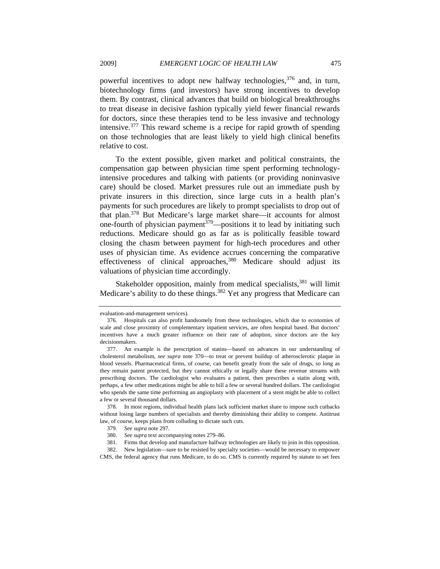powerful incentives to adopt new halfway technologies,<sup>376</sup> and, in turn, biotechnology firms (and investors) have strong incentives to develop them. By contrast, clinical advances that build on biological breakthroughs to treat disease in decisive fashion typically yield fewer financial rewards for doctors, since these therapies tend to be less invasive and technology intensive.377 This reward scheme is a recipe for rapid growth of spending on those technologies that are least likely to yield high clinical benefits relative to cost.

To the extent possible, given market and political constraints, the compensation gap between physician time spent performing technologyintensive procedures and talking with patients (or providing noninvasive care) should be closed. Market pressures rule out an immediate push by private insurers in this direction, since large cuts in a health plan's payments for such procedures are likely to prompt specialists to drop out of that plan.378 But Medicare's large market share—it accounts for almost one-fourth of physician payment<sup> $379$ </sup>—positions it to lead by initiating such reductions. Medicare should go as far as is politically feasible toward closing the chasm between payment for high-tech procedures and other uses of physician time. As evidence accrues concerning the comparative effectiveness of clinical approaches,  $380$  Medicare should adjust its valuations of physician time accordingly.

Stakeholder opposition, mainly from medical specialists,<sup>381</sup> will limit Medicare's ability to do these things.<sup>382</sup> Yet any progress that Medicare can

evaluation-and-management services).

 <sup>376.</sup> Hospitals can also profit handsomely from these technologies, which due to economies of scale and close proximity of complementary inpatient services, are often hospital based. But doctors' incentives have a much greater influence on their rate of adoption, since doctors are the key decisionmakers.

 <sup>377.</sup> An example is the prescription of statins—based on advances in our understanding of cholesterol metabolism, *see supra* note 370—to treat or prevent buildup of atherosclerotic plaque in blood vessels. Pharmaceutical firms, of course, can benefit greatly from the sale of drugs, so long as they remain patent protected, but they cannot ethically or legally share these revenue streams with prescribing doctors. The cardiologist who evaluates a patient, then prescribes a statin along with, perhaps, a few other medications might be able to bill a few or several hundred dollars. The cardiologist who spends the same time performing an angioplasty with placement of a stent might be able to collect a few or several thousand dollars.

 <sup>378.</sup> In most regions, individual health plans lack sufficient market share to impose such cutbacks without losing large numbers of specialists and thereby diminishing their ability to compete. Antitrust law, of course, keeps plans from colluding to dictate such cuts.

 <sup>379.</sup> *See supra* note 297.

<sup>380.</sup> *See supra* text accompanying notes 279–86.

 <sup>381.</sup> Firms that develop and manufacture halfway technologies are likely to join in this opposition.

 <sup>382.</sup> New legislation—sure to be resisted by specialty societies—would be necessary to empower CMS, the federal agency that runs Medicare, to do so. CMS is currently required by statute to set fees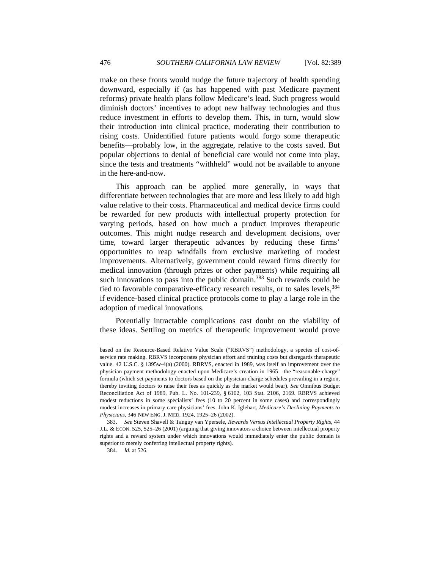downward, especially if (as has happened with past Medicare payment reforms) private health plans follow Medicare's lead. Such progress would diminish doctors' incentives to adopt new halfway technologies and thus reduce investment in efforts to develop them. This, in turn, would slow their introduction into clinical practice, moderating their contribution to rising costs. Unidentified future patients would forgo some therapeutic benefits—probably low, in the aggregate, relative to the costs saved. But popular objections to denial of beneficial care would not come into play, since the tests and treatments "withheld" would not be available to anyone in the here-and-now.

This approach can be applied more generally, in ways that differentiate between technologies that are more and less likely to add high value relative to their costs. Pharmaceutical and medical device firms could be rewarded for new products with intellectual property protection for varying periods, based on how much a product improves therapeutic outcomes. This might nudge research and development decisions, over time, toward larger therapeutic advances by reducing these firms' opportunities to reap windfalls from exclusive marketing of modest improvements. Alternatively, government could reward firms directly for medical innovation (through prizes or other payments) while requiring all such innovations to pass into the public domain.<sup>383</sup> Such rewards could be tied to favorable comparative-efficacy research results, or to sales levels,<sup>384</sup> if evidence-based clinical practice protocols come to play a large role in the adoption of medical innovations.

Potentially intractable complications cast doubt on the viability of these ideas. Settling on metrics of therapeutic improvement would prove

based on the Resource-Based Relative Value Scale ("RBRVS") methodology, a species of cost-ofservice rate making. RBRVS incorporates physician effort and training costs but disregards therapeutic value. 42 U.S.C. § 1395w-4(a) (2000). RBRVS, enacted in 1989, was itself an improvement over the physician payment methodology enacted upon Medicare's creation in 1965—the "reasonable-charge" formula (which set payments to doctors based on the physician-charge schedules prevailing in a region, thereby inviting doctors to raise their fees as quickly as the market would bear). *See* Omnibus Budget Reconciliation Act of 1989, Pub. L. No. 101-239, § 6102, 103 Stat. 2106, 2169. RBRVS achieved modest reductions in some specialists' fees (10 to 20 percent in some cases) and correspondingly modest increases in primary care physicians' fees. John K. Iglehart, *Medicare's Declining Payments to Physicians*, 346 NEW ENG. J. MED. 1924, 1925–26 (2002).

<sup>383.</sup> *See* Steven Shavell & Tanguy van Ypersele, *Rewards Versus Intellectual Property Rights*, 44 J.L. & ECON. 525, 525–26 (2001) (arguing that giving innovators a choice between intellectual property rights and a reward system under which innovations would immediately enter the public domain is superior to merely conferring intellectual property rights).

<sup>384.</sup> *Id.* at 526.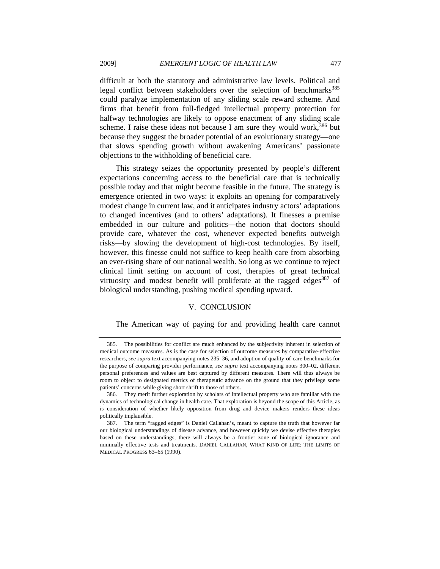difficult at both the statutory and administrative law levels. Political and legal conflict between stakeholders over the selection of benchmarks<sup>385</sup> could paralyze implementation of any sliding scale reward scheme. And firms that benefit from full-fledged intellectual property protection for halfway technologies are likely to oppose enactment of any sliding scale scheme. I raise these ideas not because I am sure they would work,  $386$  but because they suggest the broader potential of an evolutionary strategy—one that slows spending growth without awakening Americans' passionate objections to the withholding of beneficial care.

This strategy seizes the opportunity presented by people's different expectations concerning access to the beneficial care that is technically possible today and that might become feasible in the future. The strategy is emergence oriented in two ways: it exploits an opening for comparatively modest change in current law, and it anticipates industry actors' adaptations to changed incentives (and to others' adaptations). It finesses a premise embedded in our culture and politics—the notion that doctors should provide care, whatever the cost, whenever expected benefits outweigh risks—by slowing the development of high-cost technologies. By itself, however, this finesse could not suffice to keep health care from absorbing an ever-rising share of our national wealth. So long as we continue to reject clinical limit setting on account of cost, therapies of great technical virtuosity and modest benefit will proliferate at the ragged edges $387$  of biological understanding, pushing medical spending upward.

## V. CONCLUSION

The American way of paying for and providing health care cannot

 <sup>385.</sup> The possibilities for conflict are much enhanced by the subjectivity inherent in selection of medical outcome measures. As is the case for selection of outcome measures by comparative-effective researchers, *see supra* text accompanying notes 235–36, and adoption of quality-of-care benchmarks for the purpose of comparing provider performance, *see supra* text accompanying notes 300–02, different personal preferences and values are best captured by different measures. There will thus always be room to object to designated metrics of therapeutic advance on the ground that they privilege some patients' concerns while giving short shrift to those of others.

 <sup>386.</sup> They merit further exploration by scholars of intellectual property who are familiar with the dynamics of technological change in health care. That exploration is beyond the scope of this Article, as is consideration of whether likely opposition from drug and device makers renders these ideas politically implausible.

 <sup>387.</sup> The term "ragged edges" is Daniel Callahan's, meant to capture the truth that however far our biological understandings of disease advance, and however quickly we devise effective therapies based on these understandings, there will always be a frontier zone of biological ignorance and minimally effective tests and treatments. DANIEL CALLAHAN, WHAT KIND OF LIFE: THE LIMITS OF MEDICAL PROGRESS 63–65 (1990).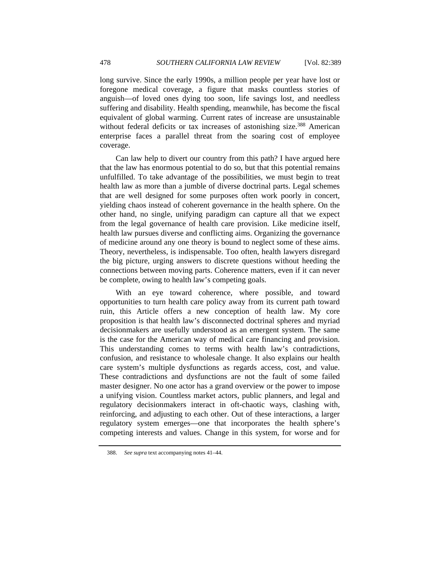long survive. Since the early 1990s, a million people per year have lost or foregone medical coverage, a figure that masks countless stories of anguish—of loved ones dying too soon, life savings lost, and needless suffering and disability. Health spending, meanwhile, has become the fiscal equivalent of global warming. Current rates of increase are unsustainable without federal deficits or tax increases of astonishing size.<sup>388</sup> American enterprise faces a parallel threat from the soaring cost of employee coverage.

Can law help to divert our country from this path? I have argued here that the law has enormous potential to do so, but that this potential remains unfulfilled. To take advantage of the possibilities, we must begin to treat health law as more than a jumble of diverse doctrinal parts. Legal schemes that are well designed for some purposes often work poorly in concert, yielding chaos instead of coherent governance in the health sphere. On the other hand, no single, unifying paradigm can capture all that we expect from the legal governance of health care provision. Like medicine itself, health law pursues diverse and conflicting aims. Organizing the governance of medicine around any one theory is bound to neglect some of these aims. Theory, nevertheless, is indispensable. Too often, health lawyers disregard the big picture, urging answers to discrete questions without heeding the connections between moving parts. Coherence matters, even if it can never be complete, owing to health law's competing goals.

With an eye toward coherence, where possible, and toward opportunities to turn health care policy away from its current path toward ruin, this Article offers a new conception of health law. My core proposition is that health law's disconnected doctrinal spheres and myriad decisionmakers are usefully understood as an emergent system. The same is the case for the American way of medical care financing and provision. This understanding comes to terms with health law's contradictions, confusion, and resistance to wholesale change. It also explains our health care system's multiple dysfunctions as regards access, cost, and value. These contradictions and dysfunctions are not the fault of some failed master designer. No one actor has a grand overview or the power to impose a unifying vision. Countless market actors, public planners, and legal and regulatory decisionmakers interact in oft-chaotic ways, clashing with, reinforcing, and adjusting to each other. Out of these interactions, a larger regulatory system emerges—one that incorporates the health sphere's competing interests and values. Change in this system, for worse and for

<sup>388.</sup> *See supra* text accompanying notes 41–44.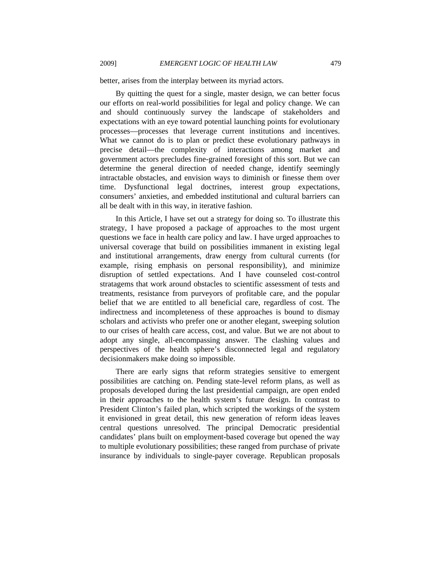better, arises from the interplay between its myriad actors.

By quitting the quest for a single, master design, we can better focus our efforts on real-world possibilities for legal and policy change. We can and should continuously survey the landscape of stakeholders and expectations with an eye toward potential launching points for evolutionary processes—processes that leverage current institutions and incentives. What we cannot do is to plan or predict these evolutionary pathways in precise detail—the complexity of interactions among market and government actors precludes fine-grained foresight of this sort. But we can determine the general direction of needed change, identify seemingly intractable obstacles, and envision ways to diminish or finesse them over time. Dysfunctional legal doctrines, interest group expectations, consumers' anxieties, and embedded institutional and cultural barriers can all be dealt with in this way, in iterative fashion.

In this Article, I have set out a strategy for doing so. To illustrate this strategy, I have proposed a package of approaches to the most urgent questions we face in health care policy and law. I have urged approaches to universal coverage that build on possibilities immanent in existing legal and institutional arrangements, draw energy from cultural currents (for example, rising emphasis on personal responsibility), and minimize disruption of settled expectations. And I have counseled cost-control stratagems that work around obstacles to scientific assessment of tests and treatments, resistance from purveyors of profitable care, and the popular belief that we are entitled to all beneficial care, regardless of cost. The indirectness and incompleteness of these approaches is bound to dismay scholars and activists who prefer one or another elegant, sweeping solution to our crises of health care access, cost, and value. But we are not about to adopt any single, all-encompassing answer. The clashing values and perspectives of the health sphere's disconnected legal and regulatory decisionmakers make doing so impossible.

There are early signs that reform strategies sensitive to emergent possibilities are catching on. Pending state-level reform plans, as well as proposals developed during the last presidential campaign, are open ended in their approaches to the health system's future design. In contrast to President Clinton's failed plan, which scripted the workings of the system it envisioned in great detail, this new generation of reform ideas leaves central questions unresolved. The principal Democratic presidential candidates' plans built on employment-based coverage but opened the way to multiple evolutionary possibilities; these ranged from purchase of private insurance by individuals to single-payer coverage. Republican proposals